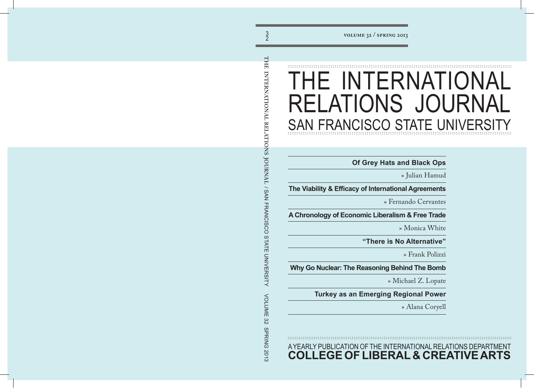### THE INTERNATIONAL RELATIONS JOURNAL SAN FRANCISCO STATE UNIVERSITY

#### **Of Grey Hats and Black Ops**

» Julian Hamud

**The Viability & Efficacy of International Agreements** 

» Fernando Cervantes

**A Chronology of Economic Liberalism & Free Trade**

» Monica White

 **"There is No Alternative"** 

» Frank Polizzi

**Why Go Nuclear: The Reasoning Behind The Bomb**

» Michael Z. Lopate

#### **Turkey as an Emerging Regional Power**

» Alana Coryell

#### A YEARLY PUBLICATION OF THE INTERNATIONAL RELATIONS DEPARTMENT **COLLEGE OF LIBERAL & CREATIVE ARTS**

THE INTERNATIONAL RELATIONS JOURNAL / SAN FRANCISCO STATE UNIVERSITY **THE INTERNATIONAL RELATIONS JOURNAL** / SAN FRANCISCO STATE UNIVERSITY VOLUME 32 SPRING 2013**VOLUME** 32 **SPRING 2013** 

3 2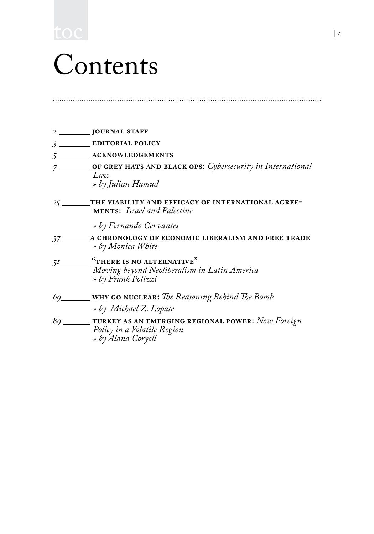### toc

# Contents

|           | 2 JOURNAL STAFF                                                                                           |
|-----------|-----------------------------------------------------------------------------------------------------------|
| $\cdot$ 3 | <b>EDITORIAL POLICY</b>                                                                                   |
|           | ACKNOWLEDGEMENTS                                                                                          |
|           | <b>Solution</b> OF GREY HATS AND BLACK OPS: Cybersecurity in International<br>Law<br>» by Julian Hamud    |
|           | THE VIABILITY AND EFFICACY OF INTERNATIONAL AGREE-<br><b>MENTS:</b> Israel and Palestine                  |
|           | » by Fernando Cervantes                                                                                   |
|           | A CHRONOLOGY OF ECONOMIC LIBERALISM AND FREE TRADE<br>» by Monica White                                   |
|           | $5I$ $*$ THERE IS NO ALTERNATIVE"<br>Moving beyond Neoliberalism in Latin America<br>» by Frank Polizzi   |
|           | 69 WHY GO NUCLEAR: The Reasoning Behind The Bomb                                                          |
|           | » by Michael Z. Lopate                                                                                    |
|           | 89 TURKEY AS AN EMERGING REGIONAL POWER: New Foreign<br>Policy in a Volatile Region<br>» by Alana Coryell |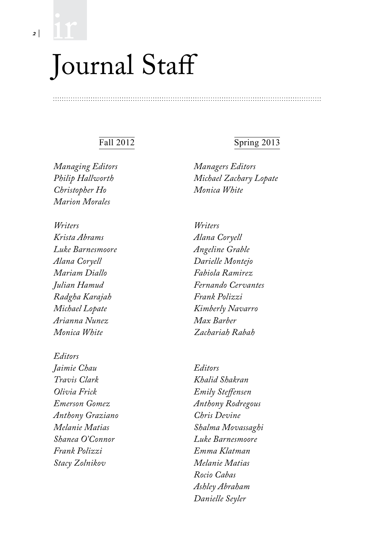# <span id="page-2-0"></span>*2 |* ir *| 3* Journal Staff

Fall 2012

*Managing Editors Philip Hallworth Christopher Ho Marion Morales*

*Writers Krista Abrams Luke Barnesmoore Alana Coryell Mariam Diallo Julian Hamud Radgha Karajah Michael Lopate Arianna Nunez Monica White*

*Editors Jaimie Chau Travis Clark Olivia Frick Emerson Gomez Anthony Graziano Melanie Matias Shanea O'Connor Frank Polizzi Stacy Zolnikov*

#### Spring 2013

*Managers Editors Michael Zachary Lopate Monica White*

*Writers Alana Coryell Angeline Grable Darielle Montejo Fabiola Ramirez Fernando Cervantes Frank Polizzi Kimberly Navarro Max Barber Zachariah Rabah*

*Editors Khalid Shakran Emily Steffensen Anthony Rodregous Chris Devine Shalma Movassaghi Luke Barnesmoore Emma Klatman Melanie Matias Rocio Cabas Ashley Abraham Danielle Seyler*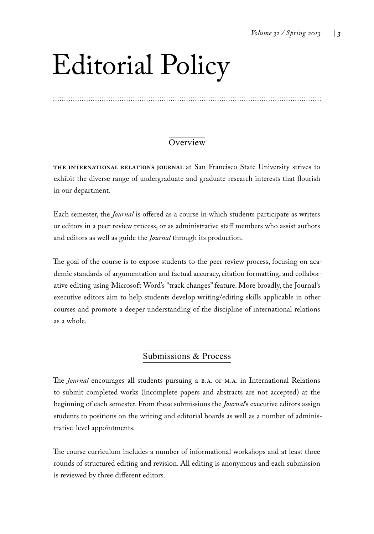# <span id="page-3-0"></span>Editorial Policy

#### **Overview**

**The International Relations Journal** at San Francisco State University strives to exhibit the diverse range of undergraduate and graduate research interests that flourish in our department.

Each semester, the *Journal* is offered as a course in which students participate as writers or editors in a peer review process, or as administrative staff members who assist authors and editors as well as guide the *Journal* through its production.

The goal of the course is to expose students to the peer review process, focusing on academic standards of argumentation and factual accuracy, citation formatting, and collaborative editing using Microsoft Word's "track changes" feature. More broadly, the Journal's executive editors aim to help students develop writing/editing skills applicable in other courses and promote a deeper understanding of the discipline of international relations as a whole.

#### Submissions & Process

The *Journal* encourages all students pursuing a B.A. or M.A. in International Relations to submit completed works (incomplete papers and abstracts are not accepted) at the beginning of each semester. From these submissions the *Journal*'s executive editors assign students to positions on the writing and editorial boards as well as a number of administrative-level appointments.

The course curriculum includes a number of informational workshops and at least three rounds of structured editing and revision. All editing is anonymous and each submission is reviewed by three different editors.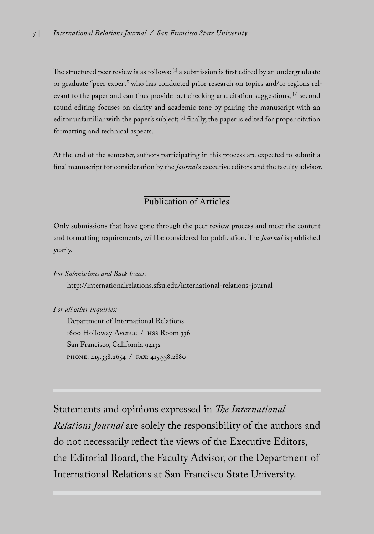The structured peer review is as follows: [1] a submission is first edited by an undergraduate or graduate "peer expert" who has conducted prior research on topics and/or regions relevant to the paper and can thus provide fact checking and citation suggestions; [3] second round editing focuses on clarity and academic tone by pairing the manuscript with an editor unfamiliar with the paper's subject; [3] finally, the paper is edited for proper citation formatting and technical aspects.

At the end of the semester, authors participating in this process are expected to submit a final manuscript for consideration by the *Journal*'s executive editors and the faculty advisor.

#### Publication of Articles

Only submissions that have gone through the peer review process and meet the content and formatting requirements, will be considered for publication. The *Journal* is published yearly.

*For Submissions and Back Issues:*

http://internationalrelations.sfsu.edu/international-relations-journal

*For all other inquiries:*

Department of International Relations 1600 Holloway Avenue / HSS Room 336 San Francisco, California 94132 phone: 415.338.2654 / fax: 415.338.2880

Statements and opinions expressed in *The International Relations Journal* are solely the responsibility of the authors and do not necessarily reflect the views of the Executive Editors, the Editorial Board, the Faculty Advisor, or the Department of International Relations at San Francisco State University.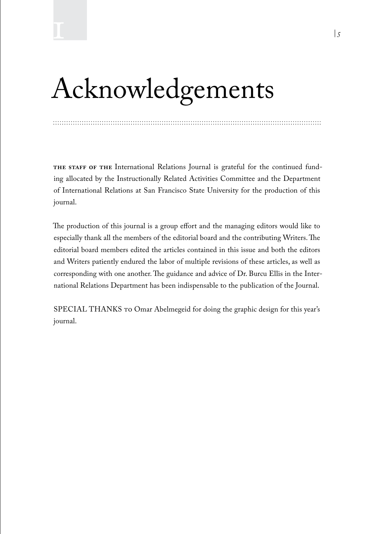### <span id="page-5-0"></span>Acknowledgements

THE STAFF OF THE International Relations Journal is grateful for the continued funding allocated by the Instructionally Related Activities Committee and the Department of International Relations at San Francisco State University for the production of this journal.

The production of this journal is a group effort and the managing editors would like to especially thank all the members of the editorial board and the contributing Writers. The editorial board members edited the articles contained in this issue and both the editors and Writers patiently endured the labor of multiple revisions of these articles, as well as corresponding with one another. The guidance and advice of Dr. Burcu Ellis in the International Relations Department has been indispensable to the publication of the Journal.

SPECIAL THANKS TO Omar Abelmegeid for doing the graphic design for this year's journal.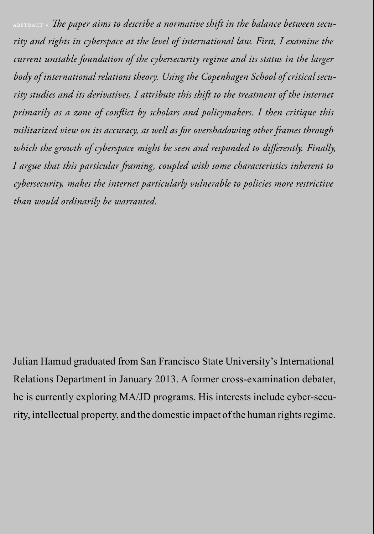abstract » *The paper aims to describe a normative shift in the balance between security and rights in cyberspace at the level of international law. First, I examine the current unstable foundation of the cybersecurity regime and its status in the larger body of international relations theory. Using the Copenhagen School of critical security studies and its derivatives, I attribute this shift to the treatment of the internet primarily as a zone of conflict by scholars and policymakers. I then critique this militarized view on its accuracy, as well as for overshadowing other frames through which the growth of cyberspace might be seen and responded to differently. Finally, I argue that this particular framing, coupled with some characteristics inherent to cybersecurity, makes the internet particularly vulnerable to policies more restrictive than would ordinarily be warranted.*

Julian Hamud graduated from San Francisco State University's International Relations Department in January 2013. A former cross-examination debater, he is currently exploring MA/JD programs. His interests include cyber-security, intellectual property, and the domestic impact of the human rights regime.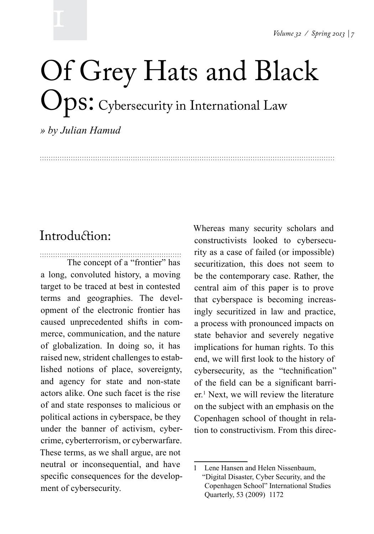*Volume 32 / Spring 2013 | 7*

# Of Grey Hats and Black Ops: Cybersecurity in International Law

*» by Julian Hamud*

1

#### Introduction:

The concept of a "frontier" has a long, convoluted history, a moving target to be traced at best in contested terms and geographies. The development of the electronic frontier has caused unprecedented shifts in commerce, communication, and the nature of globalization. In doing so, it has raised new, strident challenges to established notions of place, sovereignty, and agency for state and non-state actors alike. One such facet is the rise of and state responses to malicious or political actions in cyberspace, be they under the banner of activism, cybercrime, cyberterrorism, or cyberwarfare. These terms, as we shall argue, are not neutral or inconsequential, and have specific consequences for the development of cybersecurity.

Whereas many security scholars and constructivists looked to cybersecurity as a case of failed (or impossible) securitization, this does not seem to be the contemporary case. Rather, the central aim of this paper is to prove that cyberspace is becoming increasingly securitized in law and practice, a process with pronounced impacts on state behavior and severely negative implications for human rights. To this end, we will first look to the history of cybersecurity, as the "technification" of the field can be a significant barrier.1 Next, we will review the literature on the subject with an emphasis on the Copenhagen school of thought in relation to constructivism. From this direc-

<sup>1</sup> Lene Hansen and Helen Nissenbaum, "Digital Disaster, Cyber Security, and the Copenhagen School" International Studies Quarterly, 53 (2009) 1172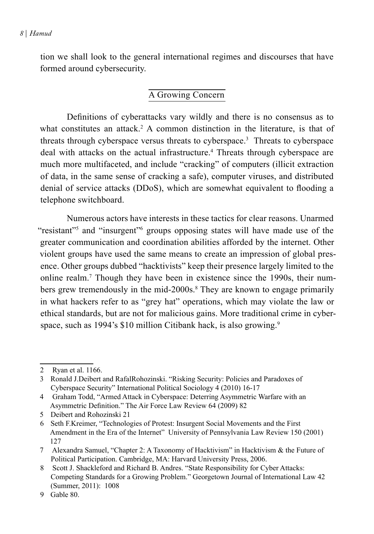tion we shall look to the general international regimes and discourses that have formed around cybersecurity.

#### A Growing Concern

Definitions of cyberattacks vary wildly and there is no consensus as to what constitutes an attack.<sup>2</sup> A common distinction in the literature, is that of threats through cyberspace versus threats to cyberspace.<sup>3</sup> Threats to cyberspace deal with attacks on the actual infrastructure.<sup>4</sup> Threats through cyberspace are much more multifaceted, and include "cracking" of computers (illicit extraction of data, in the same sense of cracking a safe), computer viruses, and distributed denial of service attacks (DDoS), which are somewhat equivalent to flooding a telephone switchboard.

Numerous actors have interests in these tactics for clear reasons. Unarmed "resistant"<sup>5</sup> and "insurgent"<sup>6</sup> groups opposing states will have made use of the greater communication and coordination abilities afforded by the internet. Other violent groups have used the same means to create an impression of global presence. Other groups dubbed "hacktivists" keep their presence largely limited to the online realm.7 Though they have been in existence since the 1990s, their numbers grew tremendously in the mid-2000s.<sup>8</sup> They are known to engage primarily in what hackers refer to as "grey hat" operations, which may violate the law or ethical standards, but are not for malicious gains. More traditional crime in cyberspace, such as 1994's \$10 million Citibank hack, is also growing.<sup>9</sup>

<sup>2</sup> Ryan et al. 1166.

<sup>3</sup> Ronald J.Deibert and RafalRohozinski. "Risking Security: Policies and Paradoxes of Cyberspace Security" International Political Sociology 4 (2010) 16-17

<sup>4</sup> Graham Todd, "Armed Attack in Cyberspace: Deterring Asymmetric Warfare with an Asymmetric Definition." The Air Force Law Review 64 (2009) 82

<sup>5</sup> Deibert and Rohozinski 21

<sup>6</sup> Seth F.Kreimer, "Technologies of Protest: Insurgent Social Movements and the First Amendment in the Era of the Internet" University of Pennsylvania Law Review 150 (2001) 127

<sup>7</sup> Alexandra Samuel, "Chapter 2: A Taxonomy of Hacktivism" in Hacktivism & the Future of Political Participation. Cambridge, MA: Harvard University Press, 2006.

<sup>8</sup> Scott J. Shackleford and Richard B. Andres. "State Responsibility for Cyber Attacks: Competing Standards for a Growing Problem." Georgetown Journal of International Law 42 (Summer, 2011): 1008

<sup>9</sup> Gable 80.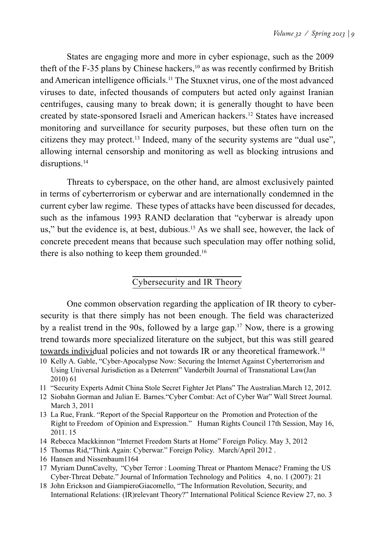States are engaging more and more in cyber espionage, such as the 2009 theft of the F-35 plans by Chinese hackers,  $10$  as was recently confirmed by British and American intelligence officials.11 The Stuxnet virus, one of the most advanced viruses to date, infected thousands of computers but acted only against Iranian centrifuges, causing many to break down; it is generally thought to have been created by state-sponsored Israeli and American hackers.12 States have increased monitoring and surveillance for security purposes, but these often turn on the citizens they may protect.13 Indeed, many of the security systems are "dual use", allowing internal censorship and monitoring as well as blocking intrusions and disruptions.<sup>14</sup>

Threats to cyberspace, on the other hand, are almost exclusively painted in terms of cyberterrorism or cyberwar and are internationally condemned in the current cyber law regime. These types of attacks have been discussed for decades, such as the infamous 1993 RAND declaration that "cyberwar is already upon us," but the evidence is, at best, dubious.<sup>15</sup> As we shall see, however, the lack of concrete precedent means that because such speculation may offer nothing solid, there is also nothing to keep them grounded.16

#### Cybersecurity and IR Theory

One common observation regarding the application of IR theory to cybersecurity is that there simply has not been enough. The field was characterized by a realist trend in the 90s, followed by a large gap.17 Now, there is a growing trend towards more specialized literature on the subject, but this was still geared towards individual policies and not towards IR or any theoretical framework.18

- 10 Kelly A. Gable, "Cyber-Apocalypse Now: Securing the Internet Against Cyberterrorism and Using Universal Jurisdiction as a Deterrent" Vanderbilt Journal of Transnational Law(Jan 2010) 61
- 11 "Security Experts Admit China Stole Secret Fighter Jet Plans" The Australian.March 12, 2012.
- 12 Siobahn Gorman and Julian E. Barnes."Cyber Combat: Act of Cyber War" Wall Street Journal. March 3, 2011
- 13 La Rue, Frank. "Report of the Special Rapporteur on the Promotion and Protection of the Right to Freedom of Opinion and Expression." Human Rights Council 17th Session, May 16, 2011. 15
- 14 Rebecca Mackkinnon "Internet Freedom Starts at Home" Foreign Policy. May 3, 2012
- 15 Thomas Rid,"Think Again: Cyberwar." Foreign Policy. March/April 2012 .
- 16 Hansen and Nissenbaum1164
- 17 Myriam DunnCavelty, "Cyber Terror : Looming Threat or Phantom Menace? Framing the US Cyber-Threat Debate." Journal of Information Technology and Politics 4, no. 1 (2007): 21
- 18 John Erickson and GiampieroGiacomello, "The Information Revolution, Security, and International Relations: (IR)relevant Theory?" International Political Science Review 27, no. 3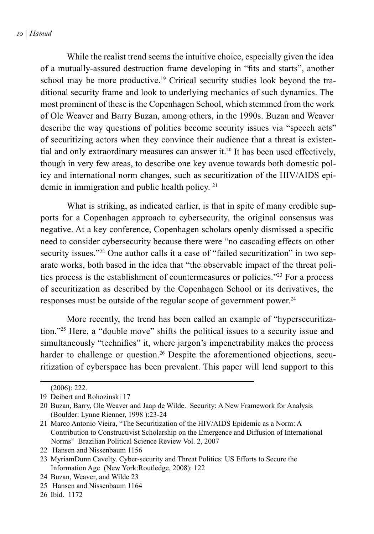While the realist trend seems the intuitive choice, especially given the idea of a mutually-assured destruction frame developing in "fits and starts", another school may be more productive.<sup>19</sup> Critical security studies look beyond the traditional security frame and look to underlying mechanics of such dynamics. The most prominent of these is the Copenhagen School, which stemmed from the work of Ole Weaver and Barry Buzan, among others, in the 1990s. Buzan and Weaver describe the way questions of politics become security issues via "speech acts" of securitizing actors when they convince their audience that a threat is existential and only extraordinary measures can answer it.20 It has been used effectively, though in very few areas, to describe one key avenue towards both domestic policy and international norm changes, such as securitization of the HIV/AIDS epidemic in immigration and public health policy.<sup>21</sup>

What is striking, as indicated earlier, is that in spite of many credible supports for a Copenhagen approach to cybersecurity, the original consensus was negative. At a key conference, Copenhagen scholars openly dismissed a specific need to consider cybersecurity because there were "no cascading effects on other security issues."<sup>22</sup> One author calls it a case of "failed securitization" in two separate works, both based in the idea that "the observable impact of the threat politics process is the establishment of countermeasures or policies."23 For a process of securitization as described by the Copenhagen School or its derivatives, the responses must be outside of the regular scope of government power.24

More recently, the trend has been called an example of "hypersecuritization."25 Here, a "double move" shifts the political issues to a security issue and simultaneously "technifies" it, where jargon's impenetrability makes the process harder to challenge or question.<sup>26</sup> Despite the aforementioned objections, securitization of cyberspace has been prevalent. This paper will lend support to this

<sup>(2006): 222.</sup>

<sup>19</sup> Deibert and Rohozinski 17

<sup>20</sup> Buzan, Barry, Ole Weaver and Jaap de Wilde. Security: A New Framework for Analysis (Boulder: Lynne Rienner, 1998 ):23-24

<sup>21</sup> Marco Antonio Vieira, "The Securitization of the HIV/AIDS Epidemic as a Norm: A Contribution to Constructivist Scholarship on the Emergence and Diffusion of International Norms" Brazilian Political Science Review Vol. 2, 2007

<sup>22</sup> Hansen and Nissenbaum 1156

<sup>23</sup> MyriamDunn Cavelty. Cyber-security and Threat Politics: US Efforts to Secure the Information Age (New York:Routledge, 2008): 122

<sup>24</sup> Buzan, Weaver, and Wilde 23

<sup>25</sup> Hansen and Nissenbaum 1164

<sup>26</sup> Ibid. 1172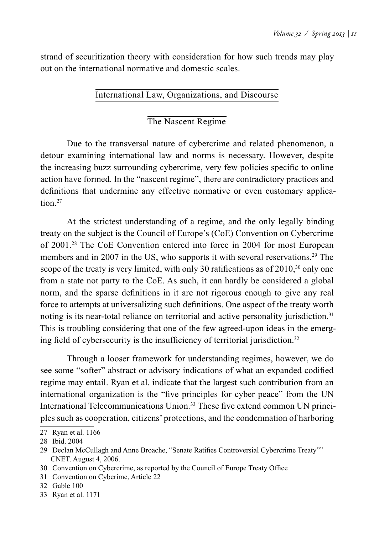strand of securitization theory with consideration for how such trends may play out on the international normative and domestic scales.

#### International Law, Organizations, and Discourse

#### The Nascent Regime

Due to the transversal nature of cybercrime and related phenomenon, a detour examining international law and norms is necessary. However, despite the increasing buzz surrounding cybercrime, very few policies specific to online action have formed. In the "nascent regime", there are contradictory practices and definitions that undermine any effective normative or even customary application $27$ 

At the strictest understanding of a regime, and the only legally binding treaty on the subject is the Council of Europe's (CoE) Convention on Cybercrime of 2001.28 The CoE Convention entered into force in 2004 for most European members and in 2007 in the US, who supports it with several reservations.<sup>29</sup> The scope of the treaty is very limited, with only 30 ratifications as of 2010,<sup>30</sup> only one from a state not party to the CoE. As such, it can hardly be considered a global norm, and the sparse definitions in it are not rigorous enough to give any real force to attempts at universalizing such definitions. One aspect of the treaty worth noting is its near-total reliance on territorial and active personality jurisdiction.<sup>31</sup> This is troubling considering that one of the few agreed-upon ideas in the emerging field of cybersecurity is the insufficiency of territorial jurisdiction.<sup>32</sup>

Through a looser framework for understanding regimes, however, we do see some "softer" abstract or advisory indications of what an expanded codified regime may entail. Ryan et al. indicate that the largest such contribution from an international organization is the "five principles for cyber peace" from the UN International Telecommunications Union.33 These five extend common UN principles such as cooperation, citizens' protections, and the condemnation of harboring

33 Ryan et al. 1171

<sup>27</sup> Ryan et al. 1166

<sup>28</sup> Ibid. 2004

<sup>29</sup> Declan McCullagh and Anne Broache, "Senate Ratifies Controversial Cybercrime Treaty"" CNET. August 4, 2006.

<sup>30</sup> Convention on Cybercrime, as reported by the Council of Europe Treaty Office

<sup>31</sup> Convention on Cyberime, Article 22

<sup>32</sup> Gable 100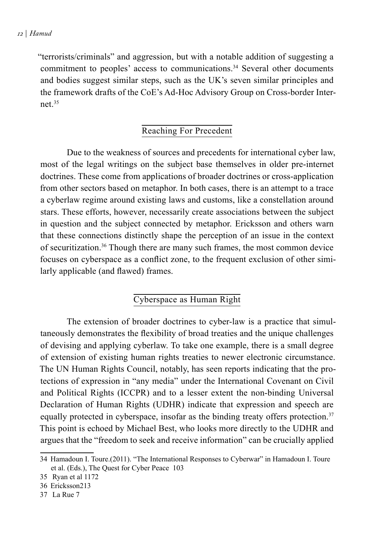"terrorists/criminals" and aggression, but with a notable addition of suggesting a commitment to peoples' access to communications.<sup>34</sup> Several other documents and bodies suggest similar steps, such as the UK's seven similar principles and the framework drafts of the CoE's Ad-Hoc Advisory Group on Cross-border Internet $35$ 

#### Reaching For Precedent

Due to the weakness of sources and precedents for international cyber law, most of the legal writings on the subject base themselves in older pre-internet doctrines. These come from applications of broader doctrines or cross-application from other sectors based on metaphor. In both cases, there is an attempt to a trace a cyberlaw regime around existing laws and customs, like a constellation around stars. These efforts, however, necessarily create associations between the subject in question and the subject connected by metaphor. Ericksson and others warn that these connections distinctly shape the perception of an issue in the context of securitization.36 Though there are many such frames, the most common device focuses on cyberspace as a conflict zone, to the frequent exclusion of other similarly applicable (and flawed) frames.

#### Cyberspace as Human Right

The extension of broader doctrines to cyber-law is a practice that simultaneously demonstrates the flexibility of broad treaties and the unique challenges of devising and applying cyberlaw. To take one example, there is a small degree of extension of existing human rights treaties to newer electronic circumstance. The UN Human Rights Council, notably, has seen reports indicating that the protections of expression in "any media" under the International Covenant on Civil and Political Rights (ICCPR) and to a lesser extent the non-binding Universal Declaration of Human Rights (UDHR) indicate that expression and speech are equally protected in cyberspace, insofar as the binding treaty offers protection.<sup>37</sup> This point is echoed by Michael Best, who looks more directly to the UDHR and argues that the "freedom to seek and receive information" can be crucially applied

<sup>34</sup> Hamadoun I. Toure.(2011). "The International Responses to Cyberwar" in Hamadoun I. Toure et al. (Eds.), The Quest for Cyber Peace 103

<sup>35</sup> Ryan et al 1172

<sup>36</sup> Ericksson213

<sup>37</sup> La Rue 7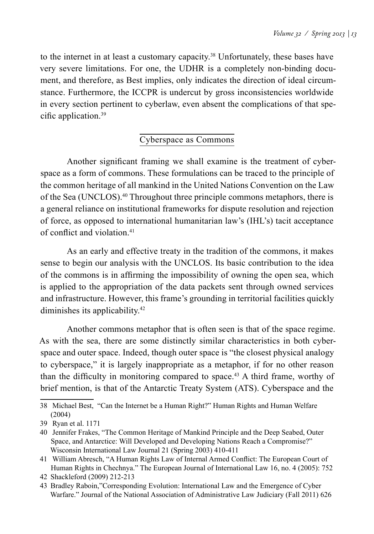to the internet in at least a customary capacity.38 Unfortunately, these bases have very severe limitations. For one, the UDHR is a completely non-binding document, and therefore, as Best implies, only indicates the direction of ideal circumstance. Furthermore, the ICCPR is undercut by gross inconsistencies worldwide in every section pertinent to cyberlaw, even absent the complications of that specific application.<sup>39</sup>

#### Cyberspace as Commons

Another significant framing we shall examine is the treatment of cyberspace as a form of commons. These formulations can be traced to the principle of the common heritage of all mankind in the United Nations Convention on the Law of the Sea (UNCLOS).40 Throughout three principle commons metaphors, there is a general reliance on institutional frameworks for dispute resolution and rejection of force, as opposed to international humanitarian law's (IHL's) tacit acceptance of conflict and violation.<sup>41</sup>

As an early and effective treaty in the tradition of the commons, it makes sense to begin our analysis with the UNCLOS. Its basic contribution to the idea of the commons is in affirming the impossibility of owning the open sea, which is applied to the appropriation of the data packets sent through owned services and infrastructure. However, this frame's grounding in territorial facilities quickly diminishes its applicability.<sup>42</sup>

Another commons metaphor that is often seen is that of the space regime. As with the sea, there are some distinctly similar characteristics in both cyberspace and outer space. Indeed, though outer space is "the closest physical analogy to cyberspace," it is largely inappropriate as a metaphor, if for no other reason than the difficulty in monitoring compared to space.<sup>43</sup> A third frame, worthy of brief mention, is that of the Antarctic Treaty System (ATS). Cyberspace and the

<sup>38</sup> Michael Best, "Can the Internet be a Human Right?" Human Rights and Human Welfare (2004)

<sup>39</sup> Ryan et al. 1171

<sup>40</sup> Jennifer Frakes, "The Common Heritage of Mankind Principle and the Deep Seabed, Outer Space, and Antarctice: Will Developed and Developing Nations Reach a Compromise?" Wisconsin International Law Journal 21 (Spring 2003) 410-411

<sup>41</sup> William Abresch, "A Human Rights Law of Internal Armed Conflict: The European Court of Human Rights in Chechnya." The European Journal of International Law 16, no. 4 (2005): 752

<sup>42</sup> Shackleford (2009) 212-213

<sup>43</sup> Bradley Raboin,"Corresponding Evolution: International Law and the Emergence of Cyber Warfare." Journal of the National Association of Administrative Law Judiciary (Fall 2011) 626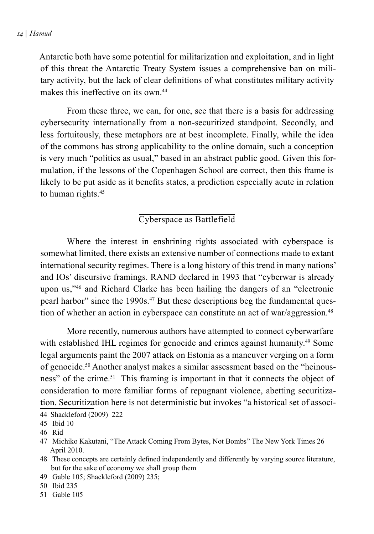Antarctic both have some potential for militarization and exploitation, and in light of this threat the Antarctic Treaty System issues a comprehensive ban on military activity, but the lack of clear definitions of what constitutes military activity makes this ineffective on its own.<sup>44</sup>

From these three, we can, for one, see that there is a basis for addressing cybersecurity internationally from a non-securitized standpoint. Secondly, and less fortuitously, these metaphors are at best incomplete. Finally, while the idea of the commons has strong applicability to the online domain, such a conception is very much "politics as usual," based in an abstract public good. Given this formulation, if the lessons of the Copenhagen School are correct, then this frame is likely to be put aside as it benefits states, a prediction especially acute in relation to human rights.<sup>45</sup>

#### Cyberspace as Battlefield

Where the interest in enshrining rights associated with cyberspace is somewhat limited, there exists an extensive number of connections made to extant international security regimes. There is a long history of this trend in many nations' and IOs' discursive framings. RAND declared in 1993 that "cyberwar is already upon us,"46 and Richard Clarke has been hailing the dangers of an "electronic pearl harbor" since the 1990s.<sup>47</sup> But these descriptions beg the fundamental question of whether an action in cyberspace can constitute an act of war/aggression.<sup>48</sup>

More recently, numerous authors have attempted to connect cyberwarfare with established IHL regimes for genocide and crimes against humanity.<sup>49</sup> Some legal arguments paint the 2007 attack on Estonia as a maneuver verging on a form of genocide.50 Another analyst makes a similar assessment based on the "heinousness" of the crime.51 This framing is important in that it connects the object of consideration to more familiar forms of repugnant violence, abetting securitization. Securitization here is not deterministic but invokes "a historical set of associ-

49 Gable 105; Shackleford (2009) 235;

50 Ibid 235

51 Gable 105

<sup>44</sup> Shackleford (2009) 222

<sup>45</sup> Ibid 10

<sup>46</sup> Rid

<sup>47</sup> Michiko Kakutani, "The Attack Coming From Bytes, Not Bombs" The New York Times 26 April 2010.

<sup>48</sup> These concepts are certainly defined independently and differently by varying source literature, but for the sake of economy we shall group them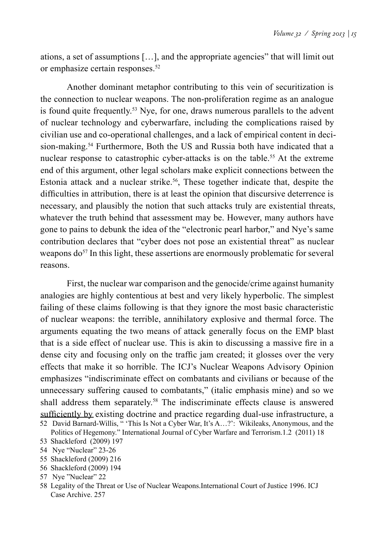ations, a set of assumptions […], and the appropriate agencies" that will limit out or emphasize certain responses.<sup>52</sup>

Another dominant metaphor contributing to this vein of securitization is the connection to nuclear weapons. The non-proliferation regime as an analogue is found quite frequently.<sup>53</sup> Nye, for one, draws numerous parallels to the advent of nuclear technology and cyberwarfare, including the complications raised by civilian use and co-operational challenges, and a lack of empirical content in decision-making.<sup>54</sup> Furthermore, Both the US and Russia both have indicated that a nuclear response to catastrophic cyber-attacks is on the table.<sup>55</sup> At the extreme end of this argument, other legal scholars make explicit connections between the Estonia attack and a nuclear strike.<sup>56</sup>, These together indicate that, despite the difficulties in attribution, there is at least the opinion that discursive deterrence is necessary, and plausibly the notion that such attacks truly are existential threats, whatever the truth behind that assessment may be. However, many authors have gone to pains to debunk the idea of the "electronic pearl harbor," and Nye's same contribution declares that "cyber does not pose an existential threat" as nuclear weapons  $d\sigma^{57}$  In this light, these assertions are enormously problematic for several reasons.

First, the nuclear war comparison and the genocide/crime against humanity analogies are highly contentious at best and very likely hyperbolic. The simplest failing of these claims following is that they ignore the most basic characteristic of nuclear weapons: the terrible, annihilatory explosive and thermal force. The arguments equating the two means of attack generally focus on the EMP blast that is a side effect of nuclear use. This is akin to discussing a massive fire in a dense city and focusing only on the traffic jam created; it glosses over the very effects that make it so horrible. The ICJ's Nuclear Weapons Advisory Opinion emphasizes "indiscriminate effect on combatants and civilians or because of the unnecessary suffering caused to combatants," (italic emphasis mine) and so we shall address them separately.<sup>58</sup> The indiscriminate effects clause is answered sufficiently by existing doctrine and practice regarding dual-use infrastructure, a 52 David Barnard-Willis, " 'This Is Not a Cyber War, It's A…?': Wikileaks, Anonymous, and the

- 54 Nye "Nuclear" 23-26
- 55 Shackleford (2009) 216
- 56 Shackleford (2009) 194
- 57 Nye "Nuclear" 22
- 58 Legality of the Threat or Use of Nuclear Weapons.International Court of Justice 1996. ICJ Case Archive. 257

Politics of Hegemony." International Journal of Cyber Warfare and Terrorism.1.2 (2011) 18 53 Shackleford (2009) 197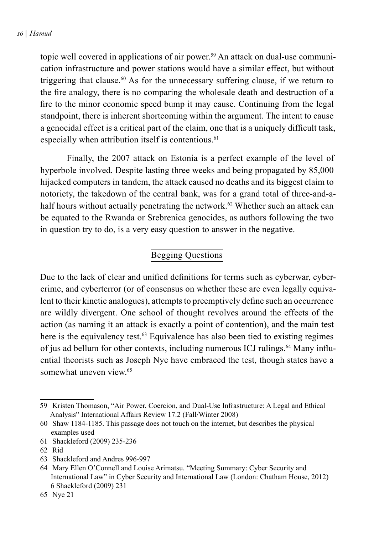topic well covered in applications of air power.59 An attack on dual-use communication infrastructure and power stations would have a similar effect, but without triggering that clause.60 As for the unnecessary suffering clause, if we return to the fire analogy, there is no comparing the wholesale death and destruction of a fire to the minor economic speed bump it may cause. Continuing from the legal standpoint, there is inherent shortcoming within the argument. The intent to cause a genocidal effect is a critical part of the claim, one that is a uniquely difficult task, especially when attribution itself is contentious.<sup>61</sup>

Finally, the 2007 attack on Estonia is a perfect example of the level of hyperbole involved. Despite lasting three weeks and being propagated by 85,000 hijacked computers in tandem, the attack caused no deaths and its biggest claim to notoriety, the takedown of the central bank, was for a grand total of three-and-ahalf hours without actually penetrating the network.<sup>62</sup> Whether such an attack can be equated to the Rwanda or Srebrenica genocides, as authors following the two in question try to do, is a very easy question to answer in the negative.

#### Begging Questions

Due to the lack of clear and unified definitions for terms such as cyberwar, cybercrime, and cyberterror (or of consensus on whether these are even legally equivalent to their kinetic analogues), attempts to preemptively define such an occurrence are wildly divergent. One school of thought revolves around the effects of the action (as naming it an attack is exactly a point of contention), and the main test here is the equivalency test.<sup>63</sup> Equivalence has also been tied to existing regimes of jus ad bellum for other contexts, including numerous ICJ rulings.<sup>64</sup> Many influential theorists such as Joseph Nye have embraced the test, though states have a somewhat uneven view.<sup>65</sup>

<sup>59</sup> Kristen Thomason, "Air Power, Coercion, and Dual-Use Infrastructure: A Legal and Ethical Analysis" International Affairs Review 17.2 (Fall/Winter 2008)

<sup>60</sup> Shaw 1184-1185. This passage does not touch on the internet, but describes the physical examples used

<sup>61</sup> Shackleford (2009) 235-236

<sup>62</sup> Rid

<sup>63</sup> Shackleford and Andres 996-997

<sup>64</sup> Mary Ellen O'Connell and Louise Arimatsu. "Meeting Summary: Cyber Security and International Law" in Cyber Security and International Law (London: Chatham House, 2012) 6 Shackleford (2009) 231

<sup>65</sup> Nye 21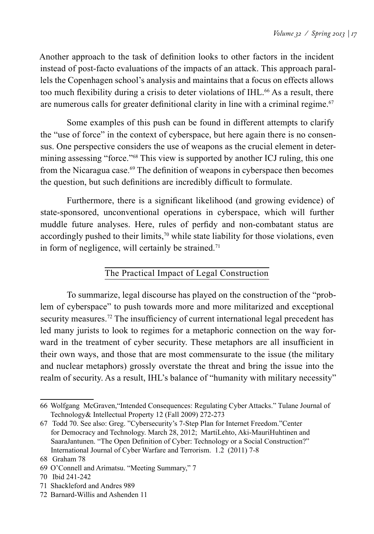Another approach to the task of definition looks to other factors in the incident instead of post-facto evaluations of the impacts of an attack. This approach parallels the Copenhagen school's analysis and maintains that a focus on effects allows too much flexibility during a crisis to deter violations of IHL. 66 As a result, there are numerous calls for greater definitional clarity in line with a criminal regime.<sup>67</sup>

Some examples of this push can be found in different attempts to clarify the "use of force" in the context of cyberspace, but here again there is no consensus. One perspective considers the use of weapons as the crucial element in determining assessing "force."68 This view is supported by another ICJ ruling, this one from the Nicaragua case.<sup>69</sup> The definition of weapons in cyberspace then becomes the question, but such definitions are incredibly difficult to formulate.

Furthermore, there is a significant likelihood (and growing evidence) of state-sponsored, unconventional operations in cyberspace, which will further muddle future analyses. Here, rules of perfidy and non-combatant status are accordingly pushed to their limits,<sup>70</sup> while state liability for those violations, even in form of negligence, will certainly be strained.<sup>71</sup>

#### The Practical Impact of Legal Construction

To summarize, legal discourse has played on the construction of the "problem of cyberspace" to push towards more and more militarized and exceptional security measures.<sup>72</sup> The insufficiency of current international legal precedent has led many jurists to look to regimes for a metaphoric connection on the way forward in the treatment of cyber security. These metaphors are all insufficient in their own ways, and those that are most commensurate to the issue (the military and nuclear metaphors) grossly overstate the threat and bring the issue into the realm of security. As a result, IHL's balance of "humanity with military necessity"

<sup>66</sup> Wolfgang McGraven,"Intended Consequences: Regulating Cyber Attacks." Tulane Journal of Technology& Intellectual Property 12 (Fall 2009) 272-273

<sup>67</sup> Todd 70. See also: Greg. "Cybersecurity's 7-Step Plan for Internet Freedom."Center for Democracy and Technology. March 28, 2012; MartiLehto, Aki-MauriHuhtinen and SaaraJantunen. "The Open Definition of Cyber: Technology or a Social Construction?" International Journal of Cyber Warfare and Terrorism. 1.2 (2011) 7-8

<sup>68</sup> Graham 78

<sup>69</sup> O'Connell and Arimatsu. "Meeting Summary," 7

<sup>70</sup> Ibid 241-242

<sup>71</sup> Shackleford and Andres 989

<sup>72</sup> Barnard-Willis and Ashenden 11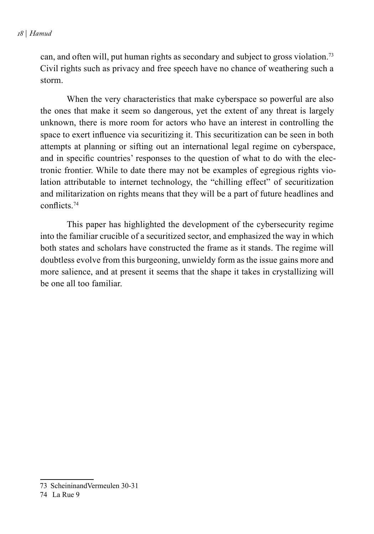can, and often will, put human rights as secondary and subject to gross violation.73 Civil rights such as privacy and free speech have no chance of weathering such a storm.

When the very characteristics that make cyberspace so powerful are also the ones that make it seem so dangerous, yet the extent of any threat is largely unknown, there is more room for actors who have an interest in controlling the space to exert influence via securitizing it. This securitization can be seen in both attempts at planning or sifting out an international legal regime on cyberspace, and in specific countries' responses to the question of what to do with the electronic frontier. While to date there may not be examples of egregious rights violation attributable to internet technology, the "chilling effect" of securitization and militarization on rights means that they will be a part of future headlines and conflicts.<sup>74</sup>

This paper has highlighted the development of the cybersecurity regime into the familiar crucible of a securitized sector, and emphasized the way in which both states and scholars have constructed the frame as it stands. The regime will doubtless evolve from this burgeoning, unwieldy form as the issue gains more and more salience, and at present it seems that the shape it takes in crystallizing will be one all too familiar.

<sup>73</sup> ScheininandVermeulen 30-31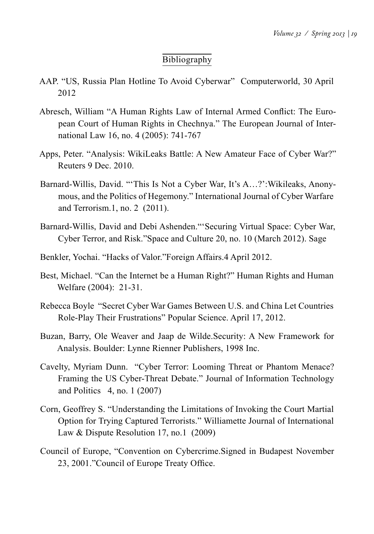#### **Bibliography**

- AAP. "US, Russia Plan Hotline To Avoid Cyberwar" Computerworld, 30 April 2012
- Abresch, William "A Human Rights Law of Internal Armed Conflict: The European Court of Human Rights in Chechnya." The European Journal of International Law 16, no. 4 (2005): 741-767
- Apps, Peter. "Analysis: WikiLeaks Battle: A New Amateur Face of Cyber War?" Reuters 9 Dec. 2010.
- Barnard-Willis, David. "'This Is Not a Cyber War, It's A…?':Wikileaks, Anonymous, and the Politics of Hegemony." International Journal of Cyber Warfare and Terrorism.1, no. 2 (2011).
- Barnard-Willis, David and Debi Ashenden."'Securing Virtual Space: Cyber War, Cyber Terror, and Risk."Space and Culture 20, no. 10 (March 2012). Sage
- Benkler, Yochai. "Hacks of Valor."Foreign Affairs.4 April 2012.
- Best, Michael. "Can the Internet be a Human Right?" Human Rights and Human Welfare (2004): 21-31.
- Rebecca Boyle "Secret Cyber War Games Between U.S. and China Let Countries Role-Play Their Frustrations" Popular Science. April 17, 2012.
- Buzan, Barry, Ole Weaver and Jaap de Wilde.Security: A New Framework for Analysis. Boulder: Lynne Rienner Publishers, 1998 Inc.
- Cavelty, Myriam Dunn. "Cyber Terror: Looming Threat or Phantom Menace? Framing the US Cyber-Threat Debate." Journal of Information Technology and Politics 4, no. 1 (2007)
- Corn, Geoffrey S. "Understanding the Limitations of Invoking the Court Martial Option for Trying Captured Terrorists." Williamette Journal of International Law & Dispute Resolution 17, no.1 (2009)
- Council of Europe, "Convention on Cybercrime.Signed in Budapest November 23, 2001."Council of Europe Treaty Office.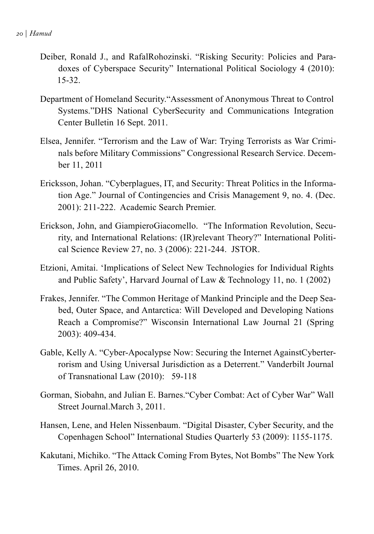- Deiber, Ronald J., and RafalRohozinski. "Risking Security: Policies and Paradoxes of Cyberspace Security" International Political Sociology 4 (2010): 15-32.
- Department of Homeland Security."Assessment of Anonymous Threat to Control Systems."DHS National CyberSecurity and Communications Integration Center Bulletin 16 Sept. 2011.
- Elsea, Jennifer. "Terrorism and the Law of War: Trying Terrorists as War Criminals before Military Commissions" Congressional Research Service. December 11, 2011
- Ericksson, Johan. "Cyberplagues, IT, and Security: Threat Politics in the Information Age." Journal of Contingencies and Crisis Management 9, no. 4. (Dec. 2001): 211-222. Academic Search Premier.
- Erickson, John, and GiampieroGiacomello. "The Information Revolution, Security, and International Relations: (IR)relevant Theory?" International Political Science Review 27, no. 3 (2006): 221-244. JSTOR.
- Etzioni, Amitai. 'Implications of Select New Technologies for Individual Rights and Public Safety', Harvard Journal of Law & Technology 11, no. 1 (2002)
- Frakes, Jennifer. "The Common Heritage of Mankind Principle and the Deep Seabed, Outer Space, and Antarctica: Will Developed and Developing Nations Reach a Compromise?" Wisconsin International Law Journal 21 (Spring 2003): 409-434.
- Gable, Kelly A. "Cyber-Apocalypse Now: Securing the Internet AgainstCyberterrorism and Using Universal Jurisdiction as a Deterrent." Vanderbilt Journal of Transnational Law (2010): 59-118
- Gorman, Siobahn, and Julian E. Barnes."Cyber Combat: Act of Cyber War" Wall Street Journal.March 3, 2011.
- Hansen, Lene, and Helen Nissenbaum. "Digital Disaster, Cyber Security, and the Copenhagen School" International Studies Quarterly 53 (2009): 1155-1175.
- Kakutani, Michiko. "The Attack Coming From Bytes, Not Bombs" The New York Times. April 26, 2010.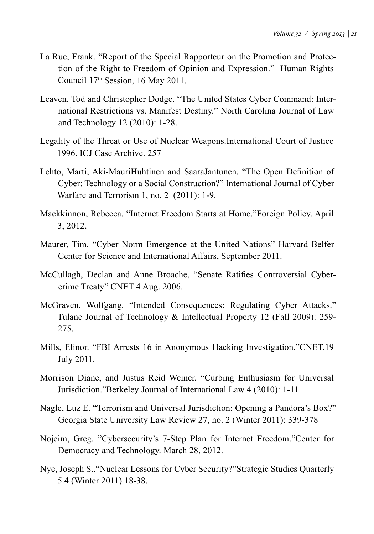- La Rue, Frank. "Report of the Special Rapporteur on the Promotion and Protection of the Right to Freedom of Opinion and Expression." Human Rights Council 17<sup>th</sup> Session, 16 May 2011.
- Leaven, Tod and Christopher Dodge. "The United States Cyber Command: International Restrictions vs. Manifest Destiny." North Carolina Journal of Law and Technology 12 (2010): 1-28.
- Legality of the Threat or Use of Nuclear Weapons.International Court of Justice 1996. ICJ Case Archive. 257
- Lehto, Marti, Aki-MauriHuhtinen and SaaraJantunen. "The Open Definition of Cyber: Technology or a Social Construction?" International Journal of Cyber Warfare and Terrorism 1, no. 2 (2011): 1-9.
- Mackkinnon, Rebecca. "Internet Freedom Starts at Home."Foreign Policy. April 3, 2012.
- Maurer, Tim. "Cyber Norm Emergence at the United Nations" Harvard Belfer Center for Science and International Affairs, September 2011.
- McCullagh, Declan and Anne Broache, "Senate Ratifies Controversial Cybercrime Treaty" CNET 4 Aug. 2006.
- McGraven, Wolfgang. "Intended Consequences: Regulating Cyber Attacks." Tulane Journal of Technology & Intellectual Property 12 (Fall 2009): 259- 275.
- Mills, Elinor. "FBI Arrests 16 in Anonymous Hacking Investigation."CNET.19 July 2011.
- Morrison Diane, and Justus Reid Weiner. "Curbing Enthusiasm for Universal Jurisdiction."Berkeley Journal of International Law 4 (2010): 1-11
- Nagle, Luz E. "Terrorism and Universal Jurisdiction: Opening a Pandora's Box?" Georgia State University Law Review 27, no. 2 (Winter 2011): 339-378
- Nojeim, Greg. "Cybersecurity's 7-Step Plan for Internet Freedom."Center for Democracy and Technology. March 28, 2012.
- Nye, Joseph S.."Nuclear Lessons for Cyber Security?"Strategic Studies Quarterly 5.4 (Winter 2011) 18-38.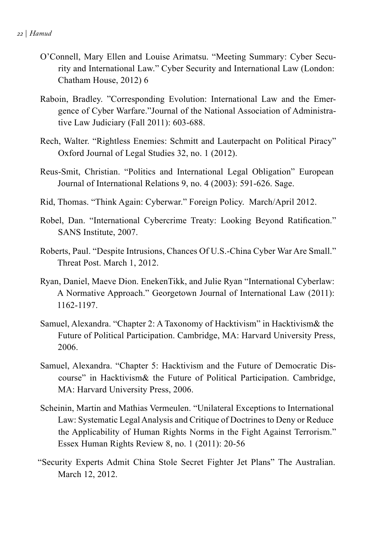- O'Connell, Mary Ellen and Louise Arimatsu. "Meeting Summary: Cyber Security and International Law." Cyber Security and International Law (London: Chatham House, 2012) 6
- Raboin, Bradley. "Corresponding Evolution: International Law and the Emergence of Cyber Warfare."Journal of the National Association of Administrative Law Judiciary (Fall 2011): 603-688.
- Rech, Walter. "Rightless Enemies: Schmitt and Lauterpacht on Political Piracy" Oxford Journal of Legal Studies 32, no. 1 (2012).
- Reus-Smit, Christian. "Politics and International Legal Obligation" European Journal of International Relations 9, no. 4 (2003): 591-626. Sage.
- Rid, Thomas. "Think Again: Cyberwar." Foreign Policy. March/April 2012.
- Robel, Dan. "International Cybercrime Treaty: Looking Beyond Ratification." SANS Institute, 2007.
- Roberts, Paul. "Despite Intrusions, Chances Of U.S.-China Cyber War Are Small." Threat Post. March 1, 2012.
- Ryan, Daniel, Maeve Dion. EnekenTikk, and Julie Ryan "International Cyberlaw: A Normative Approach." Georgetown Journal of International Law (2011): 1162-1197.
- Samuel, Alexandra. "Chapter 2: A Taxonomy of Hacktivism" in Hacktivism& the Future of Political Participation. Cambridge, MA: Harvard University Press, 2006.
- Samuel, Alexandra. "Chapter 5: Hacktivism and the Future of Democratic Discourse" in Hacktivism& the Future of Political Participation. Cambridge, MA: Harvard University Press, 2006.
- Scheinin, Martin and Mathias Vermeulen. "Unilateral Exceptions to International Law: Systematic Legal Analysis and Critique of Doctrines to Deny or Reduce the Applicability of Human Rights Norms in the Fight Against Terrorism." Essex Human Rights Review 8, no. 1 (2011): 20-56
- "Security Experts Admit China Stole Secret Fighter Jet Plans" The Australian. March 12, 2012.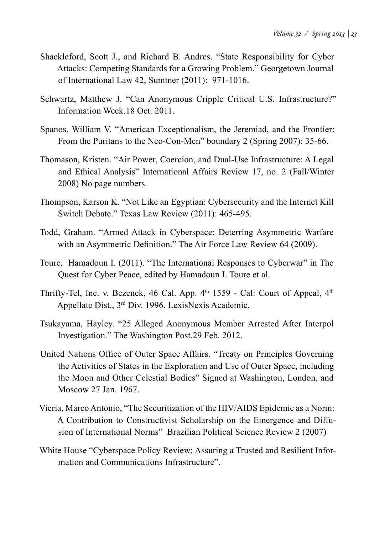- Shackleford, Scott J., and Richard B. Andres. "State Responsibility for Cyber Attacks: Competing Standards for a Growing Problem." Georgetown Journal of International Law 42, Summer (2011): 971-1016.
- Schwartz, Matthew J. "Can Anonymous Cripple Critical U.S. Infrastructure?" Information Week.18 Oct. 2011.
- Spanos, William V. "American Exceptionalism, the Jeremiad, and the Frontier: From the Puritans to the Neo-Con-Men" boundary 2 (Spring 2007): 35-66.
- Thomason, Kristen. "Air Power, Coercion, and Dual-Use Infrastructure: A Legal and Ethical Analysis" International Affairs Review 17, no. 2 (Fall/Winter 2008) No page numbers.
- Thompson, Karson K. "Not Like an Egyptian: Cybersecurity and the Internet Kill Switch Debate." Texas Law Review (2011): 465-495.
- Todd, Graham. "Armed Attack in Cyberspace: Deterring Asymmetric Warfare with an Asymmetric Definition." The Air Force Law Review 64 (2009).
- Toure, Hamadoun I. (2011). "The International Responses to Cyberwar" in The Quest for Cyber Peace, edited by Hamadoun I. Toure et al.
- Thrifty-Tel, Inc. v. Bezenek, 46 Cal. App.  $4<sup>th</sup>$  1559 Cal: Court of Appeal,  $4<sup>th</sup>$ Appellate Dist., 3rd Div. 1996. LexisNexis Academic.
- Tsukayama, Hayley. "25 Alleged Anonymous Member Arrested After Interpol Investigation." The Washington Post.29 Feb. 2012.
- United Nations Office of Outer Space Affairs. "Treaty on Principles Governing the Activities of States in the Exploration and Use of Outer Space, including the Moon and Other Celestial Bodies" Signed at Washington, London, and Moscow 27 Jan. 1967.
- Vieria, Marco Antonio, "The Securitization of the HIV/AIDS Epidemic as a Norm: A Contribution to Constructivist Scholarship on the Emergence and Diffusion of International Norms" Brazilian Political Science Review 2 (2007)
- White House "Cyberspace Policy Review: Assuring a Trusted and Resilient Information and Communications Infrastructure".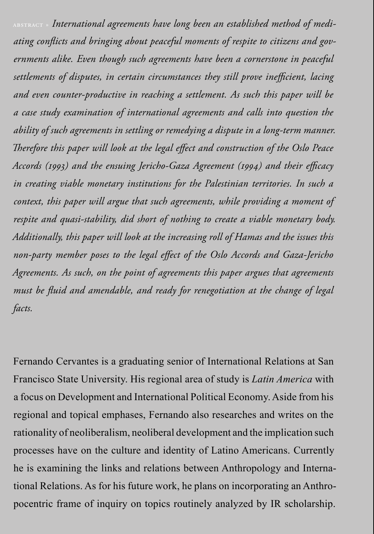abstract » *International agreements have long been an established method of mediating conflicts and bringing about peaceful moments of respite to citizens and governments alike. Even though such agreements have been a cornerstone in peaceful settlements of disputes, in certain circumstances they still prove inefficient, lacing and even counter-productive in reaching a settlement. As such this paper will be a case study examination of international agreements and calls into question the ability of such agreements in settling or remedying a dispute in a long-term manner. Therefore this paper will look at the legal effect and construction of the Oslo Peace Accords (1993) and the ensuing Jericho-Gaza Agreement (1994) and their efficacy in creating viable monetary institutions for the Palestinian territories. In such a context, this paper will argue that such agreements, while providing a moment of respite and quasi-stability, did short of nothing to create a viable monetary body. Additionally, this paper will look at the increasing roll of Hamas and the issues this non-party member poses to the legal effect of the Oslo Accords and Gaza-Jericho Agreements. As such, on the point of agreements this paper argues that agreements must be fluid and amendable, and ready for renegotiation at the change of legal facts.*

Fernando Cervantes is a graduating senior of International Relations at San Francisco State University. His regional area of study is *Latin America* with a focus on Development and International Political Economy. Aside from his regional and topical emphases, Fernando also researches and writes on the rationality of neoliberalism, neoliberal development and the implication such processes have on the culture and identity of Latino Americans. Currently he is examining the links and relations between Anthropology and International Relations. As for his future work, he plans on incorporating an Anthropocentric frame of inquiry on topics routinely analyzed by IR scholarship.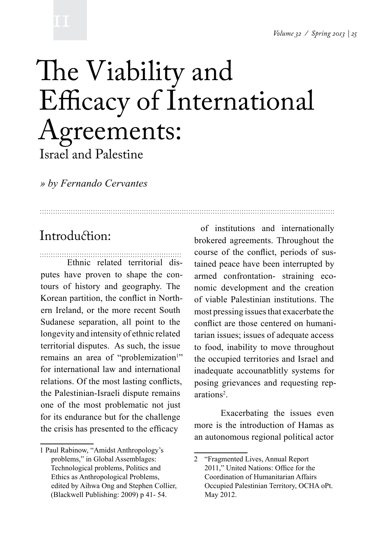### The Viability and Efficacy of International Agreements: Israel and Palestine

*» by Fernando Cervantes*

### Introduction:

. . . . . . . . . . . . . . Ethnic related territorial disputes have proven to shape the contours of history and geography. The Korean partition, the conflict in Northern Ireland, or the more recent South Sudanese separation, all point to the longevity and intensity of ethnic related territorial disputes. As such, the issue remains an area of "problemization<sup>1</sup>" for international law and international relations. Of the most lasting conflicts, the Palestinian-Israeli dispute remains one of the most problematic not just for its endurance but for the challenge the crisis has presented to the efficacy

 of institutions and internationally brokered agreements. Throughout the course of the conflict, periods of sustained peace have been interrupted by armed confrontation- straining economic development and the creation of viable Palestinian institutions. The most pressing issues that exacerbate the conflict are those centered on humanitarian issues; issues of adequate access to food, inability to move throughout the occupied territories and Israel and inadequate accounatblitly systems for posing grievances and requesting reparations<sup>2</sup>.

Exacerbating the issues even more is the introduction of Hamas as an autonomous regional political actor

<sup>1</sup> Paul Rabinow, "Amidst Anthropology's problems," in Global Assemblages: Technological problems, Politics and Ethics as Anthropological Problems, edited by Aihwa Ong and Stephen Collier, (Blackwell Publishing: 2009) p 41- 54.

<sup>2</sup> "Fragmented Lives, Annual Report 2011," United Nations: Office for the Coordination of Humanitarian Affairs Occupied Palestinian Territory, OCHA oPt. May 2012.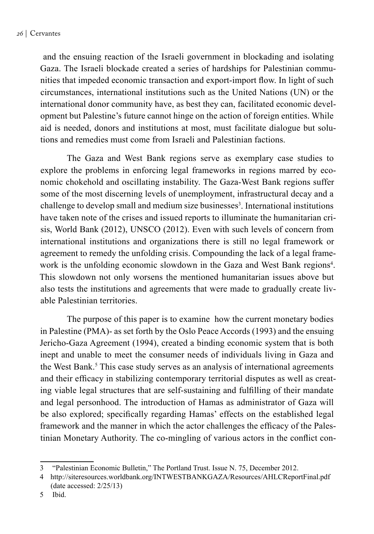and the ensuing reaction of the Israeli government in blockading and isolating Gaza. The Israeli blockade created a series of hardships for Palestinian communities that impeded economic transaction and export-import flow. In light of such circumstances, international institutions such as the United Nations (UN) or the international donor community have, as best they can, facilitated economic development but Palestine's future cannot hinge on the action of foreign entities. While aid is needed, donors and institutions at most, must facilitate dialogue but solutions and remedies must come from Israeli and Palestinian factions.

The Gaza and West Bank regions serve as exemplary case studies to explore the problems in enforcing legal frameworks in regions marred by economic chokehold and oscillating instability. The Gaza-West Bank regions suffer some of the most discerning levels of unemployment, infrastructural decay and a challenge to develop small and medium size businesses<sup>3</sup>. International institutions have taken note of the crises and issued reports to illuminate the humanitarian crisis, World Bank (2012), UNSCO (2012). Even with such levels of concern from international institutions and organizations there is still no legal framework or agreement to remedy the unfolding crisis. Compounding the lack of a legal framework is the unfolding economic slowdown in the Gaza and West Bank regions<sup>4</sup>. This slowdown not only worsens the mentioned humanitarian issues above but also tests the institutions and agreements that were made to gradually create livable Palestinian territories.

The purpose of this paper is to examine how the current monetary bodies in Palestine (PMA)- as set forth by the Oslo Peace Accords (1993) and the ensuing Jericho-Gaza Agreement (1994), created a binding economic system that is both inept and unable to meet the consumer needs of individuals living in Gaza and the West Bank.<sup>5</sup> This case study serves as an analysis of international agreements and their efficacy in stabilizing contemporary territorial disputes as well as creating viable legal structures that are self-sustaining and fulfilling of their mandate and legal personhood. The introduction of Hamas as administrator of Gaza will be also explored; specifically regarding Hamas' effects on the established legal framework and the manner in which the actor challenges the efficacy of the Palestinian Monetary Authority. The co-mingling of various actors in the conflict con-

<sup>3 &</sup>quot;Palestinian Economic Bulletin," The Portland Trust. Issue N. 75, December 2012.

<sup>4</sup> http://siteresources.worldbank.org/INTWESTBANKGAZA/Resources/AHLCReportFinal.pdf (date accessed: 2/25/13)

<sup>5</sup> Ibid.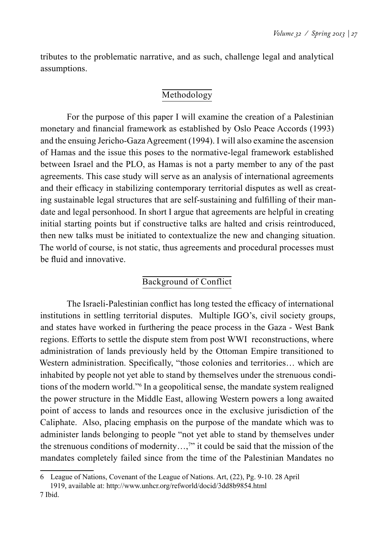tributes to the problematic narrative, and as such, challenge legal and analytical assumptions.

#### Methodology

For the purpose of this paper I will examine the creation of a Palestinian monetary and financial framework as established by Oslo Peace Accords (1993) and the ensuing Jericho-Gaza Agreement (1994). I will also examine the ascension of Hamas and the issue this poses to the normative-legal framework established between Israel and the PLO, as Hamas is not a party member to any of the past agreements. This case study will serve as an analysis of international agreements and their efficacy in stabilizing contemporary territorial disputes as well as creating sustainable legal structures that are self-sustaining and fulfilling of their mandate and legal personhood. In short I argue that agreements are helpful in creating initial starting points but if constructive talks are halted and crisis reintroduced, then new talks must be initiated to contextualize the new and changing situation. The world of course, is not static, thus agreements and procedural processes must be fluid and innovative.

#### Background of Conflict

The Israeli-Palestinian conflict has long tested the efficacy of international institutions in settling territorial disputes. Multiple IGO's, civil society groups, and states have worked in furthering the peace process in the Gaza - West Bank regions. Efforts to settle the dispute stem from post WWI reconstructions, where administration of lands previously held by the Ottoman Empire transitioned to Western administration. Specifically, "those colonies and territories… which are inhabited by people not yet able to stand by themselves under the strenuous conditions of the modern world."6 In a geopolitical sense, the mandate system realigned the power structure in the Middle East, allowing Western powers a long awaited point of access to lands and resources once in the exclusive jurisdiction of the Caliphate. Also, placing emphasis on the purpose of the mandate which was to administer lands belonging to people "not yet able to stand by themselves under the strenuous conditions of modernity…,7 " it could be said that the mission of the mandates completely failed since from the time of the Palestinian Mandates no

<sup>6</sup> League of Nations, Covenant of the League of Nations. Art, (22), Pg. 9-10. 28 April 1919, available at: http://www.unhcr.org/refworld/docid/3dd8b9854.html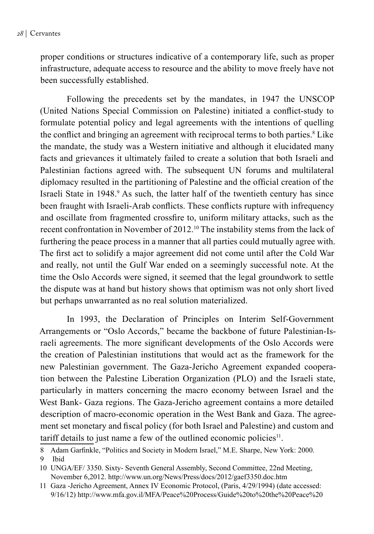proper conditions or structures indicative of a contemporary life, such as proper infrastructure, adequate access to resource and the ability to move freely have not been successfully established.

Following the precedents set by the mandates, in 1947 the UNSCOP (United Nations Special Commission on Palestine) initiated a conflict-study to formulate potential policy and legal agreements with the intentions of quelling the conflict and bringing an agreement with reciprocal terms to both parties.<sup>8</sup> Like the mandate, the study was a Western initiative and although it elucidated many facts and grievances it ultimately failed to create a solution that both Israeli and Palestinian factions agreed with. The subsequent UN forums and multilateral diplomacy resulted in the partitioning of Palestine and the official creation of the Israeli State in 1948.<sup>9</sup> As such, the latter half of the twentieth century has since been fraught with Israeli-Arab conflicts. These conflicts rupture with infrequency and oscillate from fragmented crossfire to, uniform military attacks, such as the recent confrontation in November of 2012.10 The instability stems from the lack of furthering the peace process in a manner that all parties could mutually agree with. The first act to solidify a major agreement did not come until after the Cold War and really, not until the Gulf War ended on a seemingly successful note. At the time the Oslo Accords were signed, it seemed that the legal groundwork to settle the dispute was at hand but history shows that optimism was not only short lived but perhaps unwarranted as no real solution materialized.

In 1993, the Declaration of Principles on Interim Self-Government Arrangements or "Oslo Accords," became the backbone of future Palestinian-Israeli agreements. The more significant developments of the Oslo Accords were the creation of Palestinian institutions that would act as the framework for the new Palestinian government. The Gaza-Jericho Agreement expanded cooperation between the Palestine Liberation Organization (PLO) and the Israeli state, particularly in matters concerning the macro economy between Israel and the West Bank- Gaza regions. The Gaza-Jericho agreement contains a more detailed description of macro-economic operation in the West Bank and Gaza. The agreement set monetary and fiscal policy (for both Israel and Palestine) and custom and tariff details to just name a few of the outlined economic policies $11$ .

<sup>8</sup> Adam Garfinkle, "Politics and Society in Modern Israel," M.E. Sharpe, New York: 2000.

<sup>9</sup> Ibid

<sup>10</sup> UNGA/EF/ 3350. Sixty- Seventh General Assembly, Second Committee, 22nd Meeting, November 6,2012. http://www.un.org/News/Press/docs/2012/gaef3350.doc.htm

<sup>11</sup> Gaza -Jericho Agreement, Annex IV Economic Protocol, (Paris, 4/29/1994) (date accessed: 9/16/12) [http://www.mfa.gov.il/MFA/Peace%20Process/Guide%20to%20the%20Peace%20](http://www.mfa.gov.il/MFA/Peace%20Process/Guide%20to%20the%20Peace%20Process/Gaza-Jericho%20Agreement%20Annex%20IV%20-%20Economic%20Protoco)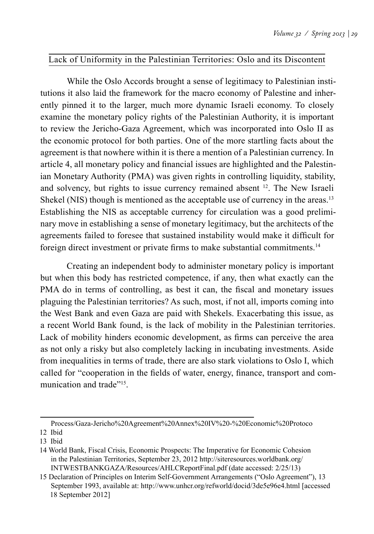#### Lack of Uniformity in the Palestinian Territories: Oslo and its Discontent

While the Oslo Accords brought a sense of legitimacy to Palestinian institutions it also laid the framework for the macro economy of Palestine and inherently pinned it to the larger, much more dynamic Israeli economy. To closely examine the monetary policy rights of the Palestinian Authority, it is important to review the Jericho-Gaza Agreement, which was incorporated into Oslo II as the economic protocol for both parties. One of the more startling facts about the agreement is that nowhere within it is there a mention of a Palestinian currency. In article 4, all monetary policy and financial issues are highlighted and the Palestinian Monetary Authority (PMA) was given rights in controlling liquidity, stability, and solvency, but rights to issue currency remained absent 12. The New Israeli Shekel (NIS) though is mentioned as the acceptable use of currency in the areas.<sup>13</sup> Establishing the NIS as acceptable currency for circulation was a good preliminary move in establishing a sense of monetary legitimacy, but the architects of the agreements failed to foresee that sustained instability would make it difficult for foreign direct investment or private firms to make substantial commitments.<sup>14</sup>

Creating an independent body to administer monetary policy is important but when this body has restricted competence, if any, then what exactly can the PMA do in terms of controlling, as best it can, the fiscal and monetary issues plaguing the Palestinian territories? As such, most, if not all, imports coming into the West Bank and even Gaza are paid with Shekels. Exacerbating this issue, as a recent World Bank found, is the lack of mobility in the Palestinian territories. Lack of mobility hinders economic development, as firms can perceive the area as not only a risky but also completely lacking in incubating investments. Aside from inequalities in terms of trade, there are also stark violations to Oslo I, which called for "cooperation in the fields of water, energy, finance, transport and communication and trade"<sup>15</sup>.

[Process/Gaza-Jericho%20Agreement%20Annex%20IV%20-%20Economic%20Protoco](http://www.mfa.gov.il/MFA/Peace%20Process/Guide%20to%20the%20Peace%20Process/Gaza-Jericho%20Agreement%20Annex%20IV%20-%20Economic%20Protoco) 12 Ibid

<sup>13</sup> Ibid

<sup>14</sup> World Bank, Fiscal Crisis, Economic Prospects: The Imperative for Economic Cohesion in the Palestinian Territories, September 23, 2012 http://siteresources.worldbank.org/ INTWESTBANKGAZA/Resources/AHLCReportFinal.pdf (date accessed: 2/25/13)

<sup>15</sup> Declaration of Principles on Interim Self-Government Arrangements ("Oslo Agreement"), 13 September 1993, available at: http://www.unhcr.org/refworld/docid/3de5e96e4.html [accessed 18 September 2012]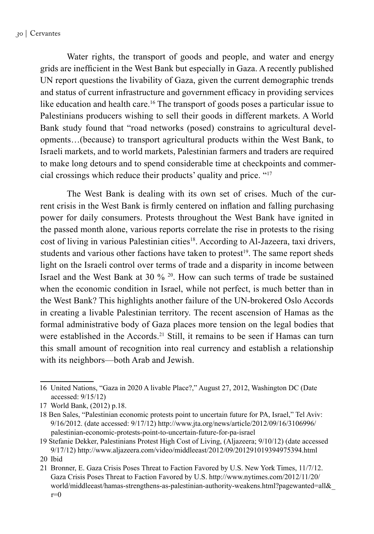Water rights, the transport of goods and people, and water and energy grids are inefficient in the West Bank but especially in Gaza. A recently published UN report questions the livability of Gaza, given the current demographic trends and status of current infrastructure and government efficacy in providing services like education and health care.<sup>16</sup> The transport of goods poses a particular issue to Palestinians producers wishing to sell their goods in different markets. A World Bank study found that "road networks (posed) constrains to agricultural developments…(because) to transport agricultural products within the West Bank, to Israeli markets, and to world markets, Palestinian farmers and traders are required to make long detours and to spend considerable time at checkpoints and commercial crossings which reduce their products' quality and price. "17

The West Bank is dealing with its own set of crises. Much of the current crisis in the West Bank is firmly centered on inflation and falling purchasing power for daily consumers. Protests throughout the West Bank have ignited in the passed month alone, various reports correlate the rise in protests to the rising cost of living in various Palestinian cities<sup>18</sup>. According to Al-Jazeera, taxi drivers, students and various other factions have taken to protest<sup>19</sup>. The same report sheds light on the Israeli control over terms of trade and a disparity in income between Israel and the West Bank at 30 % 20. How can such terms of trade be sustained when the economic condition in Israel, while not perfect, is much better than in the West Bank? This highlights another failure of the UN-brokered Oslo Accords in creating a livable Palestinian territory. The recent ascension of Hamas as the formal administrative body of Gaza places more tension on the legal bodies that were established in the Accords.<sup>21</sup> Still, it remains to be seen if Hamas can turn this small amount of recognition into real currency and establish a relationship with its neighbors—both Arab and Jewish.

<sup>16</sup> United Nations, "Gaza in 2020 A livable Place?," August 27, 2012, Washington DC (Date accessed: 9/15/12)

<sup>17</sup> World Bank, (2012) p.18.

<sup>18</sup> Ben Sales, "Palestinian economic protests point to uncertain future for PA, Israel," Tel Aviv: 9/16/2012. (date accessed: 9/17/12) [http://www.jta.org/news/article/2012/09/16/3106996/](http://www.jta.org/news/article/2012/09/16/3106996/palestinian-economic-protests-point-to-uncertain-future-for-pa-israel) [palestinian-economic-protests-point-to-uncertain-future-for-pa-israel](http://www.jta.org/news/article/2012/09/16/3106996/palestinian-economic-protests-point-to-uncertain-future-for-pa-israel) 

<sup>19</sup> Stefanie Dekker, Palestinians Protest High Cost of Living, (Aljazeera; 9/10/12) (date accessed 9/17/12) http://www.aljazeera.com/video/middleeast/2012/09/201291019394975394.html

<sup>20</sup> Ibid

<sup>21</sup> Bronner, E. Gaza Crisis Poses Threat to Faction Favored by U.S. New York Times, 11/7/12. Gaza Crisis Poses Threat to Faction Favored by U.S. http://www.nytimes.com/2012/11/20/ world/middleeast/hamas-strengthens-as-palestinian-authority-weakens.html?pagewanted=all&\_  $r=0$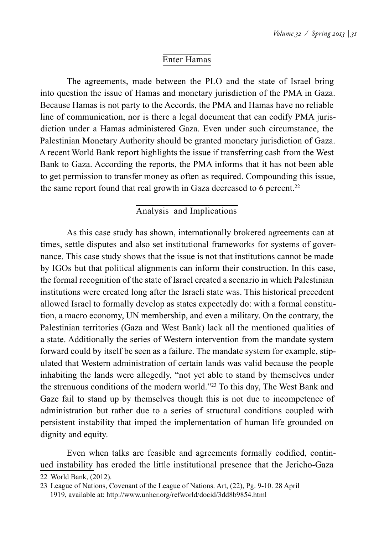#### Enter Hamas

The agreements, made between the PLO and the state of Israel bring into question the issue of Hamas and monetary jurisdiction of the PMA in Gaza. Because Hamas is not party to the Accords, the PMA and Hamas have no reliable line of communication, nor is there a legal document that can codify PMA jurisdiction under a Hamas administered Gaza. Even under such circumstance, the Palestinian Monetary Authority should be granted monetary jurisdiction of Gaza. A recent World Bank report highlights the issue if transferring cash from the West Bank to Gaza. According the reports, the PMA informs that it has not been able to get permission to transfer money as often as required. Compounding this issue, the same report found that real growth in Gaza decreased to 6 percent.<sup>22</sup>

#### Analysis and Implications

As this case study has shown, internationally brokered agreements can at times, settle disputes and also set institutional frameworks for systems of governance. This case study shows that the issue is not that institutions cannot be made by IGOs but that political alignments can inform their construction. In this case, the formal recognition of the state of Israel created a scenario in which Palestinian institutions were created long after the Israeli state was. This historical precedent allowed Israel to formally develop as states expectedly do: with a formal constitution, a macro economy, UN membership, and even a military. On the contrary, the Palestinian territories (Gaza and West Bank) lack all the mentioned qualities of a state. Additionally the series of Western intervention from the mandate system forward could by itself be seen as a failure. The mandate system for example, stipulated that Western administration of certain lands was valid because the people inhabiting the lands were allegedly, "not yet able to stand by themselves under the strenuous conditions of the modern world."23 To this day, The West Bank and Gaze fail to stand up by themselves though this is not due to incompetence of administration but rather due to a series of structural conditions coupled with persistent instability that imped the implementation of human life grounded on dignity and equity.

Even when talks are feasible and agreements formally codified, continued instability has eroded the little institutional presence that the Jericho-Gaza

22 World Bank, (2012).

<sup>23</sup> League of Nations, Covenant of the League of Nations. Art, (22), Pg. 9-10. 28 April 1919, available at: http://www.unhcr.org/refworld/docid/3dd8b9854.html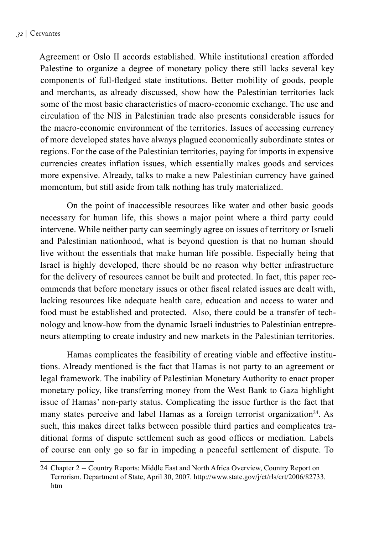Agreement or Oslo II accords established. While institutional creation afforded Palestine to organize a degree of monetary policy there still lacks several key components of full-fledged state institutions. Better mobility of goods, people and merchants, as already discussed, show how the Palestinian territories lack some of the most basic characteristics of macro-economic exchange. The use and circulation of the NIS in Palestinian trade also presents considerable issues for the macro-economic environment of the territories. Issues of accessing currency of more developed states have always plagued economically subordinate states or regions. For the case of the Palestinian territories, paying for imports in expensive currencies creates inflation issues, which essentially makes goods and services more expensive. Already, talks to make a new Palestinian currency have gained momentum, but still aside from talk nothing has truly materialized.

On the point of inaccessible resources like water and other basic goods necessary for human life, this shows a major point where a third party could intervene. While neither party can seemingly agree on issues of territory or Israeli and Palestinian nationhood, what is beyond question is that no human should live without the essentials that make human life possible. Especially being that Israel is highly developed, there should be no reason why better infrastructure for the delivery of resources cannot be built and protected. In fact, this paper recommends that before monetary issues or other fiscal related issues are dealt with, lacking resources like adequate health care, education and access to water and food must be established and protected. Also, there could be a transfer of technology and know-how from the dynamic Israeli industries to Palestinian entrepreneurs attempting to create industry and new markets in the Palestinian territories.

Hamas complicates the feasibility of creating viable and effective institutions. Already mentioned is the fact that Hamas is not party to an agreement or legal framework. The inability of Palestinian Monetary Authority to enact proper monetary policy, like transferring money from the West Bank to Gaza highlight issue of Hamas' non-party status. Complicating the issue further is the fact that many states perceive and label Hamas as a foreign terrorist organization<sup>24</sup>. As such, this makes direct talks between possible third parties and complicates traditional forms of dispute settlement such as good offices or mediation. Labels of course can only go so far in impeding a peaceful settlement of dispute. To

<sup>24</sup> Chapter 2 -- Country Reports: Middle East and North Africa Overview, Country Report on Terrorism. Department of State, April 30, 2007. [http://www.state.gov/j/ct/rls/crt/2006/82733.](http://www.state.gov/j/ct/rls/crt/2006/82733.htm) [htm](http://www.state.gov/j/ct/rls/crt/2006/82733.htm)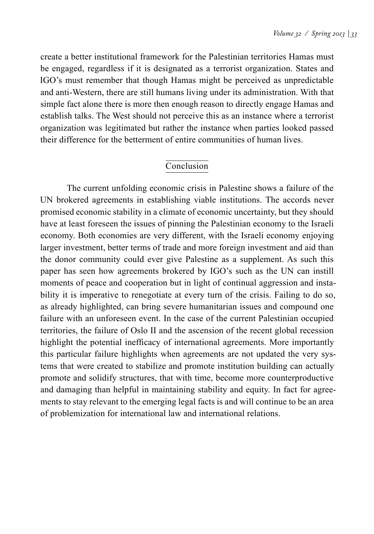create a better institutional framework for the Palestinian territories Hamas must be engaged, regardless if it is designated as a terrorist organization. States and IGO's must remember that though Hamas might be perceived as unpredictable and anti-Western, there are still humans living under its administration. With that simple fact alone there is more then enough reason to directly engage Hamas and establish talks. The West should not perceive this as an instance where a terrorist organization was legitimated but rather the instance when parties looked passed their difference for the betterment of entire communities of human lives.

#### Conclusion

The current unfolding economic crisis in Palestine shows a failure of the UN brokered agreements in establishing viable institutions. The accords never promised economic stability in a climate of economic uncertainty, but they should have at least foreseen the issues of pinning the Palestinian economy to the Israeli economy. Both economies are very different, with the Israeli economy enjoying larger investment, better terms of trade and more foreign investment and aid than the donor community could ever give Palestine as a supplement. As such this paper has seen how agreements brokered by IGO's such as the UN can instill moments of peace and cooperation but in light of continual aggression and instability it is imperative to renegotiate at every turn of the crisis. Failing to do so, as already highlighted, can bring severe humanitarian issues and compound one failure with an unforeseen event. In the case of the current Palestinian occupied territories, the failure of Oslo II and the ascension of the recent global recession highlight the potential inefficacy of international agreements. More importantly this particular failure highlights when agreements are not updated the very systems that were created to stabilize and promote institution building can actually promote and solidify structures, that with time, become more counterproductive and damaging than helpful in maintaining stability and equity. In fact for agreements to stay relevant to the emerging legal facts is and will continue to be an area of problemization for international law and international relations.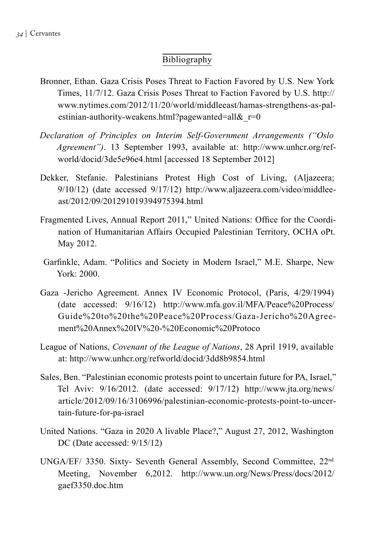#### Bibliography

- Bronner, Ethan. Gaza Crisis Poses Threat to Faction Favored by U.S. New York Times, 11/7/12. Gaza Crisis Poses Threat to Faction Favored by U.S. http:// www.nytimes.com/2012/11/20/world/middleeast/hamas-strengthens-as-palestinian-authority-weakens.html?pagewanted=all $\&$ r=0
- *Declaration of Principles on Interim Self-Government Arrangements ("Oslo Agreement")*. 13 September 1993, available at: http://www.unhcr.org/refworld/docid/3de5e96e4.html [accessed 18 September 2012]
- Dekker, Stefanie. Palestinians Protest High Cost of Living, (Aljazeera; 9/10/12) (date accessed 9/17/12) [http://www.aljazeera.com/video/middlee](http://www.aljazeera.com/video/middleeast/2012/09/201291019394975394.html)[ast/2012/09/201291019394975394.html](http://www.aljazeera.com/video/middleeast/2012/09/201291019394975394.html)
- Fragmented Lives, Annual Report 2011," United Nations: Office for the Coordination of Humanitarian Affairs Occupied Palestinian Territory, OCHA oPt. May 2012.
- Garfinkle, Adam. "Politics and Society in Modern Israel," M.E. Sharpe, New York: 2000.
- Gaza -Jericho Agreement. Annex IV Economic Protocol, (Paris, 4/29/1994) (date accessed: 9/16/12) [http://www.mfa.gov.il/MFA/Peace%20Process/](http://www.mfa.gov.il/MFA/Peace%20Process/Guide%20to%20the%20Peace%20Process/Gaza-Jericho%20Agreement%20Annex%20IV%20-%20Economic%20Protoco) [Guide%20to%20the%20Peace%20Process/Gaza-Jericho%20Agree](http://www.mfa.gov.il/MFA/Peace%20Process/Guide%20to%20the%20Peace%20Process/Gaza-Jericho%20Agreement%20Annex%20IV%20-%20Economic%20Protoco)[ment%20Annex%20IV%20-%20Economic%20Protoco](http://www.mfa.gov.il/MFA/Peace%20Process/Guide%20to%20the%20Peace%20Process/Gaza-Jericho%20Agreement%20Annex%20IV%20-%20Economic%20Protoco)
- League of Nations, *Covenant of the League of Nations*, 28 April 1919, available at: <http://www.unhcr.org/refworld/docid/3dd8b9854.html>
- Sales, Ben. "Palestinian economic protests point to uncertain future for PA, Israel," Tel Aviv: 9/16/2012. (date accessed: 9/17/12) [http://www.jta.org/news/](http://www.jta.org/news/article/2012/09/16/3106996/palestinian-economic-protests-point-to-uncertain-future-for-pa-israel) [article/2012/09/16/3106996/palestinian-economic-protests-point-to-uncer](http://www.jta.org/news/article/2012/09/16/3106996/palestinian-economic-protests-point-to-uncertain-future-for-pa-israel)[tain-future-for-pa-israel](http://www.jta.org/news/article/2012/09/16/3106996/palestinian-economic-protests-point-to-uncertain-future-for-pa-israel)
- United Nations. "Gaza in 2020 A livable Place?," August 27, 2012, Washington DC (Date accessed:  $9/15/12$ )
- UNGA/EF/ 3350. Sixty- Seventh General Assembly, Second Committee, 22nd Meeting, November 6,2012. [http://www.un.org/News/Press/docs/2012/](http://www.un.org/News/Press/docs/2012/gaef3350.doc.htm) [gaef3350.doc.htm](http://www.un.org/News/Press/docs/2012/gaef3350.doc.htm)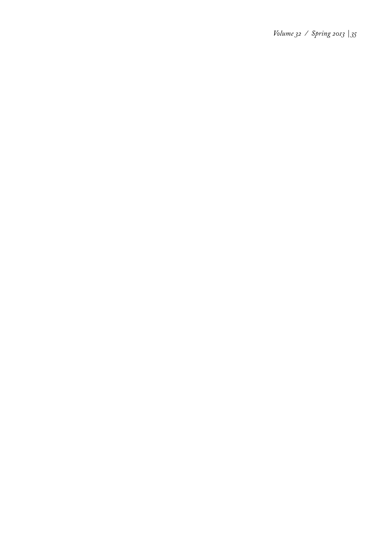*Volume 32 / Spring 2013 | 35*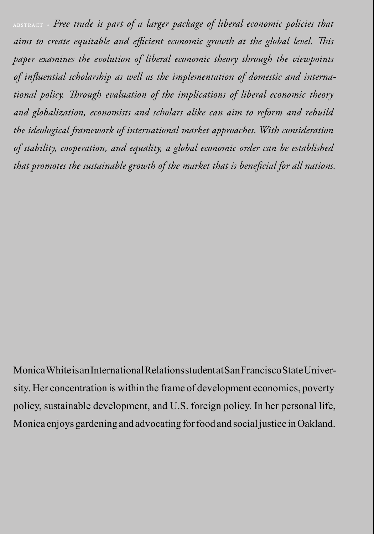abstract » *Free trade is part of a larger package of liberal economic policies that aims to create equitable and efficient economic growth at the global level. This paper examines the evolution of liberal economic theory through the viewpoints of influential scholarship as well as the implementation of domestic and international policy. Through evaluation of the implications of liberal economic theory and globalization, economists and scholars alike can aim to reform and rebuild the ideological framework of international market approaches. With consideration of stability, cooperation, and equality, a global economic order can be established that promotes the sustainable growth of the market that is beneficial for all nations.*

Monica White is an International Relations student at San Francisco State University. Her concentration is within the frame of development economics, poverty policy, sustainable development, and U.S. foreign policy. In her personal life, Monica enjoys gardening and advocating for food and social justice in Oakland.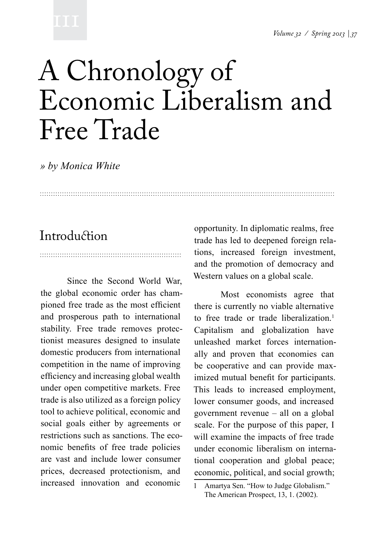*Volume 32 / Spring 2013 | 37*

# A Chronology of

## Economic Liberalism and Free Trade

*» by Monica White*

Introduction

Since the Second World War, the global economic order has championed free trade as the most efficient and prosperous path to international stability. Free trade removes protectionist measures designed to insulate domestic producers from international competition in the name of improving efficiency and increasing global wealth under open competitive markets. Free trade is also utilized as a foreign policy tool to achieve political, economic and social goals either by agreements or restrictions such as sanctions. The economic benefits of free trade policies are vast and include lower consumer prices, decreased protectionism, and increased innovation and economic

opportunity. In diplomatic realms, free trade has led to deepened foreign relations, increased foreign investment, and the promotion of democracy and Western values on a global scale.

Most economists agree that there is currently no viable alternative to free trade or trade liberalization.<sup>1</sup> Capitalism and globalization have unleashed market forces internationally and proven that economies can be cooperative and can provide maximized mutual benefit for participants. This leads to increased employment, lower consumer goods, and increased government revenue – all on a global scale. For the purpose of this paper, I will examine the impacts of free trade under economic liberalism on international cooperation and global peace; economic, political, and social growth;

<sup>1</sup> Amartya Sen. "How to Judge Globalism." The American Prospect, 13, 1. (2002).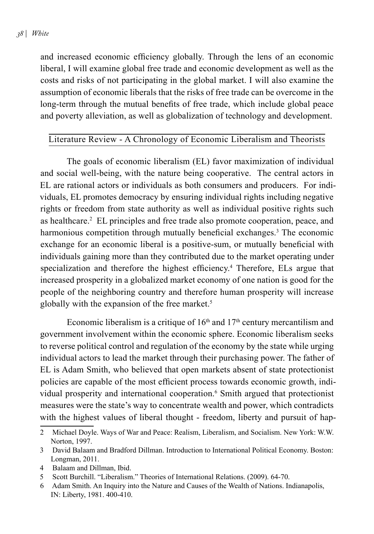and increased economic efficiency globally. Through the lens of an economic liberal, I will examine global free trade and economic development as well as the costs and risks of not participating in the global market. I will also examine the assumption of economic liberals that the risks of free trade can be overcome in the long-term through the mutual benefits of free trade, which include global peace and poverty alleviation, as well as globalization of technology and development.

#### Literature Review - A Chronology of Economic Liberalism and Theorists

The goals of economic liberalism (EL) favor maximization of individual and social well-being, with the nature being cooperative. The central actors in EL are rational actors or individuals as both consumers and producers. For individuals, EL promotes democracy by ensuring individual rights including negative rights or freedom from state authority as well as individual positive rights such as healthcare.<sup>2</sup> EL principles and free trade also promote cooperation, peace, and harmonious competition through mutually beneficial exchanges.<sup>3</sup> The economic exchange for an economic liberal is a positive-sum, or mutually beneficial with individuals gaining more than they contributed due to the market operating under specialization and therefore the highest efficiency.<sup>4</sup> Therefore, ELs argue that increased prosperity in a globalized market economy of one nation is good for the people of the neighboring country and therefore human prosperity will increase globally with the expansion of the free market.<sup>5</sup>

Economic liberalism is a critique of  $16<sup>th</sup>$  and  $17<sup>th</sup>$  century mercantilism and government involvement within the economic sphere. Economic liberalism seeks to reverse political control and regulation of the economy by the state while urging individual actors to lead the market through their purchasing power. The father of EL is Adam Smith, who believed that open markets absent of state protectionist policies are capable of the most efficient process towards economic growth, individual prosperity and international cooperation.<sup>6</sup> Smith argued that protectionist measures were the state's way to concentrate wealth and power, which contradicts with the highest values of liberal thought - freedom, liberty and pursuit of hap-

4 Balaam and Dillman, Ibid.

<sup>2</sup> Michael Doyle. Ways of War and Peace: Realism, Liberalism, and Socialism. New York: W.W. Norton, 1997.

<sup>3</sup> David Balaam and Bradford Dillman. Introduction to International Political Economy. Boston: Longman, 2011.

<sup>5</sup> Scott Burchill. "Liberalism." Theories of International Relations. (2009). 64-70.

<sup>6</sup> Adam Smith. An Inquiry into the Nature and Causes of the Wealth of Nations. Indianapolis, IN: Liberty, 1981. 400-410.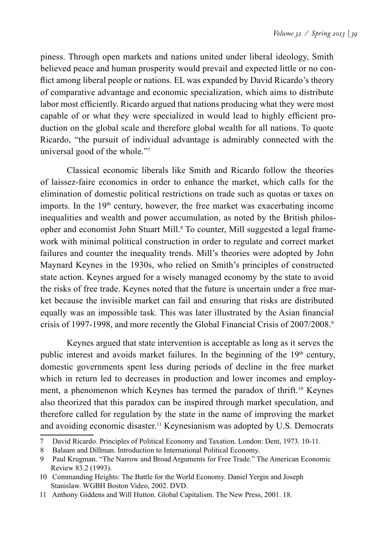piness. Through open markets and nations united under liberal ideology, Smith believed peace and human prosperity would prevail and expected little or no conflict among liberal people or nations. EL was expanded by David Ricardo's theory of comparative advantage and economic specialization, which aims to distribute labor most efficiently. Ricardo argued that nations producing what they were most capable of or what they were specialized in would lead to highly efficient production on the global scale and therefore global wealth for all nations. To quote Ricardo, "the pursuit of individual advantage is admirably connected with the universal good of the whole."7

Classical economic liberals like Smith and Ricardo follow the theories of laissez-faire economics in order to enhance the market, which calls for the elimination of domestic political restrictions on trade such as quotas or taxes on imports. In the 19<sup>th</sup> century, however, the free market was exacerbating income inequalities and wealth and power accumulation, as noted by the British philosopher and economist John Stuart Mill.<sup>8</sup> To counter, Mill suggested a legal framework with minimal political construction in order to regulate and correct market failures and counter the inequality trends. Mill's theories were adopted by John Maynard Keynes in the 1930s, who relied on Smith's principles of constructed state action. Keynes argued for a wisely managed economy by the state to avoid the risks of free trade. Keynes noted that the future is uncertain under a free market because the invisible market can fail and ensuring that risks are distributed equally was an impossible task. This was later illustrated by the Asian financial crisis of 1997-1998, and more recently the Global Financial Crisis of 2007/2008.<sup>9</sup>

Keynes argued that state intervention is acceptable as long as it serves the public interest and avoids market failures. In the beginning of the 19<sup>th</sup> century, domestic governments spent less during periods of decline in the free market which in return led to decreases in production and lower incomes and employment, a phenomenon which Keynes has termed the paradox of thrift.<sup>10</sup> Keynes also theorized that this paradox can be inspired through market speculation, and therefore called for regulation by the state in the name of improving the market and avoiding economic disaster.<sup>11</sup> Keynesianism was adopted by U.S. Democrats

<sup>7</sup> David Ricardo. Principles of Political Economy and Taxation. London: Dent, 1973. 10-11.

<sup>8</sup> Balaam and Dillman. Introduction to International Political Economy.

<sup>9</sup> Paul Krugman. "The Narrow and Broad Arguments for Free Trade." The American Economic Review 83.2 (1993).

<sup>10</sup> Commanding Heights: The Battle for the World Economy. Daniel Yergin and Joseph Stanislaw. WGBH Boston Video, 2002. DVD.

<sup>11</sup> Anthony Giddens and Will Hutton. Global Capitalism. The New Press, 2001. 18.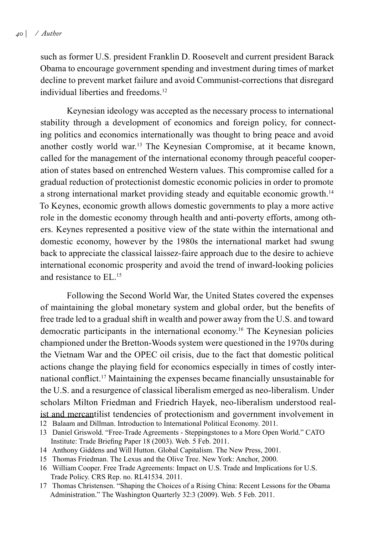such as former U.S. president Franklin D. Roosevelt and current president Barack Obama to encourage government spending and investment during times of market decline to prevent market failure and avoid Communist-corrections that disregard individual liberties and freedoms.<sup>12</sup>

Keynesian ideology was accepted as the necessary process to international stability through a development of economics and foreign policy, for connecting politics and economics internationally was thought to bring peace and avoid another costly world war.13 The Keynesian Compromise, at it became known, called for the management of the international economy through peaceful cooperation of states based on entrenched Western values. This compromise called for a gradual reduction of protectionist domestic economic policies in order to promote a strong international market providing steady and equitable economic growth.14 To Keynes, economic growth allows domestic governments to play a more active role in the domestic economy through health and anti-poverty efforts, among others. Keynes represented a positive view of the state within the international and domestic economy, however by the 1980s the international market had swung back to appreciate the classical laissez-faire approach due to the desire to achieve international economic prosperity and avoid the trend of inward-looking policies and resistance to EL. 15

Following the Second World War, the United States covered the expenses of maintaining the global monetary system and global order, but the benefits of free trade led to a gradual shift in wealth and power away from the U.S. and toward democratic participants in the international economy.16 The Keynesian policies championed under the Bretton-Woods system were questioned in the 1970s during the Vietnam War and the OPEC oil crisis, due to the fact that domestic political actions change the playing field for economics especially in times of costly international conflict.<sup>17</sup> Maintaining the expenses became financially unsustainable for the U.S. and a resurgence of classical liberalism emerged as neo-liberalism. Under scholars Milton Friedman and Friedrich Hayek, neo-liberalism understood realist and mercantilist tendencies of protectionism and government involvement in

- 12 Balaam and Dillman. Introduction to International Political Economy. 2011.
- 13 Daniel Griswold. "Free-Trade Agreements Steppingstones to a More Open World." CATO Institute: Trade Briefing Paper 18 (2003). Web. 5 Feb. 2011.
- 14 Anthony Giddens and Will Hutton. Global Capitalism. The New Press, 2001.
- 15 Thomas Friedman. The Lexus and the Olive Tree. New York: Anchor, 2000.
- 16 William Cooper. Free Trade Agreements: Impact on U.S. Trade and Implications for U.S. Trade Policy. CRS Rep. no. RL41534. 2011.
- 17 Thomas Christensen. "Shaping the Choices of a Rising China: Recent Lessons for the Obama Administration." The Washington Quarterly 32:3 (2009). Web. 5 Feb. 2011.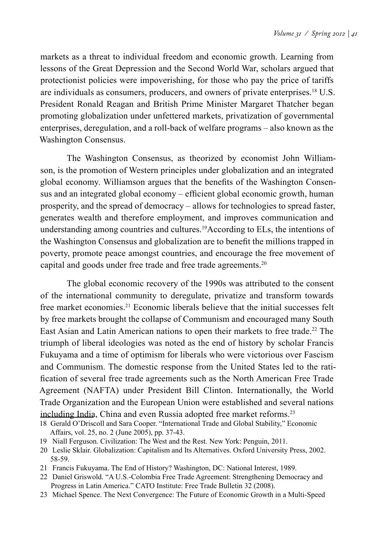markets as a threat to individual freedom and economic growth. Learning from lessons of the Great Depression and the Second World War, scholars argued that protectionist policies were impoverishing, for those who pay the price of tariffs are individuals as consumers, producers, and owners of private enterprises.18 U.S. President Ronald Reagan and British Prime Minister Margaret Thatcher began promoting globalization under unfettered markets, privatization of governmental enterprises, deregulation, and a roll-back of welfare programs – also known as the Washington Consensus.

The Washington Consensus, as theorized by economist John Williamson, is the promotion of Western principles under globalization and an integrated global economy. Williamson argues that the benefits of the Washington Consensus and an integrated global economy – efficient global economic growth, human prosperity, and the spread of democracy – allows for technologies to spread faster, generates wealth and therefore employment, and improves communication and understanding among countries and cultures.<sup>19</sup>According to ELs, the intentions of the Washington Consensus and globalization are to benefit the millions trapped in poverty, promote peace amongst countries, and encourage the free movement of capital and goods under free trade and free trade agreements.20

The global economic recovery of the 1990s was attributed to the consent of the international community to deregulate, privatize and transform towards free market economies.21 Economic liberals believe that the initial successes felt by free markets brought the collapse of Communism and encouraged many South East Asian and Latin American nations to open their markets to free trade.<sup>22</sup> The triumph of liberal ideologies was noted as the end of history by scholar Francis Fukuyama and a time of optimism for liberals who were victorious over Fascism and Communism. The domestic response from the United States led to the ratification of several free trade agreements such as the North American Free Trade Agreement (NAFTA) under President Bill Clinton. Internationally, the World Trade Organization and the European Union were established and several nations including India, China and even Russia adopted free market reforms.<sup>23</sup>

- 19 Niall Ferguson. Civilization: The West and the Rest. New York: Penguin, 2011.
- 20 Leslie Sklair. Globalization: Capitalism and Its Alternatives. Oxford University Press, 2002. 58-59.
- 21 Francis Fukuyama. The End of History? Washington, DC: National Interest, 1989.
- 22 Daniel Griswold. "A U.S.-Colombia Free Trade Agreement: Strengthening Democracy and Progress in Latin America." CATO Institute: Free Trade Bulletin 32 (2008).
- 23 Michael Spence. The Next Convergence: The Future of Economic Growth in a Multi-Speed

<sup>18</sup> Gerald O'Driscoll and Sara Cooper. "International Trade and Global Stability," Economic Affairs, vol. 25, no. 2 (June 2005), pp. 37-43.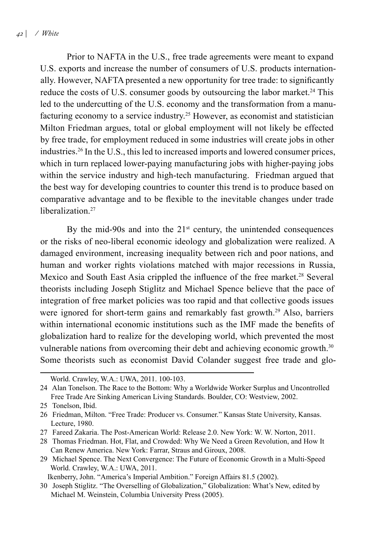Prior to NAFTA in the U.S., free trade agreements were meant to expand U.S. exports and increase the number of consumers of U.S. products internationally. However, NAFTA presented a new opportunity for tree trade: to significantly reduce the costs of U.S. consumer goods by outsourcing the labor market.<sup>24</sup> This led to the undercutting of the U.S. economy and the transformation from a manufacturing economy to a service industry.25 However, as economist and statistician Milton Friedman argues, total or global employment will not likely be effected by free trade, for employment reduced in some industries will create jobs in other industries.26 In the U.S., this led to increased imports and lowered consumer prices, which in turn replaced lower-paying manufacturing jobs with higher-paying jobs within the service industry and high-tech manufacturing. Friedman argued that the best way for developing countries to counter this trend is to produce based on comparative advantage and to be flexible to the inevitable changes under trade liberalization.<sup>27</sup>

By the mid-90s and into the  $21<sup>st</sup>$  century, the unintended consequences or the risks of neo-liberal economic ideology and globalization were realized. A damaged environment, increasing inequality between rich and poor nations, and human and worker rights violations matched with major recessions in Russia, Mexico and South East Asia crippled the influence of the free market.<sup>28</sup> Several theorists including Joseph Stiglitz and Michael Spence believe that the pace of integration of free market policies was too rapid and that collective goods issues were ignored for short-term gains and remarkably fast growth.<sup>29</sup> Also, barriers within international economic institutions such as the IMF made the benefits of globalization hard to realize for the developing world, which prevented the most vulnerable nations from overcoming their debt and achieving economic growth.<sup>30</sup> Some theorists such as economist David Colander suggest free trade and glo-

Ikenberry, John. "America's Imperial Ambition." Foreign Affairs 81.5 (2002).

World. Crawley, W.A.: UWA, 2011. 100-103.

<sup>24</sup> Alan Tonelson. The Race to the Bottom: Why a Worldwide Worker Surplus and Uncontrolled Free Trade Are Sinking American Living Standards. Boulder, CO: Westview, 2002.

<sup>25</sup> Tonelson, Ibid.

<sup>26</sup> Friedman, Milton. "Free Trade: Producer vs. Consumer." Kansas State University, Kansas. Lecture, 1980.

<sup>27</sup> Fareed Zakaria. The Post-American World: Release 2.0. New York: W. W. Norton, 2011.

<sup>28</sup> Thomas Friedman. Hot, Flat, and Crowded: Why We Need a Green Revolution, and How It Can Renew America. New York: Farrar, Straus and Giroux, 2008.

<sup>29</sup> Michael Spence. The Next Convergence: The Future of Economic Growth in a Multi-Speed World. Crawley, W.A.: UWA, 2011.

<sup>30</sup> Joseph Stiglitz. "The Overselling of Globalization," Globalization: What's New, edited by Michael M. Weinstein, Columbia University Press (2005).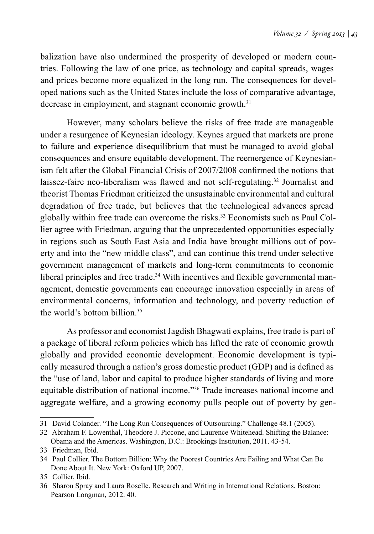balization have also undermined the prosperity of developed or modern countries. Following the law of one price, as technology and capital spreads, wages and prices become more equalized in the long run. The consequences for developed nations such as the United States include the loss of comparative advantage, decrease in employment, and stagnant economic growth.<sup>31</sup>

However, many scholars believe the risks of free trade are manageable under a resurgence of Keynesian ideology. Keynes argued that markets are prone to failure and experience disequilibrium that must be managed to avoid global consequences and ensure equitable development. The reemergence of Keynesianism felt after the Global Financial Crisis of 2007/2008 confirmed the notions that laissez-faire neo-liberalism was flawed and not self-regulating.<sup>32</sup> Journalist and theorist Thomas Friedman criticized the unsustainable environmental and cultural degradation of free trade, but believes that the technological advances spread globally within free trade can overcome the risks.33 Economists such as Paul Collier agree with Friedman, arguing that the unprecedented opportunities especially in regions such as South East Asia and India have brought millions out of poverty and into the "new middle class", and can continue this trend under selective government management of markets and long-term commitments to economic liberal principles and free trade.<sup>34</sup> With incentives and flexible governmental management, domestic governments can encourage innovation especially in areas of environmental concerns, information and technology, and poverty reduction of the world's bottom billion.35

As professor and economist Jagdish Bhagwati explains, free trade is part of a package of liberal reform policies which has lifted the rate of economic growth globally and provided economic development. Economic development is typically measured through a nation's gross domestic product (GDP) and is defined as the "use of land, labor and capital to produce higher standards of living and more equitable distribution of national income."36 Trade increases national income and aggregate welfare, and a growing economy pulls people out of poverty by gen-

<sup>31</sup> David Colander. "The Long Run Consequences of Outsourcing." Challenge 48.1 (2005).

<sup>32</sup> Abraham F. Lowenthal, Theodore J. Piccone, and Laurence Whitehead. Shifting the Balance: Obama and the Americas. Washington, D.C.: Brookings Institution, 2011. 43-54.

<sup>33</sup> Friedman, Ibid.

<sup>34</sup> Paul Collier. The Bottom Billion: Why the Poorest Countries Are Failing and What Can Be Done About It. New York: Oxford UP, 2007.

<sup>35</sup> Collier, Ibid.

<sup>36</sup> Sharon Spray and Laura Roselle. Research and Writing in International Relations. Boston: Pearson Longman, 2012. 40.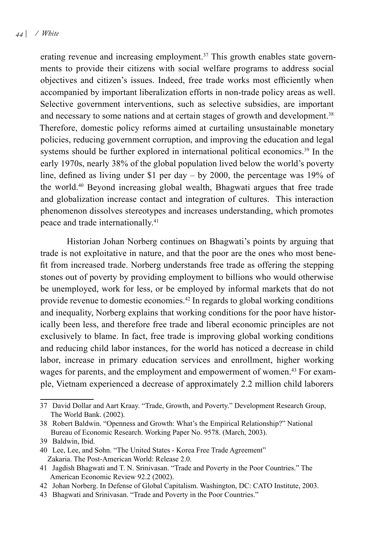erating revenue and increasing employment.37 This growth enables state governments to provide their citizens with social welfare programs to address social objectives and citizen's issues. Indeed, free trade works most efficiently when accompanied by important liberalization efforts in non-trade policy areas as well. Selective government interventions, such as selective subsidies, are important and necessary to some nations and at certain stages of growth and development.<sup>38</sup> Therefore, domestic policy reforms aimed at curtailing unsustainable monetary policies, reducing government corruption, and improving the education and legal systems should be further explored in international political economics.<sup>39</sup> In the early 1970s, nearly 38% of the global population lived below the world's poverty line, defined as living under \$1 per day – by 2000, the percentage was 19% of the world.40 Beyond increasing global wealth, Bhagwati argues that free trade and globalization increase contact and integration of cultures. This interaction phenomenon dissolves stereotypes and increases understanding, which promotes peace and trade internationally.41

Historian Johan Norberg continues on Bhagwati's points by arguing that trade is not exploitative in nature, and that the poor are the ones who most benefit from increased trade. Norberg understands free trade as offering the stepping stones out of poverty by providing employment to billions who would otherwise be unemployed, work for less, or be employed by informal markets that do not provide revenue to domestic economies.42 In regards to global working conditions and inequality, Norberg explains that working conditions for the poor have historically been less, and therefore free trade and liberal economic principles are not exclusively to blame. In fact, free trade is improving global working conditions and reducing child labor instances, for the world has noticed a decrease in child labor, increase in primary education services and enrollment, higher working wages for parents, and the employment and empowerment of women.<sup>43</sup> For example, Vietnam experienced a decrease of approximately 2.2 million child laborers

<sup>37</sup> David Dollar and Aart Kraay. "Trade, Growth, and Poverty." Development Research Group, The World Bank. (2002).

<sup>38</sup> Robert Baldwin. "Openness and Growth: What's the Empirical Relationship?" National Bureau of Economic Research. Working Paper No. 9578. (March, 2003).

<sup>39</sup> Baldwin, Ibid.

<sup>40</sup> Lee, Lee, and Sohn. "The United States - Korea Free Trade Agreement" Zakaria. The Post-American World: Release 2.0.

<sup>41</sup> Jagdish Bhagwati and T. N. Srinivasan. "Trade and Poverty in the Poor Countries." The American Economic Review 92.2 (2002).

<sup>42</sup> Johan Norberg. In Defense of Global Capitalism. Washington, DC: CATO Institute, 2003.

<sup>43</sup> Bhagwati and Srinivasan. "Trade and Poverty in the Poor Countries."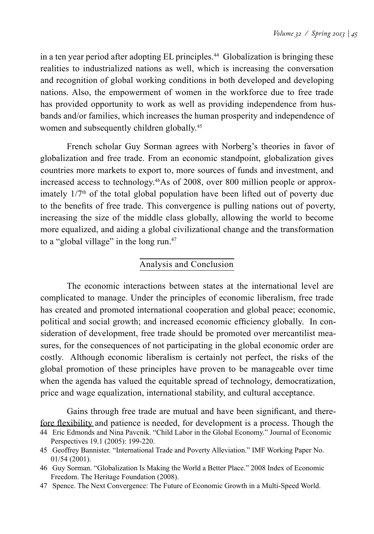in a ten year period after adopting EL principles.<sup>44</sup> Globalization is bringing these realities to industrialized nations as well, which is increasing the conversation and recognition of global working conditions in both developed and developing nations. Also, the empowerment of women in the workforce due to free trade has provided opportunity to work as well as providing independence from husbands and/or families, which increases the human prosperity and independence of women and subsequently children globally.<sup>45</sup>

French scholar Guy Sorman agrees with Norberg's theories in favor of globalization and free trade. From an economic standpoint, globalization gives countries more markets to export to, more sources of funds and investment, and increased access to technology.46As of 2008, over 800 million people or approximately  $1/7<sup>th</sup>$  of the total global population have been lifted out of poverty due to the benefits of free trade. This convergence is pulling nations out of poverty, increasing the size of the middle class globally, allowing the world to become more equalized, and aiding a global civilizational change and the transformation to a "global village" in the long run.<sup>47</sup>

#### Analysis and Conclusion

The economic interactions between states at the international level are complicated to manage. Under the principles of economic liberalism, free trade has created and promoted international cooperation and global peace; economic, political and social growth; and increased economic efficiency globally. In consideration of development, free trade should be promoted over mercantilist measures, for the consequences of not participating in the global economic order are costly. Although economic liberalism is certainly not perfect, the risks of the global promotion of these principles have proven to be manageable over time when the agenda has valued the equitable spread of technology, democratization, price and wage equalization, international stability, and cultural acceptance.

Gains through free trade are mutual and have been significant, and therefore flexibility and patience is needed, for development is a process. Though the

<sup>44</sup> Eric Edmonds and Nina Pavcnik. "Child Labor in the Global Economy." Journal of Economic Perspectives 19.1 (2005): 199-220.

<sup>45</sup> Geoffrey Bannister. "International Trade and Poverty Alleviation." IMF Working Paper No. 01/54 (2001).

<sup>46</sup> Guy Sorman. "Globalization Is Making the World a Better Place." 2008 Index of Economic Freedom. The Heritage Foundation (2008).

<sup>47</sup> Spence. The Next Convergence: The Future of Economic Growth in a Multi-Speed World.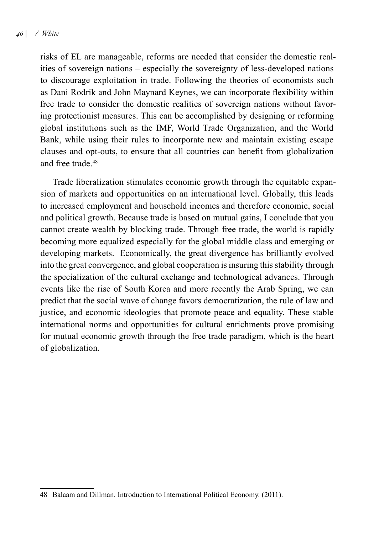risks of EL are manageable, reforms are needed that consider the domestic realities of sovereign nations – especially the sovereignty of less-developed nations to discourage exploitation in trade. Following the theories of economists such as Dani Rodrik and John Maynard Keynes, we can incorporate flexibility within free trade to consider the domestic realities of sovereign nations without favoring protectionist measures. This can be accomplished by designing or reforming global institutions such as the IMF, World Trade Organization, and the World Bank, while using their rules to incorporate new and maintain existing escape clauses and opt-outs, to ensure that all countries can benefit from globalization and free trade<sup>48</sup>

 Trade liberalization stimulates economic growth through the equitable expansion of markets and opportunities on an international level. Globally, this leads to increased employment and household incomes and therefore economic, social and political growth. Because trade is based on mutual gains, I conclude that you cannot create wealth by blocking trade. Through free trade, the world is rapidly becoming more equalized especially for the global middle class and emerging or developing markets. Economically, the great divergence has brilliantly evolved into the great convergence, and global cooperation is insuring this stability through the specialization of the cultural exchange and technological advances. Through events like the rise of South Korea and more recently the Arab Spring, we can predict that the social wave of change favors democratization, the rule of law and justice, and economic ideologies that promote peace and equality. These stable international norms and opportunities for cultural enrichments prove promising for mutual economic growth through the free trade paradigm, which is the heart of globalization.

<sup>48</sup> Balaam and Dillman. Introduction to International Political Economy. (2011).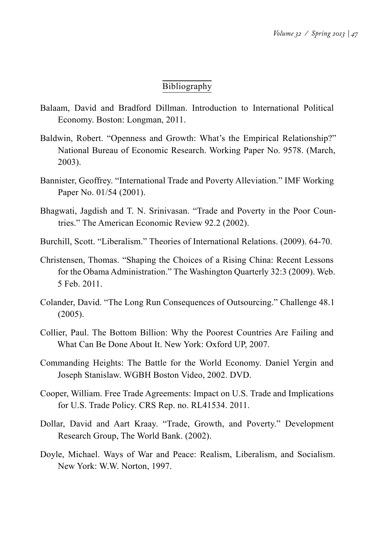#### **Bibliography**

- Balaam, David and Bradford Dillman. Introduction to International Political Economy. Boston: Longman, 2011.
- Baldwin, Robert. "Openness and Growth: What's the Empirical Relationship?" National Bureau of Economic Research. Working Paper No. 9578. (March, 2003).
- Bannister, Geoffrey. "International Trade and Poverty Alleviation." IMF Working Paper No. 01/54 (2001).
- Bhagwati, Jagdish and T. N. Srinivasan. "Trade and Poverty in the Poor Countries." The American Economic Review 92.2 (2002).
- Burchill, Scott. "Liberalism." Theories of International Relations. (2009). 64-70.
- Christensen, Thomas. "Shaping the Choices of a Rising China: Recent Lessons for the Obama Administration." The Washington Quarterly 32:3 (2009). Web. 5 Feb. 2011.
- Colander, David. "The Long Run Consequences of Outsourcing." Challenge 48.1 (2005).
- Collier, Paul. The Bottom Billion: Why the Poorest Countries Are Failing and What Can Be Done About It. New York: Oxford UP, 2007.
- Commanding Heights: The Battle for the World Economy. Daniel Yergin and Joseph Stanislaw. WGBH Boston Video, 2002. DVD.
- Cooper, William. Free Trade Agreements: Impact on U.S. Trade and Implications for U.S. Trade Policy. CRS Rep. no. RL41534. 2011.
- Dollar, David and Aart Kraay. "Trade, Growth, and Poverty." Development Research Group, The World Bank. (2002).
- Doyle, Michael. Ways of War and Peace: Realism, Liberalism, and Socialism. New York: W.W. Norton, 1997.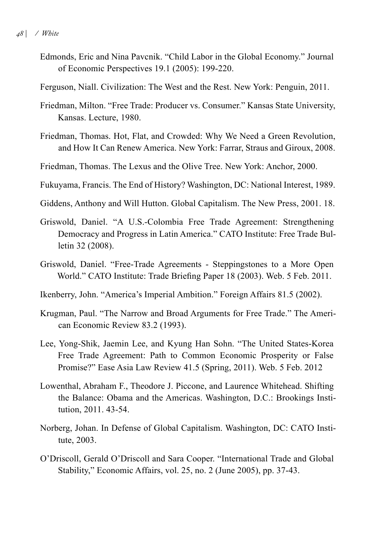- Edmonds, Eric and Nina Pavcnik. "Child Labor in the Global Economy." Journal of Economic Perspectives 19.1 (2005): 199-220.
- Ferguson, Niall. Civilization: The West and the Rest. New York: Penguin, 2011.
- Friedman, Milton. "Free Trade: Producer vs. Consumer." Kansas State University, Kansas. Lecture, 1980.
- Friedman, Thomas. Hot, Flat, and Crowded: Why We Need a Green Revolution, and How It Can Renew America. New York: Farrar, Straus and Giroux, 2008.
- Friedman, Thomas. The Lexus and the Olive Tree. New York: Anchor, 2000.
- Fukuyama, Francis. The End of History? Washington, DC: National Interest, 1989.
- Giddens, Anthony and Will Hutton. Global Capitalism. The New Press, 2001. 18.
- Griswold, Daniel. "A U.S.-Colombia Free Trade Agreement: Strengthening Democracy and Progress in Latin America." CATO Institute: Free Trade Bulletin 32 (2008).
- Griswold, Daniel. "Free-Trade Agreements Steppingstones to a More Open World." CATO Institute: Trade Briefing Paper 18 (2003). Web. 5 Feb. 2011.
- Ikenberry, John. "America's Imperial Ambition." Foreign Affairs 81.5 (2002).
- Krugman, Paul. "The Narrow and Broad Arguments for Free Trade." The American Economic Review 83.2 (1993).
- Lee, Yong-Shik, Jaemin Lee, and Kyung Han Sohn. "The United States-Korea Free Trade Agreement: Path to Common Economic Prosperity or False Promise?" Ease Asia Law Review 41.5 (Spring, 2011). Web. 5 Feb. 2012
- Lowenthal, Abraham F., Theodore J. Piccone, and Laurence Whitehead. Shifting the Balance: Obama and the Americas. Washington, D.C.: Brookings Institution, 2011. 43-54.
- Norberg, Johan. In Defense of Global Capitalism. Washington, DC: CATO Institute, 2003.
- O'Driscoll, Gerald O'Driscoll and Sara Cooper. "International Trade and Global Stability," Economic Affairs, vol. 25, no. 2 (June 2005), pp. 37-43.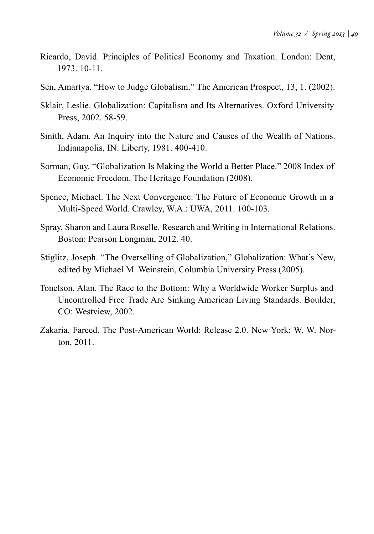- Ricardo, David. Principles of Political Economy and Taxation. London: Dent, 1973. 10-11.
- Sen, Amartya. "How to Judge Globalism." The American Prospect, 13, 1. (2002).
- Sklair, Leslie. Globalization: Capitalism and Its Alternatives. Oxford University Press, 2002. 58-59.
- Smith, Adam. An Inquiry into the Nature and Causes of the Wealth of Nations. Indianapolis, IN: Liberty, 1981. 400-410.
- Sorman, Guy. "Globalization Is Making the World a Better Place." 2008 Index of Economic Freedom. The Heritage Foundation (2008).
- Spence, Michael. The Next Convergence: The Future of Economic Growth in a Multi-Speed World. Crawley, W.A.: UWA, 2011. 100-103.
- Spray, Sharon and Laura Roselle. Research and Writing in International Relations. Boston: Pearson Longman, 2012. 40.
- Stiglitz, Joseph. "The Overselling of Globalization," Globalization: What's New, edited by Michael M. Weinstein, Columbia University Press (2005).
- Tonelson, Alan. The Race to the Bottom: Why a Worldwide Worker Surplus and Uncontrolled Free Trade Are Sinking American Living Standards. Boulder, CO: Westview, 2002.
- Zakaria, Fareed. The Post-American World: Release 2.0. New York: W. W. Norton, 2011.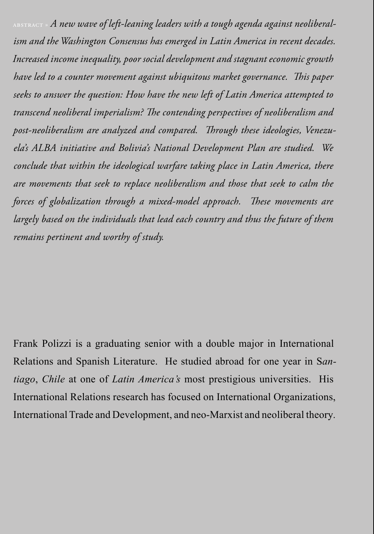abstract » *A new wave of left-leaning leaders with a tough agenda against neoliberalism and the Washington Consensus has emerged in Latin America in recent decades. Increased income inequality, poor social development and stagnant economic growth have led to a counter movement against ubiquitous market governance. This paper seeks to answer the question: How have the new left of Latin America attempted to transcend neoliberal imperialism? The contending perspectives of neoliberalism and post-neoliberalism are analyzed and compared. Through these ideologies, Venezuela's ALBA initiative and Bolivia's National Development Plan are studied. We conclude that within the ideological warfare taking place in Latin America, there are movements that seek to replace neoliberalism and those that seek to calm the forces of globalization through a mixed-model approach. These movements are*  largely based on the individuals that lead each country and thus the future of them *remains pertinent and worthy of study.*

Frank Polizzi is a graduating senior with a double major in International Relations and Spanish Literature. He studied abroad for one year in S*antiago*, *Chile* at one of *Latin America's* most prestigious universities. His International Relations research has focused on International Organizations, International Trade and Development, and neo-Marxist and neoliberal theory*.*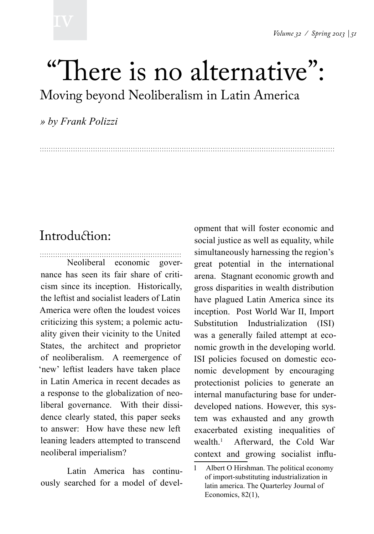## "There is no alternative":

Moving beyond Neoliberalism in Latin America

*» by Frank Polizzi*

#### Introduction:

. . . . . . . . . . . . . . . Neoliberal economic governance has seen its fair share of criticism since its inception. Historically, the leftist and socialist leaders of Latin America were often the loudest voices criticizing this system; a polemic actuality given their vicinity to the United States, the architect and proprietor of neoliberalism. A reemergence of 'new' leftist leaders have taken place in Latin America in recent decades as a response to the globalization of neoliberal governance. With their dissidence clearly stated, this paper seeks to answer: How have these new left leaning leaders attempted to transcend neoliberal imperialism?

Latin America has continuously searched for a model of development that will foster economic and social justice as well as equality, while simultaneously harnessing the region's great potential in the international arena. Stagnant economic growth and gross disparities in wealth distribution have plagued Latin America since its inception. Post World War II, Import Substitution Industrialization (ISI) was a generally failed attempt at economic growth in the developing world. ISI policies focused on domestic economic development by encouraging protectionist policies to generate an internal manufacturing base for underdeveloped nations. However, this system was exhausted and any growth exacerbated existing inequalities of wealth. $<sup>1</sup>$ </sup> Afterward, the Cold War context and growing socialist influ-

Albert O Hirshman. The political economy of import-substituting industrialization in latin america. The Quarterley Journal of Economics, 82(1),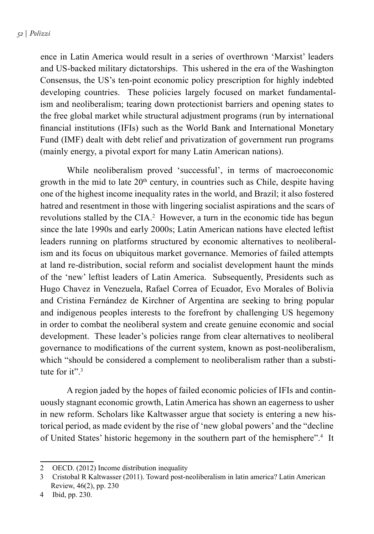ence in Latin America would result in a series of overthrown 'Marxist' leaders and US-backed military dictatorships. This ushered in the era of the Washington Consensus, the US's ten-point economic policy prescription for highly indebted developing countries. These policies largely focused on market fundamentalism and neoliberalism; tearing down protectionist barriers and opening states to the free global market while structural adjustment programs (run by international financial institutions (IFIs) such as the World Bank and International Monetary Fund (IMF) dealt with debt relief and privatization of government run programs (mainly energy, a pivotal export for many Latin American nations).

While neoliberalism proved 'successful', in terms of macroeconomic growth in the mid to late  $20<sup>th</sup>$  century, in countries such as Chile, despite having one of the highest income inequality rates in the world, and Brazil; it also fostered hatred and resentment in those with lingering socialist aspirations and the scars of revolutions stalled by the CIA. 2 However, a turn in the economic tide has begun since the late 1990s and early 2000s; Latin American nations have elected leftist leaders running on platforms structured by economic alternatives to neoliberalism and its focus on ubiquitous market governance. Memories of failed attempts at land re-distribution, social reform and socialist development haunt the minds of the 'new' leftist leaders of Latin America. Subsequently, Presidents such as Hugo Chavez in Venezuela, Rafael Correa of Ecuador, Evo Morales of Bolivia and Cristina Fernández de Kirchner of Argentina are seeking to bring popular and indigenous peoples interests to the forefront by challenging US hegemony in order to combat the neoliberal system and create genuine economic and social development. These leader's policies range from clear alternatives to neoliberal governance to modifications of the current system, known as post-neoliberalism, which "should be considered a complement to neoliberalism rather than a substitute for it".<sup>3</sup>

A region jaded by the hopes of failed economic policies of IFIs and continuously stagnant economic growth, Latin America has shown an eagerness to usher in new reform. Scholars like Kaltwasser argue that society is entering a new historical period, as made evident by the rise of 'new global powers' and the "decline of United States' historic hegemony in the southern part of the hemisphere".<sup>4</sup> It

<sup>2</sup> OECD. (2012) Income distribution inequality

<sup>3</sup> Cristobal R Kaltwasser (2011). Toward post-neoliberalism in latin america? Latin American Review, 46(2), pp. 230

<sup>4</sup> Ibid, pp. 230.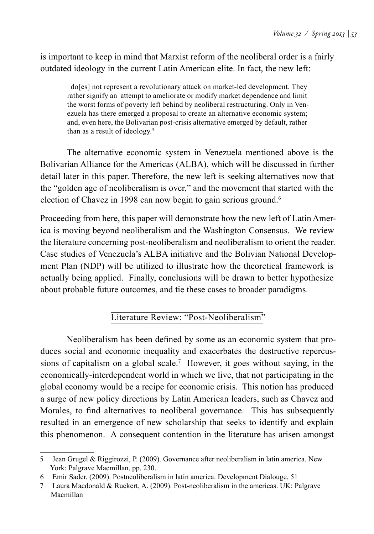is important to keep in mind that Marxist reform of the neoliberal order is a fairly outdated ideology in the current Latin American elite. In fact, the new left:

 do[es] not represent a revolutionary attack on market-led development. They rather signify an attempt to ameliorate or modify market dependence and limit the worst forms of poverty left behind by neoliberal restructuring. Only in Venezuela has there emerged a proposal to create an alternative economic system; and, even here, the Bolivarian post-crisis alternative emerged by default, rather than as a result of ideology.<sup>5</sup>

The alternative economic system in Venezuela mentioned above is the Bolivarian Alliance for the Americas (ALBA), which will be discussed in further detail later in this paper. Therefore, the new left is seeking alternatives now that the "golden age of neoliberalism is over," and the movement that started with the election of Chavez in 1998 can now begin to gain serious ground.<sup>6</sup>

Proceeding from here, this paper will demonstrate how the new left of Latin America is moving beyond neoliberalism and the Washington Consensus. We review the literature concerning post-neoliberalism and neoliberalism to orient the reader. Case studies of Venezuela's ALBA initiative and the Bolivian National Development Plan (NDP) will be utilized to illustrate how the theoretical framework is actually being applied. Finally, conclusions will be drawn to better hypothesize about probable future outcomes, and tie these cases to broader paradigms.

#### Literature Review: "Post-Neoliberalism"

Neoliberalism has been defined by some as an economic system that produces social and economic inequality and exacerbates the destructive repercussions of capitalism on a global scale.<sup>7</sup> However, it goes without saying, in the economically-interdependent world in which we live, that not participating in the global economy would be a recipe for economic crisis. This notion has produced a surge of new policy directions by Latin American leaders, such as Chavez and Morales, to find alternatives to neoliberal governance. This has subsequently resulted in an emergence of new scholarship that seeks to identify and explain this phenomenon. A consequent contention in the literature has arisen amongst

<sup>5</sup> Jean Grugel & Riggirozzi, P. (2009). Governance after neoliberalism in latin america. New York: Palgrave Macmillan, pp. 230.

<sup>6</sup> Emir Sader. (2009). Postneoliberalism in latin america. Development Dialouge, 51

<sup>7</sup> Laura Macdonald & Ruckert, A. (2009). Post-neoliberalism in the americas. UK: Palgrave Macmillan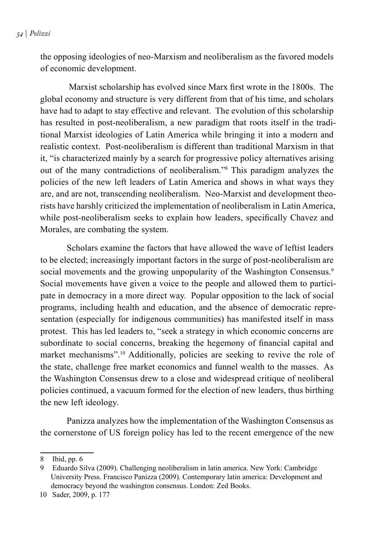the opposing ideologies of neo-Marxism and neoliberalism as the favored models of economic development.

 Marxist scholarship has evolved since Marx first wrote in the 1800s. The global economy and structure is very different from that of his time, and scholars have had to adapt to stay effective and relevant. The evolution of this scholarship has resulted in post-neoliberalism, a new paradigm that roots itself in the traditional Marxist ideologies of Latin America while bringing it into a modern and realistic context. Post-neoliberalism is different than traditional Marxism in that it, "is characterized mainly by a search for progressive policy alternatives arising out of the many contradictions of neoliberalism."8 This paradigm analyzes the policies of the new left leaders of Latin America and shows in what ways they are, and are not, transcending neoliberalism. Neo-Marxist and development theorists have harshly criticized the implementation of neoliberalism in Latin America, while post-neoliberalism seeks to explain how leaders, specifically Chavez and Morales, are combating the system.

Scholars examine the factors that have allowed the wave of leftist leaders to be elected; increasingly important factors in the surge of post-neoliberalism are social movements and the growing unpopularity of the Washington Consensus.<sup>9</sup> Social movements have given a voice to the people and allowed them to participate in democracy in a more direct way. Popular opposition to the lack of social programs, including health and education, and the absence of democratic representation (especially for indigenous communities) has manifested itself in mass protest. This has led leaders to, "seek a strategy in which economic concerns are subordinate to social concerns, breaking the hegemony of financial capital and market mechanisms".10 Additionally, policies are seeking to revive the role of the state, challenge free market economics and funnel wealth to the masses. As the Washington Consensus drew to a close and widespread critique of neoliberal policies continued, a vacuum formed for the election of new leaders, thus birthing the new left ideology.

Panizza analyzes how the implementation of the Washington Consensus as the cornerstone of US foreign policy has led to the recent emergence of the new

<sup>8</sup> Ibid, pp. 6

<sup>9</sup> Eduardo Silva (2009). Challenging neoliberalism in latin america. New York: Cambridge University Press. Francisco Panizza (2009). Contemporary latin america: Development and democracy beyond the washington consensus. London: Zed Books.

<sup>10</sup> Sader, 2009, p. 177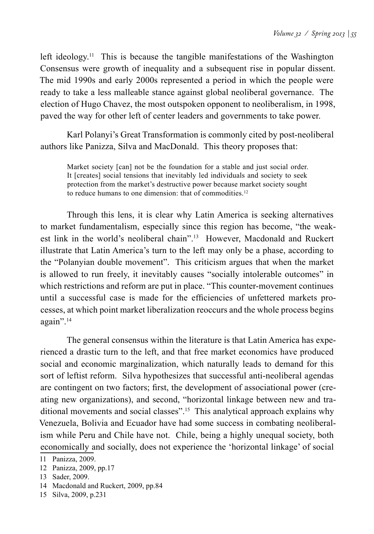left ideology.<sup>11</sup> This is because the tangible manifestations of the Washington Consensus were growth of inequality and a subsequent rise in popular dissent. The mid 1990s and early 2000s represented a period in which the people were ready to take a less malleable stance against global neoliberal governance. The election of Hugo Chavez, the most outspoken opponent to neoliberalism, in 1998, paved the way for other left of center leaders and governments to take power.

Karl Polanyi's Great Transformation is commonly cited by post-neoliberal authors like Panizza, Silva and MacDonald. This theory proposes that:

Market society [can] not be the foundation for a stable and just social order. It [creates] social tensions that inevitably led individuals and society to seek protection from the market's destructive power because market society sought to reduce humans to one dimension: that of commodities.<sup>12</sup>

Through this lens, it is clear why Latin America is seeking alternatives to market fundamentalism, especially since this region has become, "the weakest link in the world's neoliberal chain".13 However, Macdonald and Ruckert illustrate that Latin America's turn to the left may only be a phase, according to the "Polanyian double movement". This criticism argues that when the market is allowed to run freely, it inevitably causes "socially intolerable outcomes" in which restrictions and reform are put in place. "This counter-movement continues until a successful case is made for the efficiencies of unfettered markets processes, at which point market liberalization reoccurs and the whole process begins again".14

The general consensus within the literature is that Latin America has experienced a drastic turn to the left, and that free market economics have produced social and economic marginalization, which naturally leads to demand for this sort of leftist reform. Silva hypothesizes that successful anti-neoliberal agendas are contingent on two factors; first, the development of associational power (creating new organizations), and second, "horizontal linkage between new and traditional movements and social classes".15 This analytical approach explains why Venezuela, Bolivia and Ecuador have had some success in combating neoliberalism while Peru and Chile have not. Chile, being a highly unequal society, both economically and socially, does not experience the 'horizontal linkage' of social

12 Panizza, 2009, pp.17

<sup>11</sup> Panizza, 2009.

<sup>13</sup> Sader, 2009.

<sup>14</sup> Macdonald and Ruckert, 2009, pp.84

<sup>15</sup> Silva, 2009, p.231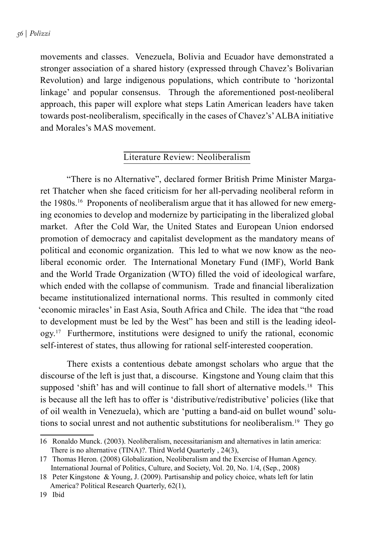movements and classes. Venezuela, Bolivia and Ecuador have demonstrated a stronger association of a shared history (expressed through Chavez's Bolivarian Revolution) and large indigenous populations, which contribute to 'horizontal linkage' and popular consensus. Through the aforementioned post-neoliberal approach, this paper will explore what steps Latin American leaders have taken towards post-neoliberalism, specifically in the cases of Chavez's' ALBA initiative and Morales's MAS movement.

#### Literature Review: Neoliberalism

"There is no Alternative", declared former British Prime Minister Margaret Thatcher when she faced criticism for her all-pervading neoliberal reform in the 1980s.<sup>16</sup> Proponents of neoliberalism argue that it has allowed for new emerging economies to develop and modernize by participating in the liberalized global market. After the Cold War, the United States and European Union endorsed promotion of democracy and capitalist development as the mandatory means of political and economic organization. This led to what we now know as the neoliberal economic order. The International Monetary Fund (IMF), World Bank and the World Trade Organization (WTO) filled the void of ideological warfare, which ended with the collapse of communism. Trade and financial liberalization became institutionalized international norms. This resulted in commonly cited 'economic miracles' in East Asia, South Africa and Chile. The idea that "the road to development must be led by the West" has been and still is the leading ideology.17 Furthermore, institutions were designed to unify the rational, economic self-interest of states, thus allowing for rational self-interested cooperation.

There exists a contentious debate amongst scholars who argue that the discourse of the left is just that, a discourse. Kingstone and Young claim that this supposed 'shift' has and will continue to fall short of alternative models.<sup>18</sup> This is because all the left has to offer is 'distributive/redistributive' policies (like that of oil wealth in Venezuela), which are 'putting a band-aid on bullet wound' solutions to social unrest and not authentic substitutions for neoliberalism.19 They go

<sup>16</sup> Ronaldo Munck. (2003). Neoliberalism, necessitarianism and alternatives in latin america: There is no alternative (TINA)?. Third World Quarterly , 24(3),

<sup>17</sup> Thomas Heron. (2008) Globalization, Neoliberalism and the Exercise of Human Agency. International Journal of Politics, Culture, and Society, Vol. 20, No. 1/4, (Sep., 2008)

<sup>18</sup> Peter Kingstone & Young, J. (2009). Partisanship and policy choice, whats left for latin America? Political Research Quarterly, 62(1),

<sup>19</sup> Ibid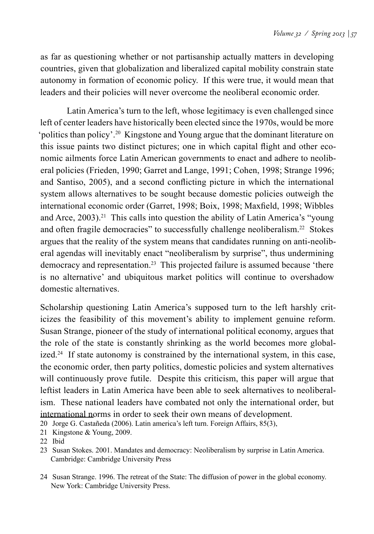as far as questioning whether or not partisanship actually matters in developing countries, given that globalization and liberalized capital mobility constrain state autonomy in formation of economic policy. If this were true, it would mean that leaders and their policies will never overcome the neoliberal economic order.

Latin America's turn to the left, whose legitimacy is even challenged since left of center leaders have historically been elected since the 1970s, would be more 'politics than policy'.20 Kingstone and Young argue that the dominant literature on this issue paints two distinct pictures; one in which capital flight and other economic ailments force Latin American governments to enact and adhere to neoliberal policies (Frieden, 1990; Garret and Lange, 1991; Cohen, 1998; Strange 1996; and Santiso, 2005), and a second conflicting picture in which the international system allows alternatives to be sought because domestic policies outweigh the international economic order (Garret, 1998; Boix, 1998; Maxfield, 1998; Wibbles and Arce,  $2003$ ).<sup>21</sup> This calls into question the ability of Latin America's "young and often fragile democracies" to successfully challenge neoliberalism.<sup>22</sup> Stokes argues that the reality of the system means that candidates running on anti-neoliberal agendas will inevitably enact "neoliberalism by surprise", thus undermining democracy and representation.<sup>23</sup> This projected failure is assumed because 'there is no alternative' and ubiquitous market politics will continue to overshadow domestic alternatives.

Scholarship questioning Latin America's supposed turn to the left harshly criticizes the feasibility of this movement's ability to implement genuine reform. Susan Strange, pioneer of the study of international political economy, argues that the role of the state is constantly shrinking as the world becomes more globalized.24 If state autonomy is constrained by the international system, in this case, the economic order, then party politics, domestic policies and system alternatives will continuously prove futile. Despite this criticism, this paper will argue that leftist leaders in Latin America have been able to seek alternatives to neoliberalism. These national leaders have combated not only the international order, but international norms in order to seek their own means of development.

21 Kingstone & Young, 2009.

- 23 Susan Stokes. 2001. Mandates and democracy: Neoliberalism by surprise in Latin America. Cambridge: Cambridge University Press
- 24 Susan Strange. 1996. The retreat of the State: The diffusion of power in the global economy. New York: Cambridge University Press.

<sup>20</sup> Jorge G. Castañeda (2006). Latin america's left turn. Foreign Affairs, 85(3),

<sup>22</sup> Ibid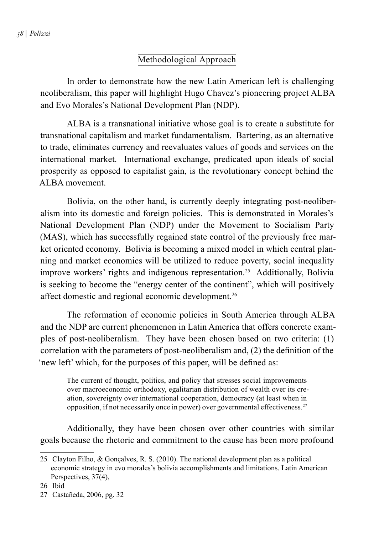#### Methodological Approach

In order to demonstrate how the new Latin American left is challenging neoliberalism, this paper will highlight Hugo Chavez's pioneering project ALBA and Evo Morales's National Development Plan (NDP).

ALBA is a transnational initiative whose goal is to create a substitute for transnational capitalism and market fundamentalism. Bartering, as an alternative to trade, eliminates currency and reevaluates values of goods and services on the international market. International exchange, predicated upon ideals of social prosperity as opposed to capitalist gain, is the revolutionary concept behind the ALBA movement.

Bolivia, on the other hand, is currently deeply integrating post-neoliberalism into its domestic and foreign policies. This is demonstrated in Morales's National Development Plan (NDP) under the Movement to Socialism Party (MAS), which has successfully regained state control of the previously free market oriented economy. Bolivia is becoming a mixed model in which central planning and market economics will be utilized to reduce poverty, social inequality improve workers' rights and indigenous representation.25 Additionally, Bolivia is seeking to become the "energy center of the continent", which will positively affect domestic and regional economic development.26

The reformation of economic policies in South America through ALBA and the NDP are current phenomenon in Latin America that offers concrete examples of post-neoliberalism. They have been chosen based on two criteria: (1) correlation with the parameters of post-neoliberalism and, (2) the definition of the 'new left' which, for the purposes of this paper, will be defined as:

The current of thought, politics, and policy that stresses social improvements over macroeconomic orthodoxy, egalitarian distribution of wealth over its creation, sovereignty over international cooperation, democracy (at least when in opposition, if not necessarily once in power) over governmental effectiveness.27

Additionally, they have been chosen over other countries with similar goals because the rhetoric and commitment to the cause has been more profound

<sup>25</sup> Clayton Filho, & Gonçalves, R. S. (2010). The national development plan as a political economic strategy in evo morales's bolivia accomplishments and limitations. Latin American Perspectives, 37(4),

<sup>26</sup> Ibid

<sup>27</sup> Castañeda, 2006, pg. 32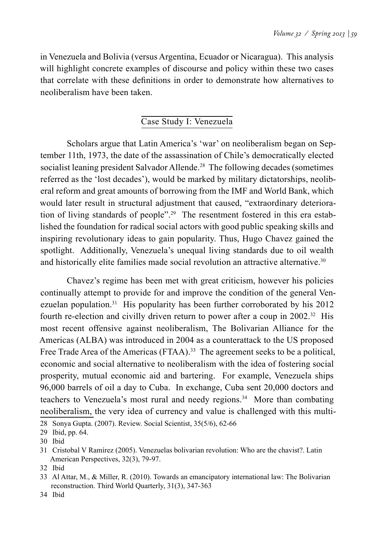in Venezuela and Bolivia (versus Argentina, Ecuador or Nicaragua). This analysis will highlight concrete examples of discourse and policy within these two cases that correlate with these definitions in order to demonstrate how alternatives to neoliberalism have been taken.

#### Case Study I: Venezuela

Scholars argue that Latin America's 'war' on neoliberalism began on September 11th, 1973, the date of the assassination of Chile's democratically elected socialist leaning president Salvador Allende.<sup>28</sup> The following decades (sometimes referred as the 'lost decades'), would be marked by military dictatorships, neoliberal reform and great amounts of borrowing from the IMF and World Bank, which would later result in structural adjustment that caused, "extraordinary deterioration of living standards of people".<sup>29</sup> The resentment fostered in this era established the foundation for radical social actors with good public speaking skills and inspiring revolutionary ideas to gain popularity. Thus, Hugo Chavez gained the spotlight. Additionally, Venezuela's unequal living standards due to oil wealth and historically elite families made social revolution an attractive alternative.<sup>30</sup>

Chavez's regime has been met with great criticism, however his policies continually attempt to provide for and improve the condition of the general Venezuelan population.31 His popularity has been further corroborated by his 2012 fourth re-election and civilly driven return to power after a coup in  $2002.^{32}$  His most recent offensive against neoliberalism, The Bolivarian Alliance for the Americas (ALBA) was introduced in 2004 as a counterattack to the US proposed Free Trade Area of the Americas (FTAA).<sup>33</sup> The agreement seeks to be a political, economic and social alternative to neoliberalism with the idea of fostering social prosperity, mutual economic aid and bartering. For example, Venezuela ships 96,000 barrels of oil a day to Cuba. In exchange, Cuba sent 20,000 doctors and teachers to Venezuela's most rural and needy regions.<sup>34</sup> More than combating neoliberalism, the very idea of currency and value is challenged with this multi-

<sup>28</sup> Sonya Gupta. (2007). Review. Social Scientist, 35(5/6), 62-66

<sup>29</sup> Ibid, pp. 64.

<sup>30</sup> Ibid

<sup>31</sup> Cristobal V Ramírez (2005). Venezuelas bolivarian revolution: Who are the chavist?. Latin American Perspectives, 32(3), 79-97.

<sup>32</sup> Ibid

<sup>33</sup> Al Attar, M., & Miller, R. (2010). Towards an emancipatory international law: The Bolivarian reconstruction. Third World Quarterly, 31(3), 347-363

<sup>34</sup> Ibid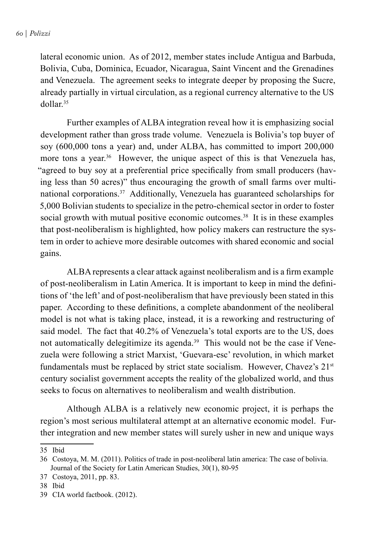lateral economic union. As of 2012, member states include Antigua and Barbuda, Bolivia, Cuba, Dominica, Ecuador, Nicaragua, Saint Vincent and the Grenadines and Venezuela. The agreement seeks to integrate deeper by proposing the Sucre, already partially in virtual circulation, as a regional currency alternative to the US dollar.35

Further examples of ALBA integration reveal how it is emphasizing social development rather than gross trade volume. Venezuela is Bolivia's top buyer of soy (600,000 tons a year) and, under ALBA, has committed to import 200,000 more tons a year.<sup>36</sup> However, the unique aspect of this is that Venezuela has, "agreed to buy soy at a preferential price specifically from small producers (having less than 50 acres)" thus encouraging the growth of small farms over multinational corporations.37 Additionally, Venezuela has guaranteed scholarships for 5,000 Bolivian students to specialize in the petro-chemical sector in order to foster social growth with mutual positive economic outcomes.<sup>38</sup> It is in these examples that post-neoliberalism is highlighted, how policy makers can restructure the system in order to achieve more desirable outcomes with shared economic and social gains.

ALBA represents a clear attack against neoliberalism and is a firm example of post-neoliberalism in Latin America. It is important to keep in mind the definitions of 'the left' and of post-neoliberalism that have previously been stated in this paper. According to these definitions, a complete abandonment of the neoliberal model is not what is taking place, instead, it is a reworking and restructuring of said model. The fact that 40.2% of Venezuela's total exports are to the US, does not automatically delegitimize its agenda.39 This would not be the case if Venezuela were following a strict Marxist, 'Guevara-esc' revolution, in which market fundamentals must be replaced by strict state socialism. However, Chavez's 21<sup>st</sup> century socialist government accepts the reality of the globalized world, and thus seeks to focus on alternatives to neoliberalism and wealth distribution.

Although ALBA is a relatively new economic project, it is perhaps the region's most serious multilateral attempt at an alternative economic model. Further integration and new member states will surely usher in new and unique ways

<sup>35</sup> Ibid

<sup>36</sup> Costoya, M. M. (2011). Politics of trade in post-neoliberal latin america: The case of bolivia. Journal of the Society for Latin American Studies, 30(1), 80-95

<sup>37</sup> Costoya, 2011, pp. 83.

<sup>38</sup> Ibid

<sup>39</sup> CIA world factbook. (2012).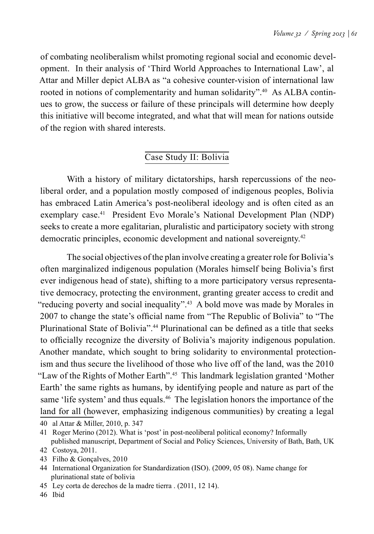of combating neoliberalism whilst promoting regional social and economic development. In their analysis of 'Third World Approaches to International Law', al Attar and Miller depict ALBA as "a cohesive counter-vision of international law rooted in notions of complementarity and human solidarity".<sup>40</sup> As ALBA continues to grow, the success or failure of these principals will determine how deeply this initiative will become integrated, and what that will mean for nations outside of the region with shared interests.

#### Case Study II: Bolivia

With a history of military dictatorships, harsh repercussions of the neoliberal order, and a population mostly composed of indigenous peoples, Bolivia has embraced Latin America's post-neoliberal ideology and is often cited as an exemplary case.<sup>41</sup> President Evo Morale's National Development Plan (NDP) seeks to create a more egalitarian, pluralistic and participatory society with strong democratic principles, economic development and national sovereignty.42

The social objectives of the plan involve creating a greater role for Bolivia's often marginalized indigenous population (Morales himself being Bolivia's first ever indigenous head of state), shifting to a more participatory versus representative democracy, protecting the environment, granting greater access to credit and "reducing poverty and social inequality".43 A bold move was made by Morales in 2007 to change the state's official name from "The Republic of Bolivia" to "The Plurinational State of Bolivia".44 Plurinational can be defined as a title that seeks to officially recognize the diversity of Bolivia's majority indigenous population. Another mandate, which sought to bring solidarity to environmental protectionism and thus secure the livelihood of those who live off of the land, was the 2010 "Law of the Rights of Mother Earth".<sup>45</sup> This landmark legislation granted 'Mother Earth' the same rights as humans, by identifying people and nature as part of the same 'life system' and thus equals.<sup>46</sup> The legislation honors the importance of the land for all (however, emphasizing indigenous communities) by creating a legal

- 43 Filho & Gonçalves, 2010
- 44 International Organization for Standardization (ISO). (2009, 05 08). Name change for plurinational state of bolivia
- 45 Ley corta de derechos de la madre tierra . (2011, 12 14).
- 46 Ibid

<sup>40</sup> al Attar & Miller, 2010, p. 347

<sup>41</sup> Roger Merino (2012). What is 'post' in post-neoliberal political economy? Informally published manuscript, Department of Social and Policy Sciences, University of Bath, Bath, UK

<sup>42</sup> Costoya, 2011.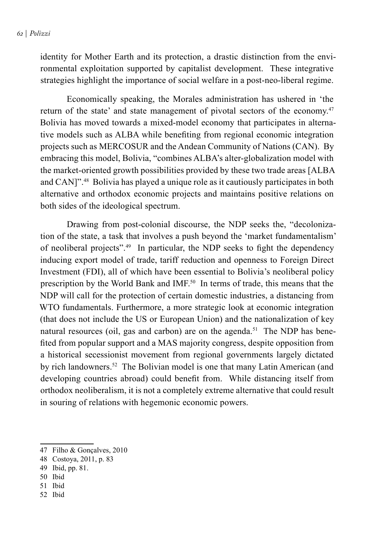identity for Mother Earth and its protection, a drastic distinction from the environmental exploitation supported by capitalist development. These integrative strategies highlight the importance of social welfare in a post-neo-liberal regime.

Economically speaking, the Morales administration has ushered in 'the return of the state' and state management of pivotal sectors of the economy.<sup>47</sup> Bolivia has moved towards a mixed-model economy that participates in alternative models such as ALBA while benefiting from regional economic integration projects such as MERCOSUR and the Andean Community of Nations (CAN). By embracing this model, Bolivia, "combines ALBA's alter-globalization model with the market-oriented growth possibilities provided by these two trade areas [ALBA and CAN]".48 Bolivia has played a unique role as it cautiously participates in both alternative and orthodox economic projects and maintains positive relations on both sides of the ideological spectrum.

Drawing from post-colonial discourse, the NDP seeks the, "decolonization of the state, a task that involves a push beyond the 'market fundamentalism' of neoliberal projects".49 In particular, the NDP seeks to fight the dependency inducing export model of trade, tariff reduction and openness to Foreign Direct Investment (FDI), all of which have been essential to Bolivia's neoliberal policy prescription by the World Bank and IMF. 50 In terms of trade, this means that the NDP will call for the protection of certain domestic industries, a distancing from WTO fundamentals. Furthermore, a more strategic look at economic integration (that does not include the US or European Union) and the nationalization of key natural resources (oil, gas and carbon) are on the agenda.<sup>51</sup> The NDP has benefited from popular support and a MAS majority congress, despite opposition from a historical secessionist movement from regional governments largely dictated by rich landowners.<sup>52</sup> The Bolivian model is one that many Latin American (and developing countries abroad) could benefit from. While distancing itself from orthodox neoliberalism, it is not a completely extreme alternative that could result in souring of relations with hegemonic economic powers.

- 50 Ibid
- 51 Ibid
- 52 Ibid

<sup>47</sup> Filho & Gonçalves, 2010

<sup>48</sup> Costoya, 2011, p. 83

<sup>49</sup> Ibid, pp. 81.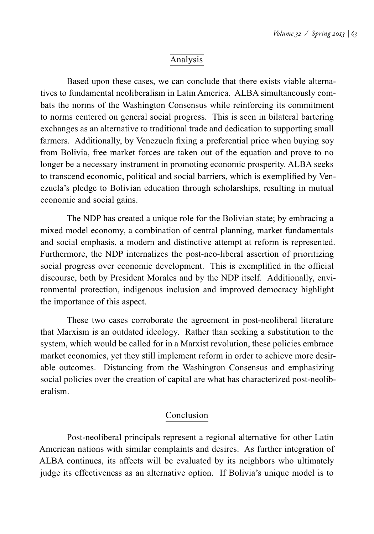#### Analysis

Based upon these cases, we can conclude that there exists viable alternatives to fundamental neoliberalism in Latin America. ALBA simultaneously combats the norms of the Washington Consensus while reinforcing its commitment to norms centered on general social progress. This is seen in bilateral bartering exchanges as an alternative to traditional trade and dedication to supporting small farmers. Additionally, by Venezuela fixing a preferential price when buying soy from Bolivia, free market forces are taken out of the equation and prove to no longer be a necessary instrument in promoting economic prosperity. ALBA seeks to transcend economic, political and social barriers, which is exemplified by Venezuela's pledge to Bolivian education through scholarships, resulting in mutual economic and social gains.

The NDP has created a unique role for the Bolivian state; by embracing a mixed model economy, a combination of central planning, market fundamentals and social emphasis, a modern and distinctive attempt at reform is represented. Furthermore, the NDP internalizes the post-neo-liberal assertion of prioritizing social progress over economic development. This is exemplified in the official discourse, both by President Morales and by the NDP itself. Additionally, environmental protection, indigenous inclusion and improved democracy highlight the importance of this aspect.

These two cases corroborate the agreement in post-neoliberal literature that Marxism is an outdated ideology. Rather than seeking a substitution to the system, which would be called for in a Marxist revolution, these policies embrace market economics, yet they still implement reform in order to achieve more desirable outcomes. Distancing from the Washington Consensus and emphasizing social policies over the creation of capital are what has characterized post-neoliberalism.

#### Conclusion

Post-neoliberal principals represent a regional alternative for other Latin American nations with similar complaints and desires. As further integration of ALBA continues, its affects will be evaluated by its neighbors who ultimately judge its effectiveness as an alternative option. If Bolivia's unique model is to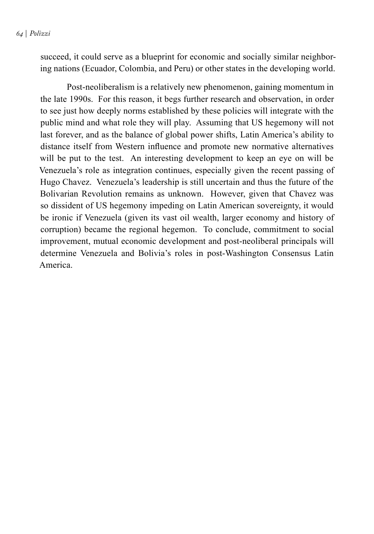succeed, it could serve as a blueprint for economic and socially similar neighboring nations (Ecuador, Colombia, and Peru) or other states in the developing world.

Post-neoliberalism is a relatively new phenomenon, gaining momentum in the late 1990s. For this reason, it begs further research and observation, in order to see just how deeply norms established by these policies will integrate with the public mind and what role they will play. Assuming that US hegemony will not last forever, and as the balance of global power shifts, Latin America's ability to distance itself from Western influence and promote new normative alternatives will be put to the test. An interesting development to keep an eye on will be Venezuela's role as integration continues, especially given the recent passing of Hugo Chavez. Venezuela's leadership is still uncertain and thus the future of the Bolivarian Revolution remains as unknown. However, given that Chavez was so dissident of US hegemony impeding on Latin American sovereignty, it would be ironic if Venezuela (given its vast oil wealth, larger economy and history of corruption) became the regional hegemon. To conclude, commitment to social improvement, mutual economic development and post-neoliberal principals will determine Venezuela and Bolivia's roles in post-Washington Consensus Latin America.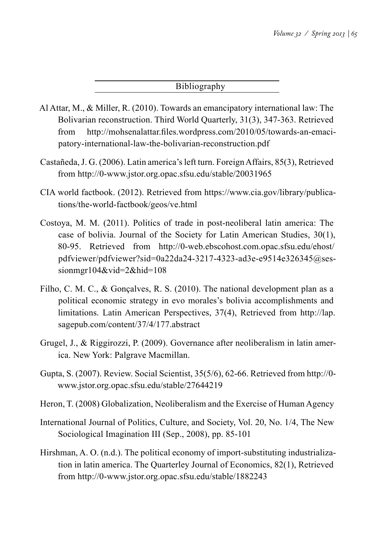#### Bibliography

- Al Attar, M., & Miller, R. (2010). Towards an emancipatory international law: The Bolivarian reconstruction. Third World Quarterly, 31(3), 347-363. Retrieved from [http://mohsenalattar.files.wordpress.com/2010/05/towards-an-emaci](http://mohsenalattar.files.wordpress.com/2010/05/towards-an-emacipatory-international-law-the-bolivarian-reconstruction.pdf)[patory-international-law-the-bolivarian-reconstruction.pdf](http://mohsenalattar.files.wordpress.com/2010/05/towards-an-emacipatory-international-law-the-bolivarian-reconstruction.pdf)
- Castañeda, J. G. (2006). Latin america's left turn. Foreign Affairs, 85(3), Retrieved from http://0-www.jstor.org.opac.sfsu.edu/stable/20031965
- CIA world factbook. (2012). Retrieved from https://www.cia.gov/library/publications/the-world-factbook/geos/ve.html
- Costoya, M. M. (2011). Politics of trade in post-neoliberal latin america: The case of bolivia. Journal of the Society for Latin American Studies, 30(1), 80-95. Retrieved from http://0-web.ebscohost.com.opac.sfsu.edu/ehost/ pdfviewer/pdfviewer?sid=0a22da24-3217-4323-ad3e-e9514e326345@sessionmgr104&vid=2&hid=108
- Filho, C. M. C., & Gonçalves, R. S. (2010). The national development plan as a political economic strategy in evo morales's bolivia accomplishments and limitations. Latin American Perspectives, 37(4), Retrieved from http://lap. sagepub.com/content/37/4/177.abstract
- Grugel, J., & Riggirozzi, P. (2009). Governance after neoliberalism in latin america. New York: Palgrave Macmillan.
- Gupta, S. (2007). Review. Social Scientist, 35(5/6), 62-66. Retrieved from http://0 www.jstor.org.opac.sfsu.edu/stable/27644219
- Heron, T. (2008) Globalization, Neoliberalism and the Exercise of Human Agency
- International Journal of Politics, Culture, and Society, Vol. 20, No. 1/4, The New Sociological Imagination III (Sep., 2008), pp. 85-101
- Hirshman, A. O. (n.d.). The political economy of import-substituting industrialization in latin america. The Quarterley Journal of Economics, 82(1), Retrieved from <http://0-www.jstor.org.opac.sfsu.edu/stable/1882243>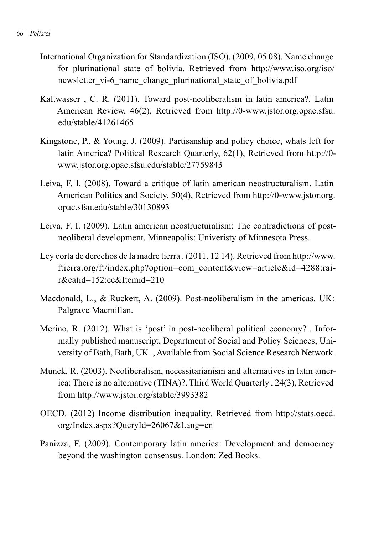- International Organization for Standardization (ISO). (2009, 05 08). Name change for plurinational state of bolivia. Retrieved from http://www.iso.org/iso/ newsletter vi-6 name change plurinational state of bolivia.pdf
- Kaltwasser , C. R. (2011). Toward post-neoliberalism in latin america?. Latin American Review, 46(2), Retrieved from [http://0-www.jstor.org.opac.sfsu.](http://0-www.jstor.org.opac.sfsu.edu/stable/41261465) [edu/stable/41261465](http://0-www.jstor.org.opac.sfsu.edu/stable/41261465)
- Kingstone, P., & Young, J. (2009). Partisanship and policy choice, whats left for latin America? Political Research Quarterly, 62(1), Retrieved from http://0 www.jstor.org.opac.sfsu.edu/stable/27759843
- Leiva, F. I. (2008). Toward a critique of latin american neostructuralism. Latin American Politics and Society, 50(4), Retrieved from [http://0-www.jstor.org.](http://0-www.jstor.org.opac.sfsu.edu/stable/30130893) [opac.sfsu.edu/stable/30130893](http://0-www.jstor.org.opac.sfsu.edu/stable/30130893)
- Leiva, F. I. (2009). Latin american neostructuralism: The contradictions of postneoliberal development. Minneapolis: Univeristy of Minnesota Press.
- Ley corta de derechos de la madre tierra . (2011, 12 14). Retrieved from http://www. ftierra.org/ft/index.php?option=com\_content&view=article&id=4288:rair&catid=152:cc&Itemid=210
- Macdonald, L., & Ruckert, A. (2009). Post-neoliberalism in the americas. UK: Palgrave Macmillan.
- Merino, R. (2012). What is 'post' in post-neoliberal political economy? . Informally published manuscript, Department of Social and Policy Sciences, University of Bath, Bath, UK. , Available from Social Science Research Network.
- Munck, R. (2003). Neoliberalism, necessitarianism and alternatives in latin america: There is no alternative (TINA)?. Third World Quarterly , 24(3), Retrieved from http://www.jstor.org/stable/3993382
- OECD. (2012) Income distribution inequality. Retrieved from [http://stats.oecd.](http://stats.oecd.org/Index.aspx?QueryId=26067&Lang=en) [org/Index.aspx?QueryId=26067&Lang=en](http://stats.oecd.org/Index.aspx?QueryId=26067&Lang=en)
- Panizza, F. (2009). Contemporary latin america: Development and democracy beyond the washington consensus. London: Zed Books.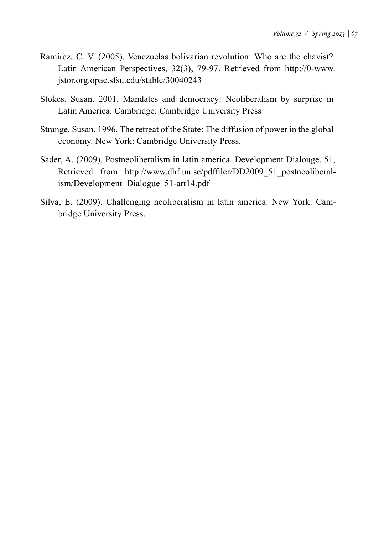- Ramírez, C. V. (2005). Venezuelas bolivarian revolution: Who are the chavist?. Latin American Perspectives, 32(3), 79-97. Retrieved from http://0-www. jstor.org.opac.sfsu.edu/stable/30040243
- Stokes, Susan. 2001. Mandates and democracy: Neoliberalism by surprise in Latin America. Cambridge: Cambridge University Press
- Strange, Susan. 1996. The retreat of the State: The diffusion of power in the global economy. New York: Cambridge University Press.
- Sader, A. (2009). Postneoliberalism in latin america. Development Dialouge, 51, Retrieved from [http://www.dhf.uu.se/pdffiler/](http://www.dhf.uu.se/pdffiler/DD2009_51_postneoliberalism/Development_Dialogue_51-art14.pdf)DD2009\_51\_postneoliberal[ism/Development\\_Dialogue\\_51-art14.pdf](http://www.dhf.uu.se/pdffiler/DD2009_51_postneoliberalism/Development_Dialogue_51-art14.pdf)
- Silva, E. (2009). Challenging neoliberalism in latin america. New York: Cambridge University Press.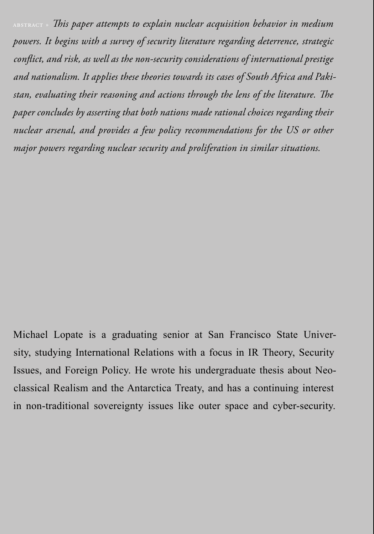abstract » *This paper attempts to explain nuclear acquisition behavior in medium powers. It begins with a survey of security literature regarding deterrence, strategic conflict, and risk, as well as the non-security considerations of international prestige and nationalism. It applies these theories towards its cases of South Africa and Pakistan, evaluating their reasoning and actions through the lens of the literature. The paper concludes by asserting that both nations made rational choices regarding their nuclear arsenal, and provides a few policy recommendations for the US or other major powers regarding nuclear security and proliferation in similar situations.*

Michael Lopate is a graduating senior at San Francisco State University, studying International Relations with a focus in IR Theory, Security Issues, and Foreign Policy. He wrote his undergraduate thesis about Neoclassical Realism and the Antarctica Treaty, and has a continuing interest in non-traditional sovereignty issues like outer space and cyber-security.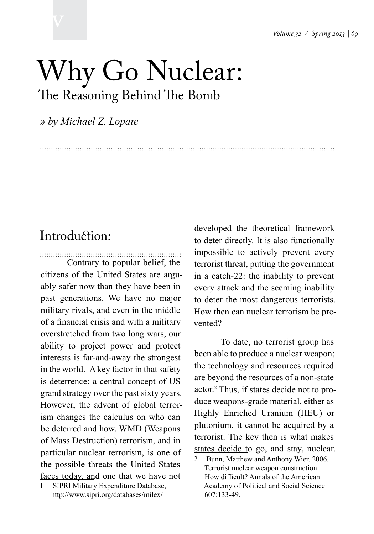### Why Go Nuclear: The Reasoning Behind The Bomb

#### *» by Michael Z. Lopate*

v

#### Introduction:

Contrary to popular belief, the citizens of the United States are arguably safer now than they have been in past generations. We have no major military rivals, and even in the middle of a financial crisis and with a military overstretched from two long wars, our ability to project power and protect interests is far-and-away the strongest in the world.<sup>1</sup> A key factor in that safety is deterrence: a central concept of US grand strategy over the past sixty years. However, the advent of global terrorism changes the calculus on who can be deterred and how. WMD (Weapons of Mass Destruction) terrorism, and in particular nuclear terrorism, is one of the possible threats the United States faces today, and one that we have not

developed the theoretical framework to deter directly. It is also functionally impossible to actively prevent every terrorist threat, putting the government in a catch-22: the inability to prevent every attack and the seeming inability to deter the most dangerous terrorists. How then can nuclear terrorism be prevented?

To date, no terrorist group has been able to produce a nuclear weapon; the technology and resources required are beyond the resources of a non-state actor.2 Thus, if states decide not to produce weapons-grade material, either as Highly Enriched Uranium (HEU) or plutonium, it cannot be acquired by a terrorist. The key then is what makes states decide to go, and stay, nuclear.

<sup>1</sup> SIPRI Military Expenditure Database, http://www.sipri.org/databases/milex/

<sup>2</sup> Bunn, Matthew and Anthony Wier. 2006. Terrorist nuclear weapon construction: How difficult? Annals of the American Academy of Political and Social Science 607:133-49.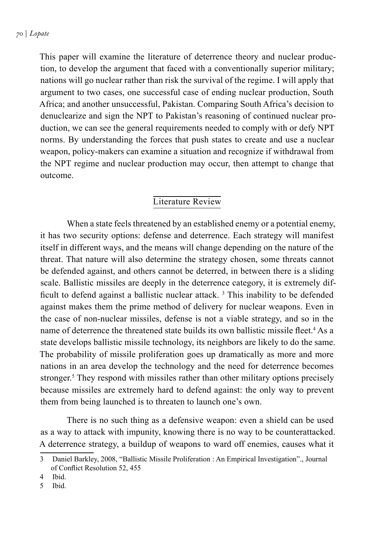This paper will examine the literature of deterrence theory and nuclear production, to develop the argument that faced with a conventionally superior military; nations will go nuclear rather than risk the survival of the regime. I will apply that argument to two cases, one successful case of ending nuclear production, South Africa; and another unsuccessful, Pakistan. Comparing South Africa's decision to denuclearize and sign the NPT to Pakistan's reasoning of continued nuclear production, we can see the general requirements needed to comply with or defy NPT norms. By understanding the forces that push states to create and use a nuclear weapon, policy-makers can examine a situation and recognize if withdrawal from the NPT regime and nuclear production may occur, then attempt to change that outcome.

#### Literature Review

When a state feels threatened by an established enemy or a potential enemy, it has two security options: defense and deterrence. Each strategy will manifest itself in different ways, and the means will change depending on the nature of the threat. That nature will also determine the strategy chosen, some threats cannot be defended against, and others cannot be deterred, in between there is a sliding scale. Ballistic missiles are deeply in the deterrence category, it is extremely difficult to defend against a ballistic nuclear attack.<sup>3</sup> This inability to be defended against makes them the prime method of delivery for nuclear weapons. Even in the case of non-nuclear missiles, defense is not a viable strategy, and so in the name of deterrence the threatened state builds its own ballistic missile fleet.<sup>4</sup> As a state develops ballistic missile technology, its neighbors are likely to do the same. The probability of missile proliferation goes up dramatically as more and more nations in an area develop the technology and the need for deterrence becomes stronger.<sup>5</sup> They respond with missiles rather than other military options precisely because missiles are extremely hard to defend against: the only way to prevent them from being launched is to threaten to launch one's own.

There is no such thing as a defensive weapon: even a shield can be used as a way to attack with impunity, knowing there is no way to be counterattacked. A deterrence strategy, a buildup of weapons to ward off enemies, causes what it

<sup>3</sup> Daniel Barkley, 2008, "Ballistic Missile Proliferation : An Empirical Investigation"., Journal of Conflict Resolution 52, 455

<sup>4</sup> Ibid.

<sup>5</sup> Ibid.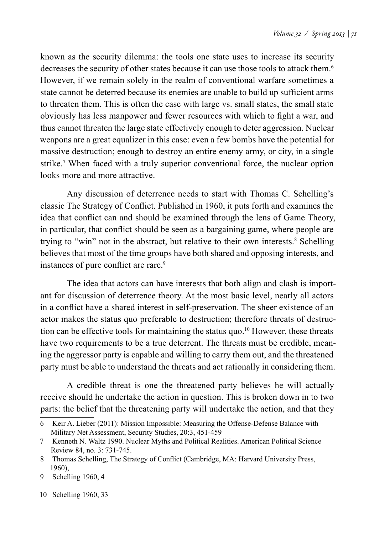known as the security dilemma: the tools one state uses to increase its security decreases the security of other states because it can use those tools to attack them.<sup>6</sup> However, if we remain solely in the realm of conventional warfare sometimes a state cannot be deterred because its enemies are unable to build up sufficient arms to threaten them. This is often the case with large vs. small states, the small state obviously has less manpower and fewer resources with which to fight a war, and thus cannot threaten the large state effectively enough to deter aggression. Nuclear weapons are a great equalizer in this case: even a few bombs have the potential for massive destruction; enough to destroy an entire enemy army, or city, in a single strike.7 When faced with a truly superior conventional force, the nuclear option looks more and more attractive.

Any discussion of deterrence needs to start with Thomas C. Schelling's classic The Strategy of Conflict. Published in 1960, it puts forth and examines the idea that conflict can and should be examined through the lens of Game Theory, in particular, that conflict should be seen as a bargaining game, where people are trying to "win" not in the abstract, but relative to their own interests.<sup>8</sup> Schelling believes that most of the time groups have both shared and opposing interests, and instances of pure conflict are rare.<sup>9</sup>

The idea that actors can have interests that both align and clash is important for discussion of deterrence theory. At the most basic level, nearly all actors in a conflict have a shared interest in self-preservation. The sheer existence of an actor makes the status quo preferable to destruction; therefore threats of destruction can be effective tools for maintaining the status quo.10 However, these threats have two requirements to be a true deterrent. The threats must be credible, meaning the aggressor party is capable and willing to carry them out, and the threatened party must be able to understand the threats and act rationally in considering them.

A credible threat is one the threatened party believes he will actually receive should he undertake the action in question. This is broken down in to two parts: the belief that the threatening party will undertake the action, and that they

<sup>6</sup> Keir A. Lieber (2011): Mission Impossible: Measuring the Offense-Defense Balance with Military Net Assessment, Security Studies, 20:3, 451-459

<sup>7</sup> Kenneth N. Waltz 1990. Nuclear Myths and Political Realities. American Political Science Review 84, no. 3: 731-745.

<sup>8</sup> Thomas Schelling, The Strategy of Conflict (Cambridge, MA: Harvard University Press, 1960),

<sup>9</sup> Schelling 1960, 4

<sup>10</sup> Schelling 1960, 33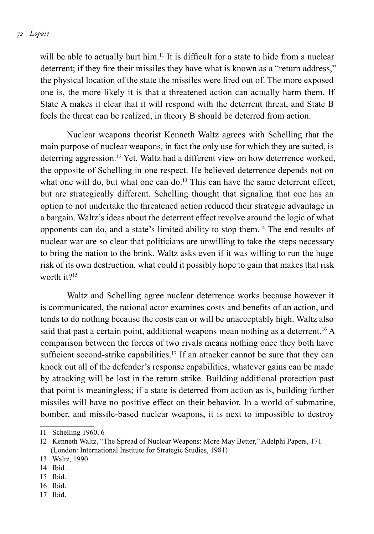will be able to actually hurt him.<sup>11</sup> It is difficult for a state to hide from a nuclear deterrent; if they fire their missiles they have what is known as a "return address," the physical location of the state the missiles were fired out of. The more exposed one is, the more likely it is that a threatened action can actually harm them. If State A makes it clear that it will respond with the deterrent threat, and State B feels the threat can be realized, in theory B should be deterred from action.

Nuclear weapons theorist Kenneth Waltz agrees with Schelling that the main purpose of nuclear weapons, in fact the only use for which they are suited, is deterring aggression.<sup>12</sup> Yet, Waltz had a different view on how deterrence worked, the opposite of Schelling in one respect. He believed deterrence depends not on what one will do, but what one can do.<sup>13</sup> This can have the same deterrent effect, but are strategically different. Schelling thought that signaling that one has an option to not undertake the threatened action reduced their strategic advantage in a bargain. Waltz's ideas about the deterrent effect revolve around the logic of what opponents can do, and a state's limited ability to stop them.14 The end results of nuclear war are so clear that politicians are unwilling to take the steps necessary to bring the nation to the brink. Waltz asks even if it was willing to run the huge risk of its own destruction, what could it possibly hope to gain that makes that risk worth  $it$ <sup>15</sup>

Waltz and Schelling agree nuclear deterrence works because however it is communicated, the rational actor examines costs and benefits of an action, and tends to do nothing because the costs can or will be unacceptably high. Waltz also said that past a certain point, additional weapons mean nothing as a deterrent.<sup>16</sup> A comparison between the forces of two rivals means nothing once they both have sufficient second-strike capabilities.<sup>17</sup> If an attacker cannot be sure that they can knock out all of the defender's response capabilities, whatever gains can be made by attacking will be lost in the return strike. Building additional protection past that point is meaningless; if a state is deterred from action as is, building further missiles will have no positive effect on their behavior. In a world of submarine, bomber, and missile-based nuclear weapons, it is next to impossible to destroy

- 14 Ibid.
- 15 Ibid.
- 16 Ibid.
- 17 Ibid.

<sup>11</sup> Schelling 1960, 6

<sup>12</sup> Kenneth Waltz, "The Spread of Nuclear Weapons: More May Better," Adelphi Papers, 171 (London: International Institute for Strategic Studies, 1981)

<sup>13</sup> Waltz, 1990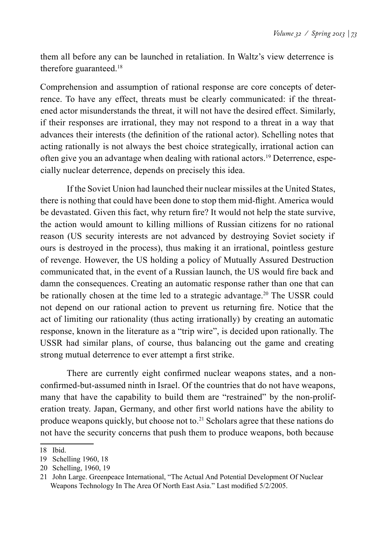them all before any can be launched in retaliation. In Waltz's view deterrence is therefore guaranteed.<sup>18</sup>

Comprehension and assumption of rational response are core concepts of deterrence. To have any effect, threats must be clearly communicated: if the threatened actor misunderstands the threat, it will not have the desired effect. Similarly, if their responses are irrational, they may not respond to a threat in a way that advances their interests (the definition of the rational actor). Schelling notes that acting rationally is not always the best choice strategically, irrational action can often give you an advantage when dealing with rational actors.19 Deterrence, especially nuclear deterrence, depends on precisely this idea.

If the Soviet Union had launched their nuclear missiles at the United States, there is nothing that could have been done to stop them mid-flight. America would be devastated. Given this fact, why return fire? It would not help the state survive, the action would amount to killing millions of Russian citizens for no rational reason (US security interests are not advanced by destroying Soviet society if ours is destroyed in the process), thus making it an irrational, pointless gesture of revenge. However, the US holding a policy of Mutually Assured Destruction communicated that, in the event of a Russian launch, the US would fire back and damn the consequences. Creating an automatic response rather than one that can be rationally chosen at the time led to a strategic advantage.<sup>20</sup> The USSR could not depend on our rational action to prevent us returning fire. Notice that the act of limiting our rationality (thus acting irrationally) by creating an automatic response, known in the literature as a "trip wire", is decided upon rationally. The USSR had similar plans, of course, thus balancing out the game and creating strong mutual deterrence to ever attempt a first strike.

There are currently eight confirmed nuclear weapons states, and a nonconfirmed-but-assumed ninth in Israel. Of the countries that do not have weapons, many that have the capability to build them are "restrained" by the non-proliferation treaty. Japan, Germany, and other first world nations have the ability to produce weapons quickly, but choose not to.21 Scholars agree that these nations do not have the security concerns that push them to produce weapons, both because

<sup>18</sup> Ibid.

<sup>19</sup> Schelling 1960, 18

<sup>20</sup> Schelling, 1960, 19

<sup>21</sup> John Large. Greenpeace International, "The Actual And Potential Development Of Nuclear Weapons Technology In The Area Of North East Asia." Last modified 5/2/2005.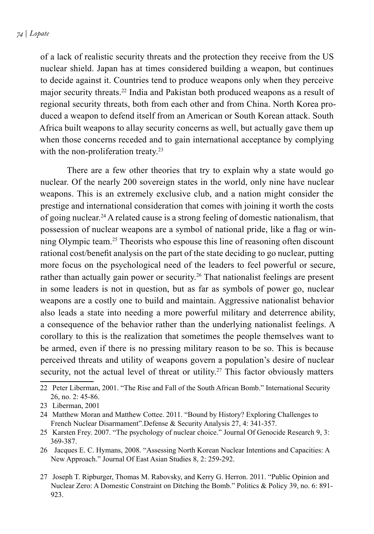of a lack of realistic security threats and the protection they receive from the US nuclear shield. Japan has at times considered building a weapon, but continues to decide against it. Countries tend to produce weapons only when they perceive major security threats.22 India and Pakistan both produced weapons as a result of regional security threats, both from each other and from China. North Korea produced a weapon to defend itself from an American or South Korean attack. South Africa built weapons to allay security concerns as well, but actually gave them up when those concerns receded and to gain international acceptance by complying with the non-proliferation treaty.<sup>23</sup>

There are a few other theories that try to explain why a state would go nuclear. Of the nearly 200 sovereign states in the world, only nine have nuclear weapons. This is an extremely exclusive club, and a nation might consider the prestige and international consideration that comes with joining it worth the costs of going nuclear.24 A related cause is a strong feeling of domestic nationalism, that possession of nuclear weapons are a symbol of national pride, like a flag or winning Olympic team.25 Theorists who espouse this line of reasoning often discount rational cost/benefit analysis on the part of the state deciding to go nuclear, putting more focus on the psychological need of the leaders to feel powerful or secure, rather than actually gain power or security.<sup>26</sup> That nationalist feelings are present in some leaders is not in question, but as far as symbols of power go, nuclear weapons are a costly one to build and maintain. Aggressive nationalist behavior also leads a state into needing a more powerful military and deterrence ability, a consequence of the behavior rather than the underlying nationalist feelings. A corollary to this is the realization that sometimes the people themselves want to be armed, even if there is no pressing military reason to be so. This is because perceived threats and utility of weapons govern a population's desire of nuclear security, not the actual level of threat or utility.<sup>27</sup> This factor obviously matters

26 Jacques E. C. Hymans, 2008. "Assessing North Korean Nuclear Intentions and Capacities: A New Approach." Journal Of East Asian Studies 8, 2: 259-292.

<sup>22</sup> Peter Liberman, 2001. "The Rise and Fall of the South African Bomb." International Security 26, no. 2: 45-86.

<sup>23</sup> Liberman, 2001

<sup>24</sup> Matthew Moran and Matthew Cottee. 2011. "Bound by History? Exploring Challenges to French Nuclear Disarmament".Defense & Security Analysis 27, 4: 341-357.

<sup>25</sup> Karsten Frey. 2007. "The psychology of nuclear choice." Journal Of Genocide Research 9, 3: 369-387.

<sup>27</sup> Joseph T. Ripburger, Thomas M. Rabovsky, and Kerry G. Herron. 2011. "Public Opinion and Nuclear Zero: A Domestic Constraint on Ditching the Bomb." Politics & Policy 39, no. 6: 891- 923.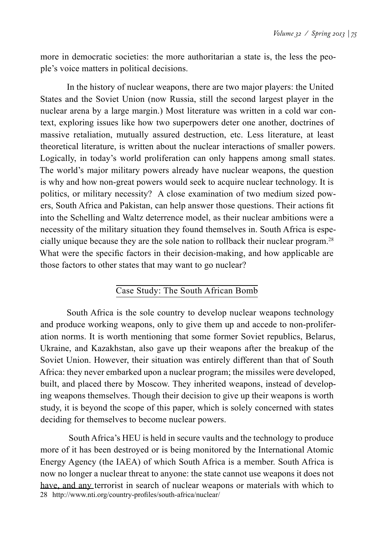more in democratic societies: the more authoritarian a state is, the less the people's voice matters in political decisions.

In the history of nuclear weapons, there are two major players: the United States and the Soviet Union (now Russia, still the second largest player in the nuclear arena by a large margin.) Most literature was written in a cold war context, exploring issues like how two superpowers deter one another, doctrines of massive retaliation, mutually assured destruction, etc. Less literature, at least theoretical literature, is written about the nuclear interactions of smaller powers. Logically, in today's world proliferation can only happens among small states. The world's major military powers already have nuclear weapons, the question is why and how non-great powers would seek to acquire nuclear technology. It is politics, or military necessity? A close examination of two medium sized powers, South Africa and Pakistan, can help answer those questions. Their actions fit into the Schelling and Waltz deterrence model, as their nuclear ambitions were a necessity of the military situation they found themselves in. South Africa is especially unique because they are the sole nation to rollback their nuclear program.28 What were the specific factors in their decision-making, and how applicable are those factors to other states that may want to go nuclear?

## Case Study: The South African Bomb

South Africa is the sole country to develop nuclear weapons technology and produce working weapons, only to give them up and accede to non-proliferation norms. It is worth mentioning that some former Soviet republics, Belarus, Ukraine, and Kazakhstan, also gave up their weapons after the breakup of the Soviet Union. However, their situation was entirely different than that of South Africa: they never embarked upon a nuclear program; the missiles were developed, built, and placed there by Moscow. They inherited weapons, instead of developing weapons themselves. Though their decision to give up their weapons is worth study, it is beyond the scope of this paper, which is solely concerned with states deciding for themselves to become nuclear powers.

 South Africa's HEU is held in secure vaults and the technology to produce more of it has been destroyed or is being monitored by the International Atomic Energy Agency (the IAEA) of which South Africa is a member. South Africa is now no longer a nuclear threat to anyone: the state cannot use weapons it does not have, and any terrorist in search of nuclear weapons or materials with which to 28 http://www.nti.org/country-profiles/south-africa/nuclear/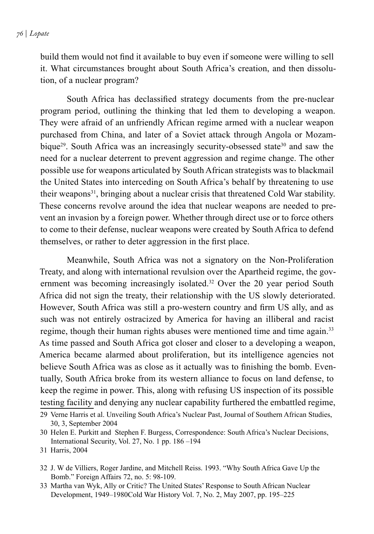build them would not find it available to buy even if someone were willing to sell it. What circumstances brought about South Africa's creation, and then dissolution, of a nuclear program?

South Africa has declassified strategy documents from the pre-nuclear program period, outlining the thinking that led them to developing a weapon. They were afraid of an unfriendly African regime armed with a nuclear weapon purchased from China, and later of a Soviet attack through Angola or Mozambique<sup>29</sup>. South Africa was an increasingly security-obsessed state<sup>30</sup> and saw the need for a nuclear deterrent to prevent aggression and regime change. The other possible use for weapons articulated by South African strategists was to blackmail the United States into interceding on South Africa's behalf by threatening to use their weapons<sup>31</sup>, bringing about a nuclear crisis that threatened Cold War stability. These concerns revolve around the idea that nuclear weapons are needed to prevent an invasion by a foreign power. Whether through direct use or to force others to come to their defense, nuclear weapons were created by South Africa to defend themselves, or rather to deter aggression in the first place.

Meanwhile, South Africa was not a signatory on the Non-Proliferation Treaty, and along with international revulsion over the Apartheid regime, the government was becoming increasingly isolated.<sup>32</sup> Over the 20 year period South Africa did not sign the treaty, their relationship with the US slowly deteriorated. However, South Africa was still a pro-western country and firm US ally, and as such was not entirely ostracized by America for having an illiberal and racist regime, though their human rights abuses were mentioned time and time again.<sup>33</sup> As time passed and South Africa got closer and closer to a developing a weapon, America became alarmed about proliferation, but its intelligence agencies not believe South Africa was as close as it actually was to finishing the bomb. Eventually, South Africa broke from its western alliance to focus on land defense, to keep the regime in power. This, along with refusing US inspection of its possible testing facility and denying any nuclear capability furthered the embattled regime,

33 Martha van Wyk, Ally or Critic? The United States' Response to South African Nuclear Development, 1949–1980Cold War History Vol. 7, No. 2, May 2007, pp. 195–225

<sup>29</sup> Verne Harris et al. Unveiling South Africa's Nuclear Past, Journal of Southern African Studies, 30, 3, September 2004

<sup>30</sup> Helen E. Purkitt and Stephen F. Burgess, Correspondence: South Africa's Nuclear Decisions, International Security, Vol. 27, No. 1 pp. 186 –194

<sup>31</sup> Harris, 2004

<sup>32</sup> J. W de Villiers, Roger Jardine, and Mitchell Reiss. 1993. "Why South Africa Gave Up the Bomb." Foreign Affairs 72, no. 5: 98-109.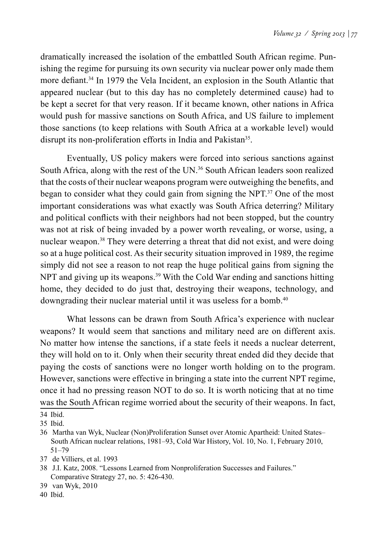dramatically increased the isolation of the embattled South African regime. Punishing the regime for pursuing its own security via nuclear power only made them more defiant.<sup>34</sup> In 1979 the Vela Incident, an explosion in the South Atlantic that appeared nuclear (but to this day has no completely determined cause) had to be kept a secret for that very reason. If it became known, other nations in Africa would push for massive sanctions on South Africa, and US failure to implement those sanctions (to keep relations with South Africa at a workable level) would disrupt its non-proliferation efforts in India and Pakistan<sup>35</sup>.

Eventually, US policy makers were forced into serious sanctions against South Africa, along with the rest of the UN. 36 South African leaders soon realized that the costs of their nuclear weapons program were outweighing the benefits, and began to consider what they could gain from signing the NPT. 37 One of the most important considerations was what exactly was South Africa deterring? Military and political conflicts with their neighbors had not been stopped, but the country was not at risk of being invaded by a power worth revealing, or worse, using, a nuclear weapon.38 They were deterring a threat that did not exist, and were doing so at a huge political cost. As their security situation improved in 1989, the regime simply did not see a reason to not reap the huge political gains from signing the NPT and giving up its weapons.39 With the Cold War ending and sanctions hitting home, they decided to do just that, destroying their weapons, technology, and downgrading their nuclear material until it was useless for a bomb.<sup>40</sup>

What lessons can be drawn from South Africa's experience with nuclear weapons? It would seem that sanctions and military need are on different axis. No matter how intense the sanctions, if a state feels it needs a nuclear deterrent, they will hold on to it. Only when their security threat ended did they decide that paying the costs of sanctions were no longer worth holding on to the program. However, sanctions were effective in bringing a state into the current NPT regime, once it had no pressing reason NOT to do so. It is worth noticing that at no time was the South African regime worried about the security of their weapons. In fact,

<sup>34</sup> Ibid.

<sup>35</sup> Ibid.

<sup>36</sup> Martha van Wyk, Nuclear (Non)Proliferation Sunset over Atomic Apartheid: United States– South African nuclear relations, 1981–93, Cold War History, Vol. 10, No. 1, February 2010, 51–79

<sup>37</sup> de Villiers, et al. 1993

<sup>38</sup> J.I. Katz, 2008. "Lessons Learned from Nonproliferation Successes and Failures." Comparative Strategy 27, no. 5: 426-430.

<sup>39</sup> van Wyk, 2010

<sup>40</sup> Ibid.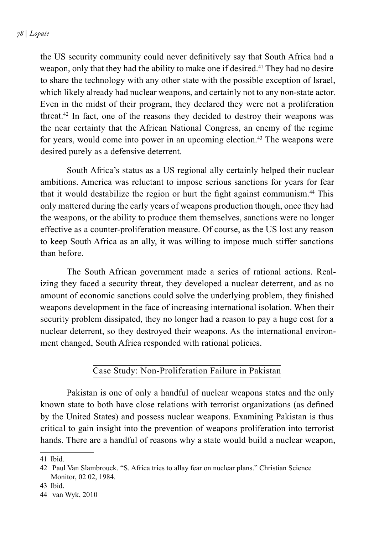the US security community could never definitively say that South Africa had a weapon, only that they had the ability to make one if desired.<sup>41</sup> They had no desire to share the technology with any other state with the possible exception of Israel, which likely already had nuclear weapons, and certainly not to any non-state actor. Even in the midst of their program, they declared they were not a proliferation threat.42 In fact, one of the reasons they decided to destroy their weapons was the near certainty that the African National Congress, an enemy of the regime for years, would come into power in an upcoming election.<sup>43</sup> The weapons were desired purely as a defensive deterrent.

South Africa's status as a US regional ally certainly helped their nuclear ambitions. America was reluctant to impose serious sanctions for years for fear that it would destabilize the region or hurt the fight against communism.44 This only mattered during the early years of weapons production though, once they had the weapons, or the ability to produce them themselves, sanctions were no longer effective as a counter-proliferation measure. Of course, as the US lost any reason to keep South Africa as an ally, it was willing to impose much stiffer sanctions than before.

The South African government made a series of rational actions. Realizing they faced a security threat, they developed a nuclear deterrent, and as no amount of economic sanctions could solve the underlying problem, they finished weapons development in the face of increasing international isolation. When their security problem dissipated, they no longer had a reason to pay a huge cost for a nuclear deterrent, so they destroyed their weapons. As the international environment changed, South Africa responded with rational policies.

## Case Study: Non-Proliferation Failure in Pakistan

Pakistan is one of only a handful of nuclear weapons states and the only known state to both have close relations with terrorist organizations (as defined by the United States) and possess nuclear weapons. Examining Pakistan is thus critical to gain insight into the prevention of weapons proliferation into terrorist hands. There are a handful of reasons why a state would build a nuclear weapon,

<sup>41</sup> Ibid.

<sup>42</sup> Paul Van Slambrouck. "S. Africa tries to allay fear on nuclear plans." Christian Science Monitor, 02 02, 1984.

<sup>43</sup> Ibid.

<sup>44</sup> van Wyk, 2010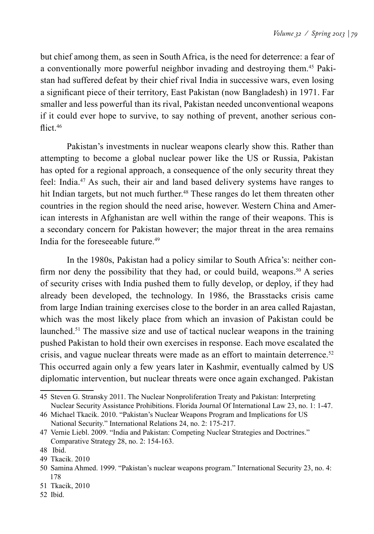but chief among them, as seen in South Africa, is the need for deterrence: a fear of a conventionally more powerful neighbor invading and destroying them.45 Pakistan had suffered defeat by their chief rival India in successive wars, even losing a significant piece of their territory, East Pakistan (now Bangladesh) in 1971. Far smaller and less powerful than its rival, Pakistan needed unconventional weapons if it could ever hope to survive, to say nothing of prevent, another serious conflict.<sup>46</sup>

Pakistan's investments in nuclear weapons clearly show this. Rather than attempting to become a global nuclear power like the US or Russia, Pakistan has opted for a regional approach, a consequence of the only security threat they feel: India.47 As such, their air and land based delivery systems have ranges to hit Indian targets, but not much further.<sup>48</sup> These ranges do let them threaten other countries in the region should the need arise, however. Western China and American interests in Afghanistan are well within the range of their weapons. This is a secondary concern for Pakistan however; the major threat in the area remains India for the foreseeable future.49

In the 1980s, Pakistan had a policy similar to South Africa's: neither confirm nor deny the possibility that they had, or could build, weapons.<sup>50</sup> A series of security crises with India pushed them to fully develop, or deploy, if they had already been developed, the technology. In 1986, the Brasstacks crisis came from large Indian training exercises close to the border in an area called Rajastan, which was the most likely place from which an invasion of Pakistan could be launched.51 The massive size and use of tactical nuclear weapons in the training pushed Pakistan to hold their own exercises in response. Each move escalated the crisis, and vague nuclear threats were made as an effort to maintain deterrence. $52$ This occurred again only a few years later in Kashmir, eventually calmed by US diplomatic intervention, but nuclear threats were once again exchanged. Pakistan

<sup>45</sup> Steven G. Stransky 2011. The Nuclear Nonproliferation Treaty and Pakistan: Interpreting Nuclear Security Assistance Prohibitions. Florida Journal Of International Law 23, no. 1: 1-47.

<sup>46</sup> Michael Tkacik. 2010. "Pakistan's Nuclear Weapons Program and Implications for US National Security." International Relations 24, no. 2: 175-217.

<sup>47</sup> Vernie Liebl. 2009. "India and Pakistan: Competing Nuclear Strategies and Doctrines." Comparative Strategy 28, no. 2: 154-163.

<sup>48</sup> Ibid.

<sup>49</sup> Tkacik. 2010

<sup>50</sup> Samina Ahmed. 1999. "Pakistan's nuclear weapons program." International Security 23, no. 4: 178

<sup>51</sup> Tkacik, 2010

<sup>52</sup> Ibid.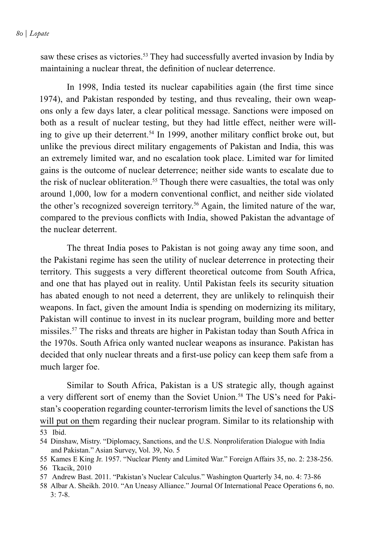saw these crises as victories.<sup>53</sup> They had successfully averted invasion by India by maintaining a nuclear threat, the definition of nuclear deterrence.

In 1998, India tested its nuclear capabilities again (the first time since 1974), and Pakistan responded by testing, and thus revealing, their own weapons only a few days later, a clear political message. Sanctions were imposed on both as a result of nuclear testing, but they had little effect, neither were willing to give up their deterrent.54 In 1999, another military conflict broke out, but unlike the previous direct military engagements of Pakistan and India, this was an extremely limited war, and no escalation took place. Limited war for limited gains is the outcome of nuclear deterrence; neither side wants to escalate due to the risk of nuclear obliteration.<sup>55</sup> Though there were casualties, the total was only around 1,000, low for a modern conventional conflict, and neither side violated the other's recognized sovereign territory.<sup>56</sup> Again, the limited nature of the war, compared to the previous conflicts with India, showed Pakistan the advantage of the nuclear deterrent.

The threat India poses to Pakistan is not going away any time soon, and the Pakistani regime has seen the utility of nuclear deterrence in protecting their territory. This suggests a very different theoretical outcome from South Africa, and one that has played out in reality. Until Pakistan feels its security situation has abated enough to not need a deterrent, they are unlikely to relinquish their weapons. In fact, given the amount India is spending on modernizing its military, Pakistan will continue to invest in its nuclear program, building more and better missiles.57 The risks and threats are higher in Pakistan today than South Africa in the 1970s. South Africa only wanted nuclear weapons as insurance. Pakistan has decided that only nuclear threats and a first-use policy can keep them safe from a much larger foe.

Similar to South Africa, Pakistan is a US strategic ally, though against a very different sort of enemy than the Soviet Union.58 The US's need for Pakistan's cooperation regarding counter-terrorism limits the level of sanctions the US will put on them regarding their nuclear program. Similar to its relationship with 53 Ibid.

<sup>54</sup> Dinshaw, Mistry. "Diplomacy, Sanctions, and the U.S. Nonproliferation Dialogue with India and Pakistan." Asian Survey, Vol. 39, No. 5

<sup>55</sup> Kames E King Jr. 1957. "Nuclear Plenty and Limited War." Foreign Affairs 35, no. 2: 238-256.

<sup>56</sup> Tkacik, 2010

<sup>57</sup> Andrew Bast. 2011. "Pakistan's Nuclear Calculus." Washington Quarterly 34, no. 4: 73-86

<sup>58</sup> Albar A. Sheikh. 2010. "An Uneasy Alliance." Journal Of International Peace Operations 6, no. 3: 7-8.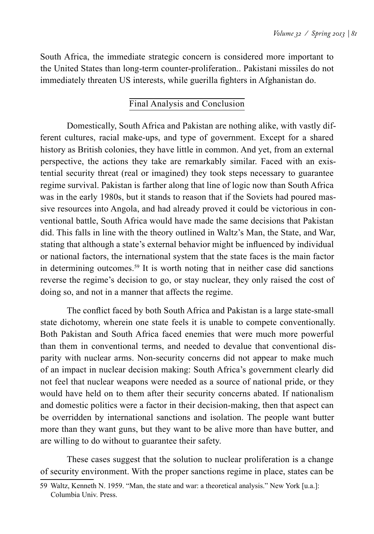South Africa, the immediate strategic concern is considered more important to the United States than long-term counter-proliferation.. Pakistani missiles do not immediately threaten US interests, while guerilla fighters in Afghanistan do.

# Final Analysis and Conclusion

Domestically, South Africa and Pakistan are nothing alike, with vastly different cultures, racial make-ups, and type of government. Except for a shared history as British colonies, they have little in common. And yet, from an external perspective, the actions they take are remarkably similar. Faced with an existential security threat (real or imagined) they took steps necessary to guarantee regime survival. Pakistan is farther along that line of logic now than South Africa was in the early 1980s, but it stands to reason that if the Soviets had poured massive resources into Angola, and had already proved it could be victorious in conventional battle, South Africa would have made the same decisions that Pakistan did. This falls in line with the theory outlined in Waltz's Man, the State, and War, stating that although a state's external behavior might be influenced by individual or national factors, the international system that the state faces is the main factor in determining outcomes.<sup>59</sup> It is worth noting that in neither case did sanctions reverse the regime's decision to go, or stay nuclear, they only raised the cost of doing so, and not in a manner that affects the regime.

The conflict faced by both South Africa and Pakistan is a large state-small state dichotomy, wherein one state feels it is unable to compete conventionally. Both Pakistan and South Africa faced enemies that were much more powerful than them in conventional terms, and needed to devalue that conventional disparity with nuclear arms. Non-security concerns did not appear to make much of an impact in nuclear decision making: South Africa's government clearly did not feel that nuclear weapons were needed as a source of national pride, or they would have held on to them after their security concerns abated. If nationalism and domestic politics were a factor in their decision-making, then that aspect can be overridden by international sanctions and isolation. The people want butter more than they want guns, but they want to be alive more than have butter, and are willing to do without to guarantee their safety.

These cases suggest that the solution to nuclear proliferation is a change of security environment. With the proper sanctions regime in place, states can be

<sup>59</sup> Waltz, Kenneth N. 1959. "Man, the state and war: a theoretical analysis." New York [u.a.]: Columbia Univ. Press.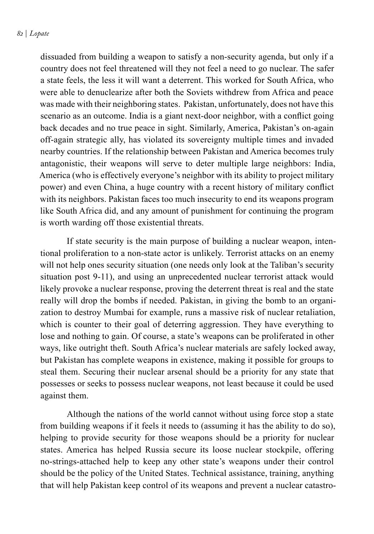dissuaded from building a weapon to satisfy a non-security agenda, but only if a country does not feel threatened will they not feel a need to go nuclear. The safer a state feels, the less it will want a deterrent. This worked for South Africa, who were able to denuclearize after both the Soviets withdrew from Africa and peace was made with their neighboring states. Pakistan, unfortunately, does not have this scenario as an outcome. India is a giant next-door neighbor, with a conflict going back decades and no true peace in sight. Similarly, America, Pakistan's on-again off-again strategic ally, has violated its sovereignty multiple times and invaded nearby countries. If the relationship between Pakistan and America becomes truly antagonistic, their weapons will serve to deter multiple large neighbors: India, America (who is effectively everyone's neighbor with its ability to project military power) and even China, a huge country with a recent history of military conflict with its neighbors. Pakistan faces too much insecurity to end its weapons program like South Africa did, and any amount of punishment for continuing the program is worth warding off those existential threats.

If state security is the main purpose of building a nuclear weapon, intentional proliferation to a non-state actor is unlikely. Terrorist attacks on an enemy will not help ones security situation (one needs only look at the Taliban's security situation post 9-11), and using an unprecedented nuclear terrorist attack would likely provoke a nuclear response, proving the deterrent threat is real and the state really will drop the bombs if needed. Pakistan, in giving the bomb to an organization to destroy Mumbai for example, runs a massive risk of nuclear retaliation, which is counter to their goal of deterring aggression. They have everything to lose and nothing to gain. Of course, a state's weapons can be proliferated in other ways, like outright theft. South Africa's nuclear materials are safely locked away, but Pakistan has complete weapons in existence, making it possible for groups to steal them. Securing their nuclear arsenal should be a priority for any state that possesses or seeks to possess nuclear weapons, not least because it could be used against them.

Although the nations of the world cannot without using force stop a state from building weapons if it feels it needs to (assuming it has the ability to do so), helping to provide security for those weapons should be a priority for nuclear states. America has helped Russia secure its loose nuclear stockpile, offering no-strings-attached help to keep any other state's weapons under their control should be the policy of the United States. Technical assistance, training, anything that will help Pakistan keep control of its weapons and prevent a nuclear catastro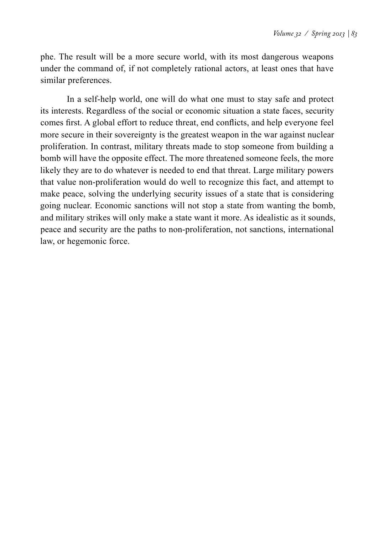phe. The result will be a more secure world, with its most dangerous weapons under the command of, if not completely rational actors, at least ones that have similar preferences.

In a self-help world, one will do what one must to stay safe and protect its interests. Regardless of the social or economic situation a state faces, security comes first. A global effort to reduce threat, end conflicts, and help everyone feel more secure in their sovereignty is the greatest weapon in the war against nuclear proliferation. In contrast, military threats made to stop someone from building a bomb will have the opposite effect. The more threatened someone feels, the more likely they are to do whatever is needed to end that threat. Large military powers that value non-proliferation would do well to recognize this fact, and attempt to make peace, solving the underlying security issues of a state that is considering going nuclear. Economic sanctions will not stop a state from wanting the bomb, and military strikes will only make a state want it more. As idealistic as it sounds, peace and security are the paths to non-proliferation, not sanctions, international law, or hegemonic force.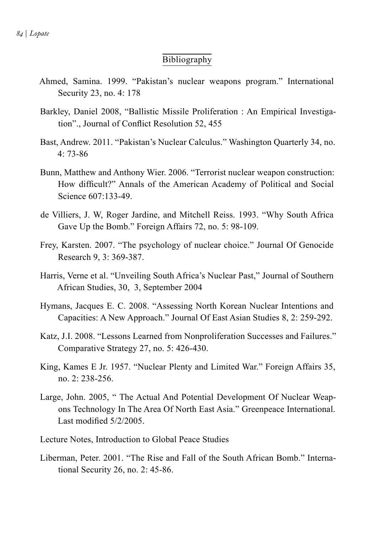#### Bibliography

- Ahmed, Samina. 1999. "Pakistan's nuclear weapons program." International Security 23, no. 4: 178
- Barkley, Daniel 2008, "Ballistic Missile Proliferation : An Empirical Investigation"., Journal of Conflict Resolution 52, 455
- Bast, Andrew. 2011. "Pakistan's Nuclear Calculus." Washington Quarterly 34, no. 4: 73-86
- Bunn, Matthew and Anthony Wier. 2006. "Terrorist nuclear weapon construction: How difficult?" Annals of the American Academy of Political and Social Science 607:133-49.
- de Villiers, J. W, Roger Jardine, and Mitchell Reiss. 1993. "Why South Africa Gave Up the Bomb." Foreign Affairs 72, no. 5: 98-109.
- Frey, Karsten. 2007. "The psychology of nuclear choice." Journal Of Genocide Research 9, 3: 369-387.
- Harris, Verne et al. "Unveiling South Africa's Nuclear Past," Journal of Southern African Studies, 30, 3, September 2004
- Hymans, Jacques E. C. 2008. "Assessing North Korean Nuclear Intentions and Capacities: A New Approach." Journal Of East Asian Studies 8, 2: 259-292.
- Katz, J.I. 2008. "Lessons Learned from Nonproliferation Successes and Failures." Comparative Strategy 27, no. 5: 426-430.
- King, Kames E Jr. 1957. "Nuclear Plenty and Limited War." Foreign Affairs 35, no. 2: 238-256.
- Large, John. 2005, " The Actual And Potential Development Of Nuclear Weapons Technology In The Area Of North East Asia." Greenpeace International. Last modified 5/2/2005.
- Lecture Notes, Introduction to Global Peace Studies
- Liberman, Peter. 2001. "The Rise and Fall of the South African Bomb." International Security 26, no. 2: 45-86.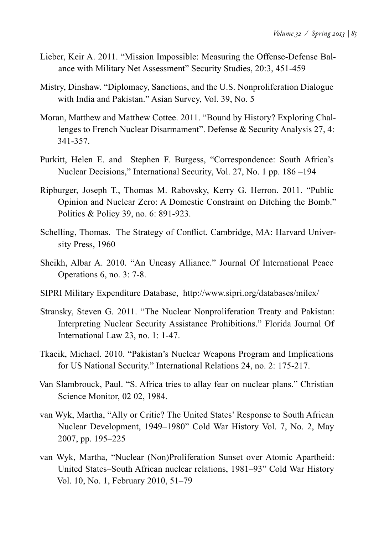- Lieber, Keir A. 2011. "Mission Impossible: Measuring the Offense-Defense Balance with Military Net Assessment" Security Studies, 20:3, 451-459
- Mistry, Dinshaw. "Diplomacy, Sanctions, and the U.S. Nonproliferation Dialogue with India and Pakistan." Asian Survey, Vol. 39, No. 5
- Moran, Matthew and Matthew Cottee. 2011. "Bound by History? Exploring Challenges to French Nuclear Disarmament". Defense & Security Analysis 27, 4: 341-357.
- Purkitt, Helen E. and Stephen F. Burgess, "Correspondence: South Africa's Nuclear Decisions," International Security, Vol. 27, No. 1 pp. 186 –194
- Ripburger, Joseph T., Thomas M. Rabovsky, Kerry G. Herron. 2011. "Public Opinion and Nuclear Zero: A Domestic Constraint on Ditching the Bomb." Politics & Policy 39, no. 6: 891-923.
- Schelling, Thomas. The Strategy of Conflict. Cambridge, MA: Harvard University Press, 1960
- Sheikh, Albar A. 2010. "An Uneasy Alliance." Journal Of International Peace Operations 6, no. 3: 7-8.
- SIPRI Military Expenditure Database, http://www.sipri.org/databases/milex/
- Stransky, Steven G. 2011. "The Nuclear Nonproliferation Treaty and Pakistan: Interpreting Nuclear Security Assistance Prohibitions." Florida Journal Of International Law 23, no. 1: 1-47.
- Tkacik, Michael. 2010. "Pakistan's Nuclear Weapons Program and Implications for US National Security." International Relations 24, no. 2: 175-217.
- Van Slambrouck, Paul. "S. Africa tries to allay fear on nuclear plans." Christian Science Monitor, 02 02, 1984.
- van Wyk, Martha, "Ally or Critic? The United States' Response to South African Nuclear Development, 1949–1980" Cold War History Vol. 7, No. 2, May 2007, pp. 195–225
- van Wyk, Martha, "Nuclear (Non)Proliferation Sunset over Atomic Apartheid: United States–South African nuclear relations, 1981–93" Cold War History Vol. 10, No. 1, February 2010, 51–79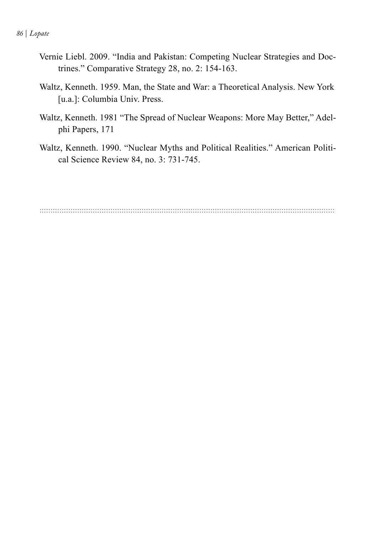- Vernie Liebl. 2009. "India and Pakistan: Competing Nuclear Strategies and Doctrines." Comparative Strategy 28, no. 2: 154-163.
- Waltz, Kenneth. 1959. Man, the State and War: a Theoretical Analysis. New York [u.a.]: Columbia Univ. Press.
- Waltz, Kenneth. 1981 "The Spread of Nuclear Weapons: More May Better," Adelphi Papers, 171
- Waltz, Kenneth. 1990. "Nuclear Myths and Political Realities." American Political Science Review 84, no. 3: 731-745.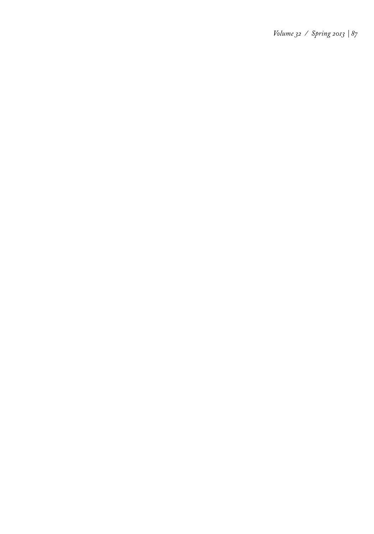*Volume 32 / Spring 2013 | 87*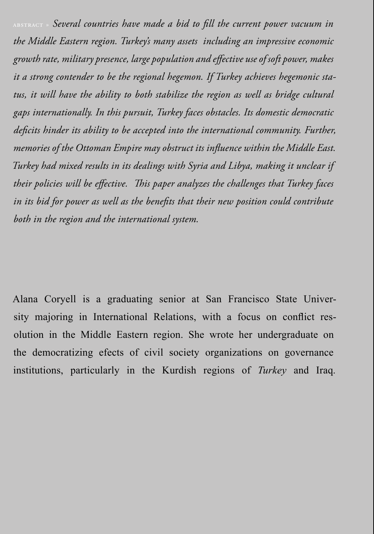abstract » *Several countries have made a bid to fill the current power vacuum in the Middle Eastern region. Turkey's many assets including an impressive economic growth rate, military presence, large population and effective use of soft power, makes it a strong contender to be the regional hegemon. If Turkey achieves hegemonic status, it will have the ability to both stabilize the region as well as bridge cultural gaps internationally. In this pursuit, Turkey faces obstacles. Its domestic democratic deficits hinder its ability to be accepted into the international community. Further, memories of the Ottoman Empire may obstruct its influence within the Middle East. Turkey had mixed results in its dealings with Syria and Libya, making it unclear if their policies will be effective. This paper analyzes the challenges that Turkey faces in its bid for power as well as the benefits that their new position could contribute both in the region and the international system.*

Alana Coryell is a graduating senior at San Francisco State University majoring in International Relations, with a focus on conflict resolution in the Middle Eastern region. She wrote her undergraduate on the democratizing efects of civil society organizations on governance institutions, particularly in the Kurdish regions of *Turkey* and Iraq*.*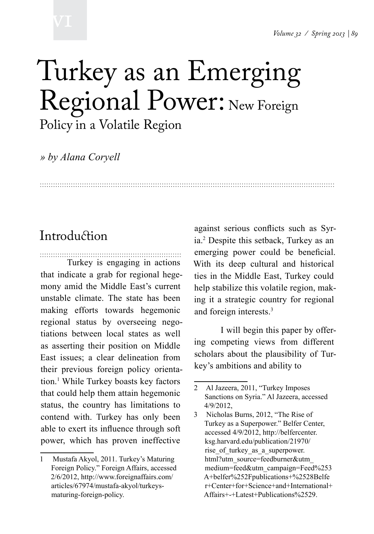# v1

# Turkey as an Emerging Regional Power: New Foreign Policy in a Volatile Region

*» by Alana Coryell*

# **Introduction**

Turkey is engaging in actions that indicate a grab for regional hegemony amid the Middle East's current unstable climate. The state has been making efforts towards hegemonic regional status by overseeing negotiations between local states as well as asserting their position on Middle East issues; a clear delineation from their previous foreign policy orientation.1 While Turkey boasts key factors that could help them attain hegemonic status, the country has limitations to contend with. Turkey has only been able to exert its influence through soft power, which has proven ineffective

against serious conflicts such as Syria.2 Despite this setback, Turkey as an emerging power could be beneficial. With its deep cultural and historical ties in the Middle East, Turkey could help stabilize this volatile region, making it a strategic country for regional and foreign interests.3

I will begin this paper by offering competing views from different scholars about the plausibility of Turkey's ambitions and ability to

<sup>1</sup> Mustafa Akyol, 2011. Turkey's Maturing Foreign Policy." Foreign Affairs, accessed 2/6/2012, [http://www.foreignaffairs.com/](http://www.foreignaffairs.com/articles/67974/mustafa-akyol/turkeys-maturing-foreign-policy) [articles/67974/mustafa-akyol/turkeys](http://www.foreignaffairs.com/articles/67974/mustafa-akyol/turkeys-maturing-foreign-policy)[maturing-foreign-policy](http://www.foreignaffairs.com/articles/67974/mustafa-akyol/turkeys-maturing-foreign-policy).

<sup>2</sup> Al Jazeera, 2011, "Turkey Imposes Sanctions on Syria." Al Jazeera, accessed 4/9/2012,

<sup>3</sup> Nicholas Burns, 2012, "The Rise of Turkey as a Superpower." Belfer Center, accessed 4/9/2012, http://belfercenter. ksg.harvard.edu/publication/21970/ rise of turkey as a superpower. html?utm\_source=feedburner&utm\_ medium=feed&utm\_campaign=Feed%253 A+belfer%252Fpublications+%2528Belfe r+Center+for+Science+and+International+ Affairs+-+Latest+Publications%2529.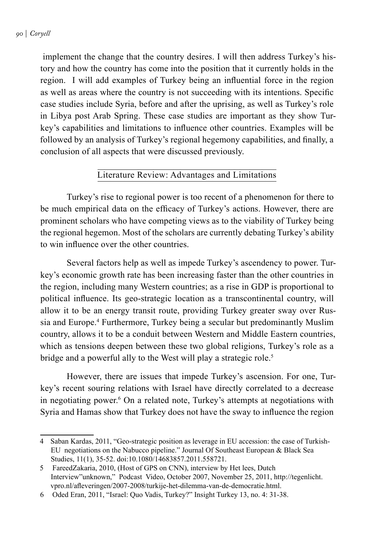implement the change that the country desires. I will then address Turkey's history and how the country has come into the position that it currently holds in the region. I will add examples of Turkey being an influential force in the region as well as areas where the country is not succeeding with its intentions. Specific case studies include Syria, before and after the uprising, as well as Turkey's role in Libya post Arab Spring. These case studies are important as they show Turkey's capabilities and limitations to influence other countries. Examples will be followed by an analysis of Turkey's regional hegemony capabilities, and finally, a conclusion of all aspects that were discussed previously.

#### Literature Review: Advantages and Limitations

Turkey's rise to regional power is too recent of a phenomenon for there to be much empirical data on the efficacy of Turkey's actions. However, there are prominent scholars who have competing views as to the viability of Turkey being the regional hegemon. Most of the scholars are currently debating Turkey's ability to win influence over the other countries.

Several factors help as well as impede Turkey's ascendency to power. Turkey's economic growth rate has been increasing faster than the other countries in the region, including many Western countries; as a rise in GDP is proportional to political influence. Its geo-strategic location as a transcontinental country, will allow it to be an energy transit route, providing Turkey greater sway over Russia and Europe.<sup>4</sup> Furthermore, Turkey being a secular but predominantly Muslim country, allows it to be a conduit between Western and Middle Eastern countries, which as tensions deepen between these two global religions, Turkey's role as a bridge and a powerful ally to the West will play a strategic role.<sup>5</sup>

However, there are issues that impede Turkey's ascension. For one, Turkey's recent souring relations with Israel have directly correlated to a decrease in negotiating power.<sup>6</sup> On a related note, Turkey's attempts at negotiations with Syria and Hamas show that Turkey does not have the sway to influence the region

<sup>4</sup> Saban Kardas, 2011, "Geo-strategic position as leverage in EU accession: the case of Turkish-EU negotiations on the Nabucco pipeline." Journal Of Southeast European & Black Sea Studies, 11(1), 35-52. doi:10.1080/14683857.2011.558721.

<sup>5</sup> FareedZakaria, 2010, (Host of GPS on CNN), interview by Het lees, Dutch Interview"unknown," Podcast Video, October 2007, November 25, 2011, [http://tegenlicht.](http://tegenlicht.vpro.nl/afleveringen/2007-2008/turkije-het-dilemma-van-de-democratie.html) [vpro.nl/afleveringen/2007-2008/turkije-het-dilemma-van-de-democratie.html.](http://tegenlicht.vpro.nl/afleveringen/2007-2008/turkije-het-dilemma-van-de-democratie.html)

<sup>6</sup> Oded Eran, 2011, "Israel: Quo Vadis, Turkey?" Insight Turkey 13, no. 4: 31-38.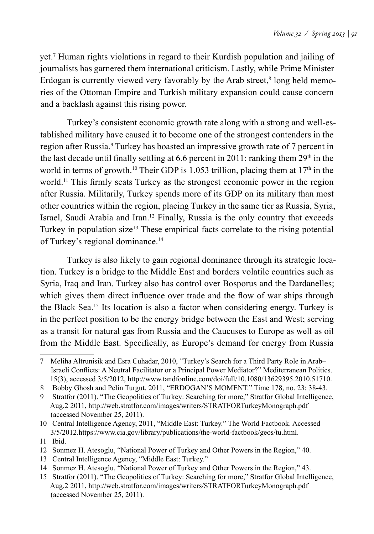yet.7 Human rights violations in regard to their Kurdish population and jailing of journalists has garnered them international criticism. Lastly, while Prime Minister Erdogan is currently viewed very favorably by the Arab street, $<sup>8</sup>$  long held memo-</sup> ries of the Ottoman Empire and Turkish military expansion could cause concern and a backlash against this rising power.

Turkey's consistent economic growth rate along with a strong and well-established military have caused it to become one of the strongest contenders in the region after Russia.<sup>9</sup> Turkey has boasted an impressive growth rate of 7 percent in the last decade until finally settling at 6.6 percent in 2011; ranking them  $29<sup>th</sup>$  in the world in terms of growth.<sup>10</sup> Their GDP is 1.053 trillion, placing them at  $17<sup>th</sup>$  in the world.<sup>11</sup> This firmly seats Turkey as the strongest economic power in the region after Russia. Militarily, Turkey spends more of its GDP on its military than most other countries within the region, placing Turkey in the same tier as Russia, Syria, Israel, Saudi Arabia and Iran.12 Finally, Russia is the only country that exceeds Turkey in population size<sup>13</sup> These empirical facts correlate to the rising potential of Turkey's regional dominance.14

Turkey is also likely to gain regional dominance through its strategic location. Turkey is a bridge to the Middle East and borders volatile countries such as Syria, Iraq and Iran. Turkey also has control over Bosporus and the Dardanelles; which gives them direct influence over trade and the flow of war ships through the Black Sea.15 Its location is also a factor when considering energy. Turkey is in the perfect position to be the energy bridge between the East and West; serving as a transit for natural gas from Russia and the Caucuses to Europe as well as oil from the Middle East. Specifically, as Europe's demand for energy from Russia

<sup>7</sup> Meliha Altrunisik and Esra Cuhadar, 2010, "Turkey's Search for a Third Party Role in Arab– Israeli Conflicts: A Neutral Facilitator or a Principal Power Mediator?" Mediterranean Politics. 15(3), accessed 3/5/2012, [http://www.tandfonline.com/doi/full/10.1080/13629395.2010.51710.](http://www.tandfonline.com/doi/full/10.1080/13629395.2010.517101)

<sup>8</sup> Bobby Ghosh and Pelin Turgut, 2011, "ERDOGAN'S MOMENT." Time 178, no. 23: 38-43.

<sup>9</sup> Stratfor (2011). "The Geopolitics of Turkey: Searching for more," Stratfor Global Intelligence, Aug.2 2011, http://web.stratfor.com/images/writers/STRATFORTurkeyMonograph.pdf (accessed November 25, 2011).

<sup>10</sup> Central Intelligence Agency, 2011, "Middle East: Turkey." The World Factbook. Accessed 3/5/2012[.https://www.cia.gov/library/publications/the-world-factbook/geos/tu.html](https://www.cia.gov/library/publications/the-world-factbook/geos/tu.html).

<sup>11</sup> Ibid.

<sup>12</sup> Sonmez H. Atesoglu, "National Power of Turkey and Other Powers in the Region," 40.

<sup>13</sup> Central Intelligence Agency, "Middle East: Turkey."

<sup>14</sup> Sonmez H. Atesoglu, "National Power of Turkey and Other Powers in the Region," 43.

<sup>15</sup> Stratfor (2011). "The Geopolitics of Turkey: Searching for more," Stratfor Global Intelligence, Aug.2 2011, http://web.stratfor.com/images/writers/STRATFORTurkeyMonograph.pdf (accessed November 25, 2011).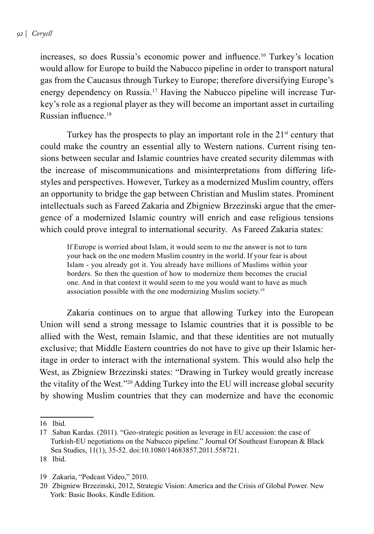increases, so does Russia's economic power and influence.16 Turkey's location would allow for Europe to build the Nabucco pipeline in order to transport natural gas from the Caucasus through Turkey to Europe; therefore diversifying Europe's energy dependency on Russia.<sup>17</sup> Having the Nabucco pipeline will increase Turkey's role as a regional player as they will become an important asset in curtailing Russian influence.<sup>18</sup>

Turkey has the prospects to play an important role in the  $21<sup>st</sup>$  century that could make the country an essential ally to Western nations. Current rising tensions between secular and Islamic countries have created security dilemmas with the increase of miscommunications and misinterpretations from differing lifestyles and perspectives. However, Turkey as a modernized Muslim country, offers an opportunity to bridge the gap between Christian and Muslim states. Prominent intellectuals such as Fareed Zakaria and Zbigniew Brzezinski argue that the emergence of a modernized Islamic country will enrich and ease religious tensions which could prove integral to international security. As Fareed Zakaria states:

If Europe is worried about Islam, it would seem to me the answer is not to turn your back on the one modern Muslim country in the world. If your fear is about Islam - you already got it. You already have millions of Muslims within your borders. So then the question of how to modernize them becomes the crucial one. And in that context it would seem to me you would want to have as much association possible with the one modernizing Muslim society.19

Zakaria continues on to argue that allowing Turkey into the European Union will send a strong message to Islamic countries that it is possible to be allied with the West, remain Islamic, and that these identities are not mutually exclusive; that Middle Eastern countries do not have to give up their Islamic heritage in order to interact with the international system. This would also help the West, as Zbigniew Brzezinski states: "Drawing in Turkey would greatly increase the vitality of the West."20 Adding Turkey into the EU will increase global security by showing Muslim countries that they can modernize and have the economic

<sup>16</sup> Ibid.

<sup>17</sup> Saban Kardas. (2011). "Geo-strategic position as leverage in EU accession: the case of Turkish-EU negotiations on the Nabucco pipeline." Journal Of Southeast European & Black Sea Studies, 11(1), 35-52. doi:10.1080/14683857.2011.558721.

<sup>18</sup> Ibid.

<sup>19</sup> Zakaria, "Podcast Video," 2010.

<sup>20</sup> Zbigniew Brzezinski, 2012, Strategic Vision: America and the Crisis of Global Power. New York: Basic Books. Kindle Edition.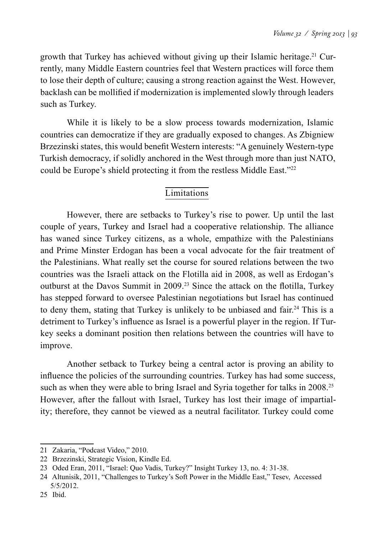growth that Turkey has achieved without giving up their Islamic heritage.<sup>21</sup> Currently, many Middle Eastern countries feel that Western practices will force them to lose their depth of culture; causing a strong reaction against the West. However, backlash can be mollified if modernization is implemented slowly through leaders such as Turkey.

While it is likely to be a slow process towards modernization, Islamic countries can democratize if they are gradually exposed to changes. As Zbigniew Brzezinski states, this would benefit Western interests: "A genuinely Western-type Turkish democracy, if solidly anchored in the West through more than just NATO, could be Europe's shield protecting it from the restless Middle East."22

# Limitations

However, there are setbacks to Turkey's rise to power. Up until the last couple of years, Turkey and Israel had a cooperative relationship. The alliance has waned since Turkey citizens, as a whole, empathize with the Palestinians and Prime Minster Erdogan has been a vocal advocate for the fair treatment of the Palestinians. What really set the course for soured relations between the two countries was the Israeli attack on the Flotilla aid in 2008, as well as Erdogan's outburst at the Davos Summit in 2009.23 Since the attack on the flotilla, Turkey has stepped forward to oversee Palestinian negotiations but Israel has continued to deny them, stating that Turkey is unlikely to be unbiased and fair.<sup>24</sup> This is a detriment to Turkey's influence as Israel is a powerful player in the region. If Turkey seeks a dominant position then relations between the countries will have to improve.

Another setback to Turkey being a central actor is proving an ability to influence the policies of the surrounding countries. Turkey has had some success, such as when they were able to bring Israel and Syria together for talks in 2008.<sup>25</sup> However, after the fallout with Israel, Turkey has lost their image of impartiality; therefore, they cannot be viewed as a neutral facilitator. Turkey could come

<sup>21</sup> Zakaria, "Podcast Video," 2010.

<sup>22</sup> Brzezinski, Strategic Vision, Kindle Ed.

<sup>23</sup> Oded Eran, 2011, "Israel: Quo Vadis, Turkey?" Insight Turkey 13, no. 4: 31-38.

<sup>24</sup> Altunisik, 2011, "Challenges to Turkey's Soft Power in the Middle East," Tesev, Accessed 5/5/2012.

<sup>25</sup> Ibid.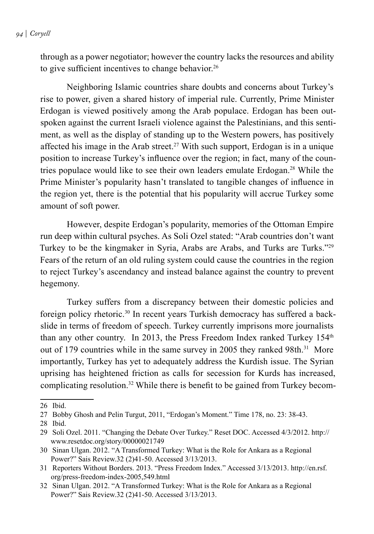through as a power negotiator; however the country lacks the resources and ability to give sufficient incentives to change behavior.<sup>26</sup>

Neighboring Islamic countries share doubts and concerns about Turkey's rise to power, given a shared history of imperial rule. Currently, Prime Minister Erdogan is viewed positively among the Arab populace. Erdogan has been outspoken against the current Israeli violence against the Palestinians, and this sentiment, as well as the display of standing up to the Western powers, has positively affected his image in the Arab street.<sup>27</sup> With such support, Erdogan is in a unique position to increase Turkey's influence over the region; in fact, many of the countries populace would like to see their own leaders emulate Erdogan.<sup>28</sup> While the Prime Minister's popularity hasn't translated to tangible changes of influence in the region yet, there is the potential that his popularity will accrue Turkey some amount of soft power.

However, despite Erdogan's popularity, memories of the Ottoman Empire run deep within cultural psyches. As Soli Ozel stated: "Arab countries don't want Turkey to be the kingmaker in Syria, Arabs are Arabs, and Turks are Turks."29 Fears of the return of an old ruling system could cause the countries in the region to reject Turkey's ascendancy and instead balance against the country to prevent hegemony.

Turkey suffers from a discrepancy between their domestic policies and foreign policy rhetoric.<sup>30</sup> In recent years Turkish democracy has suffered a backslide in terms of freedom of speech. Turkey currently imprisons more journalists than any other country. In 2013, the Press Freedom Index ranked Turkey 154<sup>th</sup> out of 179 countries while in the same survey in 2005 they ranked 98th.<sup>31</sup> More importantly, Turkey has yet to adequately address the Kurdish issue. The Syrian uprising has heightened friction as calls for secession for Kurds has increased, complicating resolution.32 While there is benefit to be gained from Turkey becom-

<sup>26</sup> Ibid.

<sup>27</sup> Bobby Ghosh and Pelin Turgut, 2011, "Erdogan's Moment." Time 178, no. 23: 38-43.

<sup>28</sup> Ibid.

<sup>29</sup> Soli Ozel. 2011. "Changing the Debate Over Turkey." Reset DOC. Accessed 4/3/2012. [http://](http://www.resetdoc.org/story/00000021749) [www.resetdoc.org/story/00000021749](http://www.resetdoc.org/story/00000021749)

<sup>30</sup> Sinan Ulgan. 2012. "A Transformed Turkey: What is the Role for Ankara as a Regional Power?" Sais Review.32 (2)41-50. Accessed 3/13/2013.

<sup>31</sup> Reporters Without Borders. 2013. "Press Freedom Index." Accessed 3/13/2013. http://en.rsf. org/press-freedom-index-2005,549.html

<sup>32</sup> Sinan Ulgan. 2012. "A Transformed Turkey: What is the Role for Ankara as a Regional Power?" Sais Review.32 (2)41-50. Accessed 3/13/2013.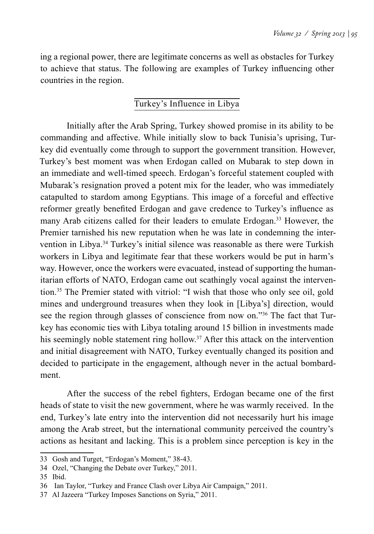ing a regional power, there are legitimate concerns as well as obstacles for Turkey to achieve that status. The following are examples of Turkey influencing other countries in the region.

# Turkey's Influence in Libya

Initially after the Arab Spring, Turkey showed promise in its ability to be commanding and affective. While initially slow to back Tunisia's uprising, Turkey did eventually come through to support the government transition. However, Turkey's best moment was when Erdogan called on Mubarak to step down in an immediate and well-timed speech. Erdogan's forceful statement coupled with Mubarak's resignation proved a potent mix for the leader, who was immediately catapulted to stardom among Egyptians. This image of a forceful and effective reformer greatly benefited Erdogan and gave credence to Turkey's influence as many Arab citizens called for their leaders to emulate Erdogan.<sup>33</sup> However, the Premier tarnished his new reputation when he was late in condemning the intervention in Libya.<sup>34</sup> Turkey's initial silence was reasonable as there were Turkish workers in Libya and legitimate fear that these workers would be put in harm's way. However, once the workers were evacuated, instead of supporting the humanitarian efforts of NATO, Erdogan came out scathingly vocal against the intervention.35 The Premier stated with vitriol: "I wish that those who only see oil, gold mines and underground treasures when they look in [Libya's] direction, would see the region through glasses of conscience from now on."36 The fact that Turkey has economic ties with Libya totaling around 15 billion in investments made his seemingly noble statement ring hollow.<sup>37</sup> After this attack on the intervention and initial disagreement with NATO, Turkey eventually changed its position and decided to participate in the engagement, although never in the actual bombardment.

After the success of the rebel fighters, Erdogan became one of the first heads of state to visit the new government, where he was warmly received. In the end, Turkey's late entry into the intervention did not necessarily hurt his image among the Arab street, but the international community perceived the country's actions as hesitant and lacking. This is a problem since perception is key in the

<sup>33</sup> Gosh and Turget, "Erdogan's Moment," 38-43.

<sup>34</sup> Ozel, "Changing the Debate over Turkey," 2011.

<sup>35</sup> Ibid.

<sup>36</sup> Ian Taylor, "Turkey and France Clash over Libya Air Campaign," 2011.

<sup>37</sup> Al Jazeera "Turkey Imposes Sanctions on Syria," 2011.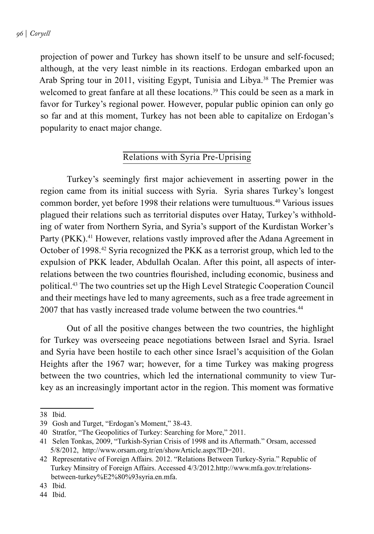projection of power and Turkey has shown itself to be unsure and self-focused; although, at the very least nimble in its reactions. Erdogan embarked upon an Arab Spring tour in 2011, visiting Egypt, Tunisia and Libya.<sup>38</sup> The Premier was welcomed to great fanfare at all these locations.<sup>39</sup> This could be seen as a mark in favor for Turkey's regional power. However, popular public opinion can only go so far and at this moment, Turkey has not been able to capitalize on Erdogan's popularity to enact major change.

## Relations with Syria Pre-Uprising

Turkey's seemingly first major achievement in asserting power in the region came from its initial success with Syria. Syria shares Turkey's longest common border, yet before 1998 their relations were tumultuous.<sup>40</sup> Various issues plagued their relations such as territorial disputes over Hatay, Turkey's withholding of water from Northern Syria, and Syria's support of the Kurdistan Worker's Party (PKK).<sup>41</sup> However, relations vastly improved after the Adana Agreement in October of 1998.42 Syria recognized the PKK as a terrorist group, which led to the expulsion of PKK leader, Abdullah Ocalan. After this point, all aspects of interrelations between the two countries flourished, including economic, business and political.43 The two countries set up the High Level Strategic Cooperation Council and their meetings have led to many agreements, such as a free trade agreement in 2007 that has vastly increased trade volume between the two countries.<sup>44</sup>

Out of all the positive changes between the two countries, the highlight for Turkey was overseeing peace negotiations between Israel and Syria. Israel and Syria have been hostile to each other since Israel's acquisition of the Golan Heights after the 1967 war; however, for a time Turkey was making progress between the two countries, which led the international community to view Turkey as an increasingly important actor in the region. This moment was formative

<sup>38</sup> Ibid.

<sup>39</sup> Gosh and Turget, "Erdogan's Moment," 38-43.

<sup>40</sup> Stratfor, "The Geopolitics of Turkey: Searching for More," 2011.

<sup>41</sup> Selen Tonkas, 2009, "Turkish-Syrian Crisis of 1998 and its Aftermath." Orsam, accessed 5/8/2012, <http://www.orsam.org.tr/en/showArticle.aspx?ID=201>.

<sup>42</sup> Representative of Foreign Affairs. 2012. "Relations Between Turkey-Syria." Republic of Turkey Minsitry of Foreign Affairs. Accessed 4/3/2012.[http://www.mfa.gov.tr/relations](http://www.mfa.gov.tr/relations-between-turkey%E2%80%93syria.en.mfa)[between-turkey%E2%80%93syria.en.mfa](http://www.mfa.gov.tr/relations-between-turkey%E2%80%93syria.en.mfa).

<sup>43</sup> Ibid.

<sup>44</sup> Ibid.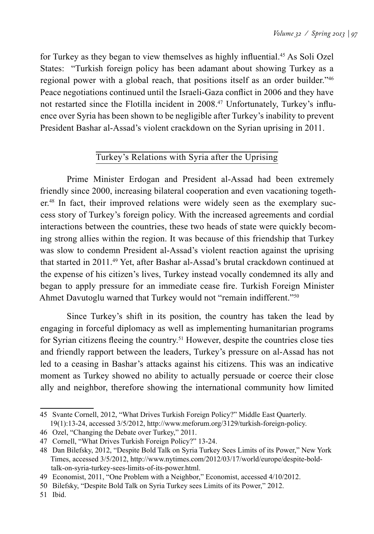for Turkey as they began to view themselves as highly influential.45 As Soli Ozel States: "Turkish foreign policy has been adamant about showing Turkey as a regional power with a global reach, that positions itself as an order builder."46 Peace negotiations continued until the Israeli-Gaza conflict in 2006 and they have not restarted since the Flotilla incident in 2008.<sup>47</sup> Unfortunately, Turkey's influence over Syria has been shown to be negligible after Turkey's inability to prevent President Bashar al-Assad's violent crackdown on the Syrian uprising in 2011.

# Turkey's Relations with Syria after the Uprising

Prime Minister Erdogan and President al-Assad had been extremely friendly since 2000, increasing bilateral cooperation and even vacationing together.48 In fact, their improved relations were widely seen as the exemplary success story of Turkey's foreign policy. With the increased agreements and cordial interactions between the countries, these two heads of state were quickly becoming strong allies within the region. It was because of this friendship that Turkey was slow to condemn President al-Assad's violent reaction against the uprising that started in 2011.49 Yet, after Bashar al-Assad's brutal crackdown continued at the expense of his citizen's lives, Turkey instead vocally condemned its ally and began to apply pressure for an immediate cease fire. Turkish Foreign Minister Ahmet Davutoglu warned that Turkey would not "remain indifferent."50

Since Turkey's shift in its position, the country has taken the lead by engaging in forceful diplomacy as well as implementing humanitarian programs for Syrian citizens fleeing the country.51 However, despite the countries close ties and friendly rapport between the leaders, Turkey's pressure on al-Assad has not led to a ceasing in Bashar's attacks against his citizens. This was an indicative moment as Turkey showed no ability to actually persuade or coerce their close ally and neighbor, therefore showing the international community how limited

<sup>45</sup> Svante Cornell, 2012, "What Drives Turkish Foreign Policy?" Middle East Quarterly. 19(1):13-24, accessed 3/5/2012,<http://www.meforum.org/3129/turkish-foreign-policy>.

<sup>46</sup> Ozel, "Changing the Debate over Turkey," 2011.

<sup>47</sup> Cornell, "What Drives Turkish Foreign Policy?" 13-24.

<sup>48</sup> Dan Bilefsky, 2012, "Despite Bold Talk on Syria Turkey Sees Limits of its Power," New York Times, accessed 3/5/2012, [http://www.nytimes.com/2012/03/17/world/europe/despite-bold](http://www.nytimes.com/2012/03/17/world/europe/despite-bold-talk-on-syria-turkey-sees-limits-of-its-power.html)[talk-on-syria-turkey-sees-limits-of-its-power.html.](http://www.nytimes.com/2012/03/17/world/europe/despite-bold-talk-on-syria-turkey-sees-limits-of-its-power.html)

<sup>49</sup> Economist, 2011, "One Problem with a Neighbor," Economist, accessed 4/10/2012.

<sup>50</sup> Bilefsky, "Despite Bold Talk on Syria Turkey sees Limits of its Power," 2012.

<sup>51</sup> Ibid.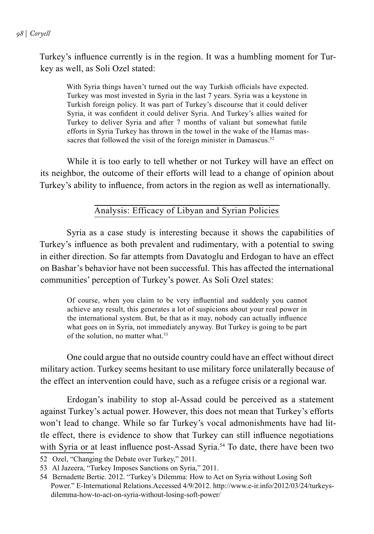Turkey's influence currently is in the region. It was a humbling moment for Turkey as well, as Soli Ozel stated:

With Syria things haven't turned out the way Turkish officials have expected. Turkey was most invested in Syria in the last 7 years. Syria was a keystone in Turkish foreign policy. It was part of Turkey's discourse that it could deliver Syria, it was confident it could deliver Syria. And Turkey's allies waited for Turkey to deliver Syria and after 7 months of valiant but somewhat futile efforts in Syria Turkey has thrown in the towel in the wake of the Hamas massacres that followed the visit of the foreign minister in Damascus.<sup>52</sup>

While it is too early to tell whether or not Turkey will have an effect on its neighbor, the outcome of their efforts will lead to a change of opinion about Turkey's ability to influence, from actors in the region as well as internationally.

#### Analysis: Efficacy of Libyan and Syrian Policies

Syria as a case study is interesting because it shows the capabilities of Turkey's influence as both prevalent and rudimentary, with a potential to swing in either direction. So far attempts from Davatoglu and Erdogan to have an effect on Bashar's behavior have not been successful. This has affected the international communities' perception of Turkey's power. As Soli Ozel states:

Of course, when you claim to be very influential and suddenly you cannot achieve any result, this generates a lot of suspicions about your real power in the international system. But, be that as it may, nobody can actually influence what goes on in Syria, not immediately anyway. But Turkey is going to be part of the solution, no matter what.<sup>53</sup>

One could argue that no outside country could have an effect without direct military action. Turkey seems hesitant to use military force unilaterally because of the effect an intervention could have, such as a refugee crisis or a regional war.

Erdogan's inability to stop al-Assad could be perceived as a statement against Turkey's actual power. However, this does not mean that Turkey's efforts won't lead to change. While so far Turkey's vocal admonishments have had little effect, there is evidence to show that Turkey can still influence negotiations with Syria or at least influence post-Assad Syria.<sup>54</sup> To date, there have been two

<sup>52</sup> Ozel, "Changing the Debate over Turkey," 2011.

<sup>53</sup> Al Jazeera, "Turkey Imposes Sanctions on Syria," 2011.

<sup>54</sup> Bernadette Bertie. 2012. ["Turkey's Dilemma: How to Act on Syria without Losing Soft](http://www.e-ir.info/2012/03/24/turkeys-dilemma-how-to-act-on-syria-without-losing-soft-power/)  [Power](http://www.e-ir.info/2012/03/24/turkeys-dilemma-how-to-act-on-syria-without-losing-soft-power/)." E-International Relations.Accessed 4/9/2012. [http://www.e-ir.info/2012/03/24/turkeys](http://www.e-ir.info/2012/03/24/turkeys-dilemma-how-to-act-on-syria-without-losing-soft-power/)[dilemma-how-to-act-on-syria-without-losing-soft-power/](http://www.e-ir.info/2012/03/24/turkeys-dilemma-how-to-act-on-syria-without-losing-soft-power/)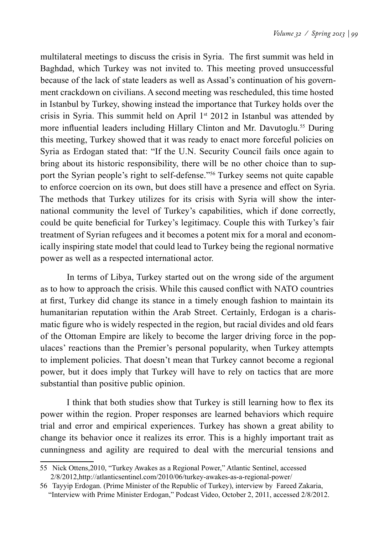multilateral meetings to discuss the crisis in Syria. The first summit was held in Baghdad, which Turkey was not invited to. This meeting proved unsuccessful because of the lack of state leaders as well as Assad's continuation of his government crackdown on civilians. A second meeting was rescheduled, this time hosted in Istanbul by Turkey, showing instead the importance that Turkey holds over the crisis in Syria. This summit held on April 1<sup>st</sup> 2012 in Istanbul was attended by more influential leaders including Hillary Clinton and Mr. Davutoglu.<sup>55</sup> During this meeting, Turkey showed that it was ready to enact more forceful policies on Syria as Erdogan stated that: "If the U.N. Security Council fails once again to bring about its historic responsibility, there will be no other choice than to support the Syrian people's right to self-defense."56 Turkey seems not quite capable to enforce coercion on its own, but does still have a presence and effect on Syria. The methods that Turkey utilizes for its crisis with Syria will show the international community the level of Turkey's capabilities, which if done correctly, could be quite beneficial for Turkey's legitimacy. Couple this with Turkey's fair treatment of Syrian refugees and it becomes a potent mix for a moral and economically inspiring state model that could lead to Turkey being the regional normative power as well as a respected international actor.

In terms of Libya, Turkey started out on the wrong side of the argument as to how to approach the crisis. While this caused conflict with NATO countries at first, Turkey did change its stance in a timely enough fashion to maintain its humanitarian reputation within the Arab Street. Certainly, Erdogan is a charismatic figure who is widely respected in the region, but racial divides and old fears of the Ottoman Empire are likely to become the larger driving force in the populaces' reactions than the Premier's personal popularity, when Turkey attempts to implement policies. That doesn't mean that Turkey cannot become a regional power, but it does imply that Turkey will have to rely on tactics that are more substantial than positive public opinion.

I think that both studies show that Turkey is still learning how to flex its power within the region. Proper responses are learned behaviors which require trial and error and empirical experiences. Turkey has shown a great ability to change its behavior once it realizes its error. This is a highly important trait as cunningness and agility are required to deal with the mercurial tensions and

<sup>55</sup> Nick Ottens,2010, "Turkey Awakes as a Regional Power," Atlantic Sentinel, accessed 2/8/2012[,http://atlanticsentinel.com/2010/06/turkey-awakes-as-a-regional-power/](http://atlanticsentinel.com/2010/06/turkey-awakes-as-a-regional-power/)

<sup>56</sup> Tayyip Erdogan. (Prime Minister of the Republic of Turkey), interview by Fareed Zakaria, "Interview with Prime Minister Erdogan," Podcast Video, October 2, 2011, accessed 2/8/2012.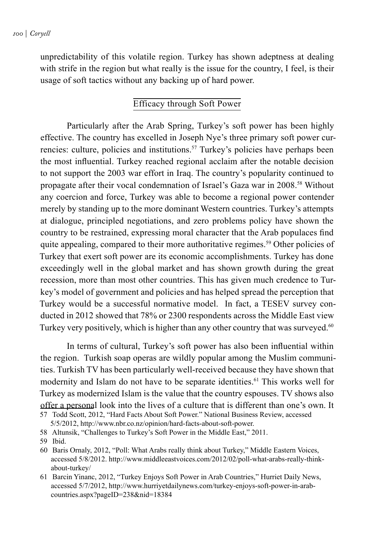unpredictability of this volatile region. Turkey has shown adeptness at dealing with strife in the region but what really is the issue for the country, I feel, is their usage of soft tactics without any backing up of hard power.

#### Efficacy through Soft Power

Particularly after the Arab Spring, Turkey's soft power has been highly effective. The country has excelled in Joseph Nye's three primary soft power currencies: culture, policies and institutions.<sup>57</sup> Turkey's policies have perhaps been the most influential. Turkey reached regional acclaim after the notable decision to not support the 2003 war effort in Iraq. The country's popularity continued to propagate after their vocal condemnation of Israel's Gaza war in 2008.<sup>58</sup> Without any coercion and force, Turkey was able to become a regional power contender merely by standing up to the more dominant Western countries. Turkey's attempts at dialogue, principled negotiations, and zero problems policy have shown the country to be restrained, expressing moral character that the Arab populaces find quite appealing, compared to their more authoritative regimes.<sup>59</sup> Other policies of Turkey that exert soft power are its economic accomplishments. Turkey has done exceedingly well in the global market and has shown growth during the great recession, more than most other countries. This has given much credence to Turkey's model of government and policies and has helped spread the perception that Turkey would be a successful normative model. In fact, a TESEV survey conducted in 2012 showed that 78% or 2300 respondents across the Middle East view Turkey very positively, which is higher than any other country that was surveyed.<sup>60</sup>

In terms of cultural, Turkey's soft power has also been influential within the region. Turkish soap operas are wildly popular among the Muslim communities. Turkish TV has been particularly well-received because they have shown that modernity and Islam do not have to be separate identities.<sup>61</sup> This works well for Turkey as modernized Islam is the value that the country espouses. TV shows also offer a personal look into the lives of a culture that is different than one's own. It 57 Todd Scott, 2012, "Hard Facts About Soft Power." National Business Review, accessed

- 60 Baris Ornaly, 2012, "Poll: What Arabs really think about Turkey," Middle Eastern Voices, accessed 5/8/2012. [http://www.middleeastvoices.com/2012/02/poll-what-arabs-really-think](http://www.middleeastvoices.com/2012/02/poll-what-arabs-really-think-about-turkey/)[about-turkey/](http://www.middleeastvoices.com/2012/02/poll-what-arabs-really-think-about-turkey/)
- 61 Barcin Yinanc, 2012, "Turkey Enjoys Soft Power in Arab Countries," Hurriet Daily News, accessed 5/7/2012, [http://www.hurriyetdailynews.com/turkey-enjoys-soft-power-in-arab](http://www.hurriyetdailynews.com/turkey-enjoys-soft-power-in-arab-countries.aspx?pageID=238&nid=18384)[countries.aspx?pageID=238&nid=18384](http://www.hurriyetdailynews.com/turkey-enjoys-soft-power-in-arab-countries.aspx?pageID=238&nid=18384)

<sup>5/5/2012,</sup><http://www.nbr.co.nz/opinion/hard-facts-about-soft-power>.

<sup>58</sup> Altunsik, "Challenges to Turkey's Soft Power in the Middle East," 2011.

<sup>59</sup> Ibid.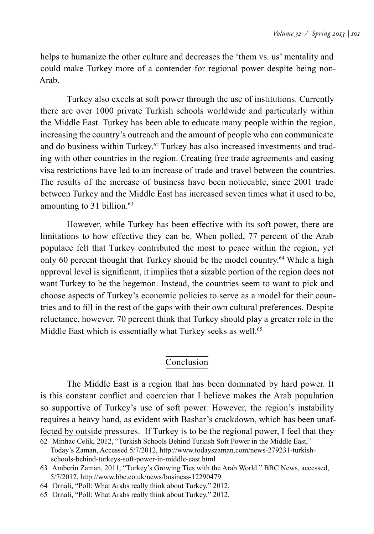helps to humanize the other culture and decreases the 'them vs. us' mentality and could make Turkey more of a contender for regional power despite being non-Arab.

Turkey also excels at soft power through the use of institutions. Currently there are over 1000 private Turkish schools worldwide and particularly within the Middle East. Turkey has been able to educate many people within the region, increasing the country's outreach and the amount of people who can communicate and do business within Turkey.62 Turkey has also increased investments and trading with other countries in the region. Creating free trade agreements and easing visa restrictions have led to an increase of trade and travel between the countries. The results of the increase of business have been noticeable, since 2001 trade between Turkey and the Middle East has increased seven times what it used to be, amounting to 31 billion.<sup>63</sup>

However, while Turkey has been effective with its soft power, there are limitations to how effective they can be. When polled, 77 percent of the Arab populace felt that Turkey contributed the most to peace within the region, yet only 60 percent thought that Turkey should be the model country.<sup>64</sup> While a high approval level is significant, it implies that a sizable portion of the region does not want Turkey to be the hegemon. Instead, the countries seem to want to pick and choose aspects of Turkey's economic policies to serve as a model for their countries and to fill in the rest of the gaps with their own cultural preferences. Despite reluctance, however, 70 percent think that Turkey should play a greater role in the Middle East which is essentially what Turkey seeks as well.<sup>65</sup>

#### Conclusion

The Middle East is a region that has been dominated by hard power. It is this constant conflict and coercion that I believe makes the Arab population so supportive of Turkey's use of soft power. However, the region's instability requires a heavy hand, as evident with Bashar's crackdown, which has been unaffected by outside pressures. If Turkey is to be the regional power, I feel that they 62 Minhac Celik, 2012, "Turkish Schools Behind Turkish Soft Power in the Middle East,"

Today's Zaman, Accessed 5/7/2012, [http://www.todayszaman.com/news-279231-turkish](http://www.todayszaman.com/news-279231-turkish-schools-behind-turkeys-soft-power-in-middle-east.html)[schools-behind-turkeys-soft-power-in-middle-east.html](http://www.todayszaman.com/news-279231-turkish-schools-behind-turkeys-soft-power-in-middle-east.html)

<sup>63</sup> Amberin Zaman, 2011, "Turkey's Growing Ties with the Arab World." BBC News, accessed, 5/7/2012,<http://www.bbc.co.uk/news/business-12290479>

<sup>64</sup> Ornali, "Poll: What Arabs really think about Turkey," 2012.

<sup>65</sup> Ornali, "Poll: What Arabs really think about Turkey," 2012.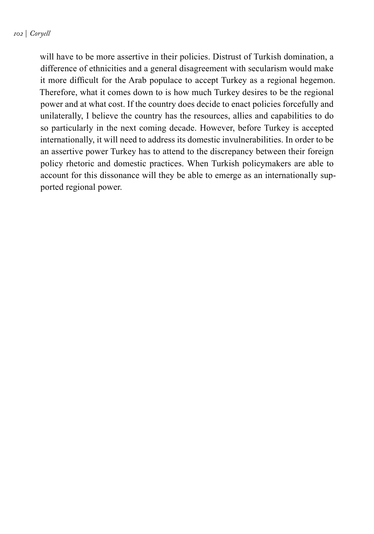will have to be more assertive in their policies. Distrust of Turkish domination, a difference of ethnicities and a general disagreement with secularism would make it more difficult for the Arab populace to accept Turkey as a regional hegemon. Therefore, what it comes down to is how much Turkey desires to be the regional power and at what cost. If the country does decide to enact policies forcefully and unilaterally, I believe the country has the resources, allies and capabilities to do so particularly in the next coming decade. However, before Turkey is accepted internationally, it will need to address its domestic invulnerabilities. In order to be an assertive power Turkey has to attend to the discrepancy between their foreign policy rhetoric and domestic practices. When Turkish policymakers are able to account for this dissonance will they be able to emerge as an internationally supported regional power.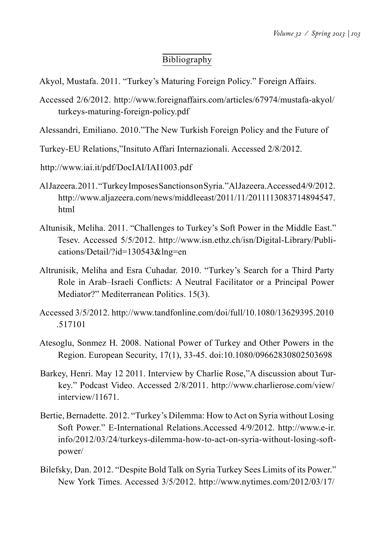# **Bibliography**

Akyol, Mustafa. 2011. "Turkey's Maturing Foreign Policy." Foreign Affairs.

- Accessed 2/6/2012. http://www.foreignaffairs.com/articles/67974/mustafa-akyol/ turkeys-maturing-foreign-policy.pdf
- Alessandri, Emiliano. 2010."The New Turkish Foreign Policy and the Future of

Turkey-EU Relations,"Insituto Affari Internazionali. Accessed 2/8/2012.

- <http://www.iai.it/pdf/DocIAI/IAI1003.pdf>
- Al Jazeera. 2011. "Turkey Imposes Sanctions on Syria." Al Jazeera. Accessed 4/9/2012. [http://www.aljazeera.com/news/middleeast/2011/11/2011113083714894547.](http://www.aljazeera.com/news/middleeast/2011/11/2011113083714894547.html) [html](http://www.aljazeera.com/news/middleeast/2011/11/2011113083714894547.html)
- Altunisik, Meliha. 2011. "Challenges to Turkey's Soft Power in the Middle East." Tesev. Accessed 5/5/2012. [http://www.isn.ethz.ch/isn/Digital-Library/Publi](http://www.isn.ethz.ch/isn/Digital-Library/Publications/Detail/?id=130543&lng=en)[cations/Detail/?id=130543&lng=en](http://www.isn.ethz.ch/isn/Digital-Library/Publications/Detail/?id=130543&lng=en)
- Altrunisik, Meliha and Esra Cuhadar. 2010. "Turkey's Search for a Third Party Role in Arab–Israeli Conflicts: A Neutral Facilitator or a Principal Power Mediator?" Mediterranean Politics. 15(3).
- Accessed 3/5/2012. [http://www.tandfonline.com/doi/full/10.1080/13629395.2010](http://www.tandfonline.com/doi/full/10.1080/13629395.2010.517101) [.517101](http://www.tandfonline.com/doi/full/10.1080/13629395.2010.517101)
- Atesoglu, Sonmez H. 2008. National Power of Turkey and Other Powers in the Region. European Security, 17(1), 33-45. doi:10.1080/09662830802503698
- Barkey, Henri. May 12 2011. Interview by Charlie Rose,"A discussion about Turkey." Podcast Video. Accessed 2/8/2011. [http://www.charlierose.com/view/](http://www.charlierose.com/view/interview/11671) [interview/11671.](http://www.charlierose.com/view/interview/11671)
- Bertie, Bernadette. 2012. ["Turkey's Dilemma: How to Act on Syria without Losing](http://www.e-ir.info/2012/03/24/turkeys-dilemma-how-to-act-on-syria-without-losing-soft-power/)  [Soft Power](http://www.e-ir.info/2012/03/24/turkeys-dilemma-how-to-act-on-syria-without-losing-soft-power/)." E-International Relations.Accessed 4/9/2012. [http://www.e-ir.](file:///C:\Users\PIU28\AppData\Local\Temp\%22) [info/2012/03/24/turkeys-dilemma-how-to-act-on-syria-without-losing-soft](file:///C:\Users\PIU28\AppData\Local\Temp\%22)[power/](file:///C:\Users\PIU28\AppData\Local\Temp\%22)
- Bilefsky, Dan. 2012. "Despite Bold Talk on Syria Turkey Sees Limits of its Power." New York Times. Accessed 3/5/2012. [http://www.nytimes.com/2012/03/17/](file:///C:\Users\PIU28\AppData\Local\Temp\%22)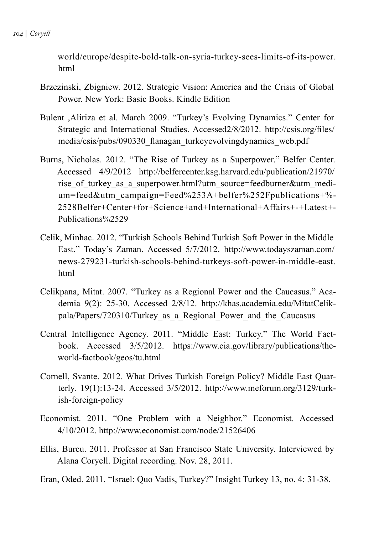[world/europe/despite-bold-talk-on-syria-turkey-sees-limits-of-its-power.](file:///C:\Users\PIU28\AppData\Local\Temp\%22) [html](file:///C:\Users\PIU28\AppData\Local\Temp\%22)

- Brzezinski, Zbigniew. 2012. Strategic Vision: America and the Crisis of Global Power. New York: Basic Books. Kindle Edition
- Bulent ,Aliriza et al. March 2009. "Turkey's Evolving Dynamics." Center for Strategic and International Studies. Accessed2/8/2012. [http://csis.org/files/](http://csis.org/files/media/csis/pubs/090330_flanagan_turkeyevolvingdynamics_web.pdf) [media/csis/pubs/090330\\_flanagan\\_turkeyevolvingdynamics\\_web.pdf](http://csis.org/files/media/csis/pubs/090330_flanagan_turkeyevolvingdynamics_web.pdf)
- Burns, Nicholas. 2012. "The Rise of Turkey as a Superpower." Belfer Center. Accessed 4/9/2012 [http://belfercenter.ksg.harvard.edu/publication/21970/](http://belfercenter.ksg.harvard.edu/publication/21970/rise_of_turkey_as_a_superpower.html?utm_source=feedburner&utm_medium=feed&utm_campaign=Feed%253A+belfer%252Fpublications+%2528Belfer+Center+for+Science+and+International+Affairs+-+Latest+Publications%2529) rise of turkey as a superpower.html?utm\_source=feedburner&utm\_medi[um=feed&utm\\_campaign=Feed%253A+belfer%252Fpublications+%-](http://belfercenter.ksg.harvard.edu/publication/21970/rise_of_turkey_as_a_superpower.html?utm_source=feedburner&utm_medium=feed&utm_campaign=Feed%253A+belfer%252Fpublications+%2528Belfer+Center+for+Science+and+International+Affairs+-+Latest+Publications%2529) [2528Belfer+Center+for+Science+and+International+Affairs+-+Latest+-](http://belfercenter.ksg.harvard.edu/publication/21970/rise_of_turkey_as_a_superpower.html?utm_source=feedburner&utm_medium=feed&utm_campaign=Feed%253A+belfer%252Fpublications+%2528Belfer+Center+for+Science+and+International+Affairs+-+Latest+Publications%2529) [Publications%2529](http://belfercenter.ksg.harvard.edu/publication/21970/rise_of_turkey_as_a_superpower.html?utm_source=feedburner&utm_medium=feed&utm_campaign=Feed%253A+belfer%252Fpublications+%2528Belfer+Center+for+Science+and+International+Affairs+-+Latest+Publications%2529)
- Celik, Minhac. 2012. "Turkish Schools Behind Turkish Soft Power in the Middle East." Today's Zaman. Accessed 5/7/2012. [http://www.todayszaman.com/](file:///C:\Users\PIU28\AppData\Local\Temp\%22) [news-279231-turkish-schools-behind-turkeys-soft-power-in-middle-east.](file:///C:\Users\PIU28\AppData\Local\Temp\%22) [html](file:///C:\Users\PIU28\AppData\Local\Temp\%22)
- Celikpana, Mitat. 2007. "Turkey as a Regional Power and the Caucasus." Academia 9(2): 25-30. Accessed 2/8/12. [http://khas.academia.edu/MitatCelik](http://khas.academia.edu/MitatCelikpala/Papers/720310/Turkey_as_a_Regional_Power_and_the_Caucasus)pala/Papers/720310/Turkey as a Regional Power and the Caucasus
- Central Intelligence Agency. 2011. "Middle East: Turkey." The World Factbook. Accessed 3/5/2012. [https://www.cia.gov/library/publications/the](https://www.cia.gov/library/publications/the-world-factbook/geos/tu.html)[world-factbook/geos/tu.html](https://www.cia.gov/library/publications/the-world-factbook/geos/tu.html)
- Cornell, Svante. 2012. What Drives Turkish Foreign Policy? Middle East Quarterly. 19(1):13-24. Accessed 3/5/2012. [http://www.meforum.org/3129/turk](http://www.meforum.org/3129/turkish-foreign-policy)[ish-foreign-policy](http://www.meforum.org/3129/turkish-foreign-policy)
- Economist. 2011. "One Problem with a Neighbor." Economist. Accessed 4/10/2012. http://www.economist.com/node/21526406
- Ellis, Burcu. 2011. Professor at San Francisco State University. Interviewed by Alana Coryell. Digital recording. Nov. 28, 2011.

Eran, Oded. 2011. "Israel: Quo Vadis, Turkey?" Insight Turkey 13, no. 4: 31-38.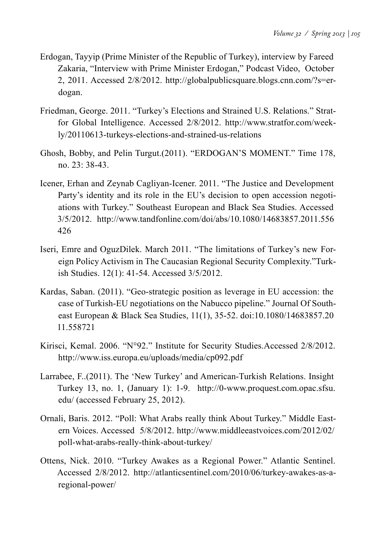- Erdogan, Tayyip (Prime Minister of the Republic of Turkey), interview by Fareed Zakaria, "Interview with Prime Minister Erdogan," Podcast Video, October 2, 2011. Accessed 2/8/2012. [http://globalpublicsquare.blogs.cnn.com/?s=er](http://globalpublicsquare.blogs.cnn.com/?s=erdogan)[dogan](http://globalpublicsquare.blogs.cnn.com/?s=erdogan).
- Friedman, George. 2011. "Turkey's Elections and Strained U.S. Relations." Stratfor Global Intelligence. Accessed 2/8/2012. [http://www.stratfor.com/week](http://www.stratfor.com/weekly/20110613-turkeys-elections-and-strained-us-relations)[ly/20110613-turkeys-elections-and-strained-us-relations](http://www.stratfor.com/weekly/20110613-turkeys-elections-and-strained-us-relations)
- Ghosh, Bobby, and Pelin Turgut.(2011). "ERDOGAN'S MOMENT." Time 178, no. 23: 38-43.
- Icener, Erhan and Zeynab Cagliyan-Icener. 2011. "The Justice and Development Party's identity and its role in the EU's decision to open accession negotiations with Turkey." Southeast European and Black Sea Studies. Accessed 3/5/2012. [http://www.tandfonline.com/doi/abs/10.1080/14683857.2011.556](http://www.tandfonline.com/doi/abs/10.1080/14683857.2011.556426) [426](http://www.tandfonline.com/doi/abs/10.1080/14683857.2011.556426)
- Iseri, Emre and OguzDilek. March 2011. "The limitations of Turkey's new Foreign Policy Activism in The Caucasian Regional Security Complexity."Turkish Studies. 12(1): 41-54. Accessed 3/5/2012.
- Kardas, Saban. (2011). "Geo-strategic position as leverage in EU accession: the case of Turkish-EU negotiations on the Nabucco pipeline." Journal Of Southeast European & Black Sea Studies, 11(1), 35-52. doi:10.1080/14683857.20 11.558721
- Kirisci, Kemal. 2006. "N°92." Institute for Security Studies.Accessed 2/8/2012. <http://www.iss.europa.eu/uploads/media/cp092.pdf>
- Larrabee, F..(2011). The 'New Turkey' and American-Turkish Relations. Insight Turkey 13, no. 1, (January 1): 1-9. http://0-www.proquest.com.opac.sfsu. edu/ (accessed February 25, 2012).
- Ornali, Baris. 2012. "Poll: What Arabs really think About Turkey." Middle Eastern Voices. Accessed 5/8/2012. [http://www.middleeastvoices.com/2012/02/](file:///C:\Users\PIU28\AppData\Local\Temp\%22) [poll-what-arabs-really-think-about-turkey/](file:///C:\Users\PIU28\AppData\Local\Temp\%22)
- Ottens, Nick. 2010. "Turkey Awakes as a Regional Power." Atlantic Sentinel. Accessed 2/8/2012. [http://atlanticsentinel.com/2010/06/turkey-awakes-as-a](http://atlanticsentinel.com/2010/06/turkey-awakes-as-a-regional-power/)[regional-power/](http://atlanticsentinel.com/2010/06/turkey-awakes-as-a-regional-power/)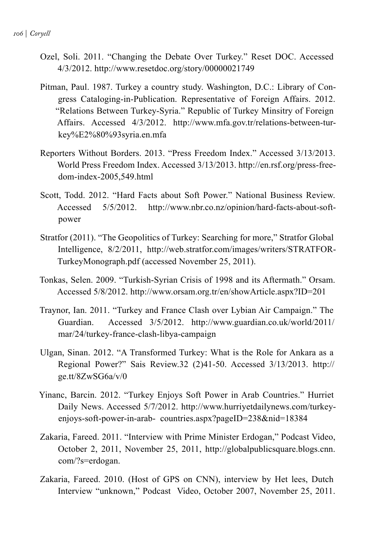- Ozel, Soli. 2011. "Changing the Debate Over Turkey." Reset DOC. Accessed 4/3/2012.<http://www.resetdoc.org/story/00000021749>
- Pitman, Paul. 1987. Turkey a country study. Washington, D.C.: Library of Congress Cataloging-in-Publication. Representative of Foreign Affairs. 2012. "Relations Between Turkey-Syria." Republic of Turkey Minsitry of Foreign Affairs. Accessed 4/3/2012. [http://www.mfa.gov.tr/relations-between-tur](file:///C:\Users\PIU28\AppData\Local\Temp\%22)[key%E2%80%93syria.en.mfa](file:///C:\Users\PIU28\AppData\Local\Temp\%22)
- Reporters Without Borders. 2013. "Press Freedom Index." Accessed 3/13/2013. World Press Freedom Index. Accessed 3/13/2013. http://en.rsf.org/press-freedom-index-2005,549.html
- Scott, Todd. 2012. "Hard Facts about Soft Power." National Business Review. Accessed 5/5/2012. [http://www.nbr.co.nz/opinion/hard-facts-about-soft](http://www.nbr.co.nz/opinion/hard-facts-about-soft-power)[power](http://www.nbr.co.nz/opinion/hard-facts-about-soft-power)
- Stratfor (2011). "The Geopolitics of Turkey: Searching for more," Stratfor Global Intelligence, 8/2/2011, http://web.stratfor.com/images/writers/STRATFOR-TurkeyMonograph.pdf (accessed November 25, 2011).
- Tonkas, Selen. 2009. "Turkish-Syrian Crisis of 1998 and its Aftermath." Orsam. Accessed 5/8/2012. <http://www.orsam.org.tr/en/showArticle.aspx?ID=201>
- Traynor, Ian. 2011. "Turkey and France Clash over Lybian Air Campaign." The Guardian. Accessed 3/5/2012. [http://www.guardian.co.uk/world/2011/](http://www.guardian.co.uk/world/2011/mar/24/turkey-france-clash-libya-campaign) [mar/24/turkey-france-clash-libya-campaign](http://www.guardian.co.uk/world/2011/mar/24/turkey-france-clash-libya-campaign)
- Ulgan, Sinan. 2012. "A Transformed Turkey: What is the Role for Ankara as a Regional Power?" Sais Review.32 (2)41-50. Accessed 3/13/2013. http:// ge.tt/8ZwSG6a/v/0
- Yinanc, Barcin. 2012. "Turkey Enjoys Soft Power in Arab Countries." Hurriet Daily News. Accessed 5/7/2012. [http://www.hurriyetdailynews.com/turkey](file:///C:\Users\PIU28\AppData\Local\Temp\%22)[enjoys-soft-power-in-arab- countries.aspx?pageID=238&nid=18384](file:///C:\Users\PIU28\AppData\Local\Temp\%22)
- Zakaria, Fareed. 2011. "Interview with Prime Minister Erdogan," Podcast Video, October 2, 2011, November 25, 2011, [http://globalpublicsquare.blogs.cnn.](http://globalpublicsquare.blogs.cnn.com/?s=erdogan) [com/?s=erdogan](http://globalpublicsquare.blogs.cnn.com/?s=erdogan).
- Zakaria, Fareed. 2010. (Host of GPS on CNN), interview by Het lees, Dutch Interview "unknown," Podcast Video, October 2007, November 25, 2011.